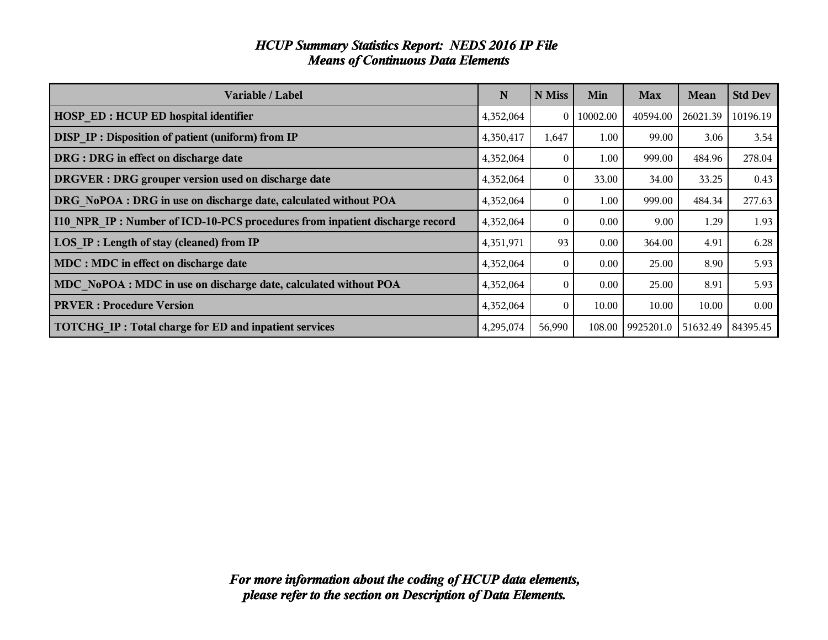| Variable / Label                                                            | N         | N Miss           | Min      | <b>Max</b>         |             | <b>Std Dev</b> |
|-----------------------------------------------------------------------------|-----------|------------------|----------|--------------------|-------------|----------------|
|                                                                             |           |                  |          |                    | <b>Mean</b> |                |
| <b>HOSP ED: HCUP ED hospital identifier</b>                                 | 4,352,064 | $\overline{0}$   | 10002.00 | 40594.00           | 26021.39    | 10196.19       |
| <b>DISP IP: Disposition of patient (uniform) from IP</b>                    | 4,350,417 | 1,647            | 1.00     | 99.00              | 3.06        | 3.54           |
| DRG : DRG in effect on discharge date                                       | 4,352,064 | $\left( \right)$ | 1.00     | 999.00             | 484.96      | 278.04         |
| <b>DRGVER</b> : DRG grouper version used on discharge date                  | 4,352,064 | 0                | 33.00    | 34.00              | 33.25       | 0.43           |
| DRG NoPOA : DRG in use on discharge date, calculated without POA            | 4,352,064 | $\theta$         | 1.00     | 999.00             | 484.34      | 277.63         |
| 110 NPR IP: Number of ICD-10-PCS procedures from inpatient discharge record | 4,352,064 | 0                | 0.00     | 9.00               | 1.29        | 1.93           |
| LOS IP : Length of stay (cleaned) from IP                                   | 4,351,971 | 93               | 0.00     | 364.00             | 4.91        | 6.28           |
| MDC : MDC in effect on discharge date                                       | 4,352,064 | $\theta$         | 0.00     | 25.00              | 8.90        | 5.93           |
| MDC NoPOA : MDC in use on discharge date, calculated without POA            | 4,352,064 | $\Omega$         | 0.00     | 25.00              | 8.91        | 5.93           |
| <b>PRVER: Procedure Version</b>                                             | 4,352,064 | $\theta$         | 10.00    | 10.00              | 10.00       | 0.00           |
| <b>TOTCHG IP: Total charge for ED and inpatient services</b>                | 4,295,074 | 56,990           |          | 108.00   9925201.0 | 51632.49    | 84395.45       |

#### *HCUP Summary Statistics Report: NEDS 2016 IP File Means of Continuous Data Elements*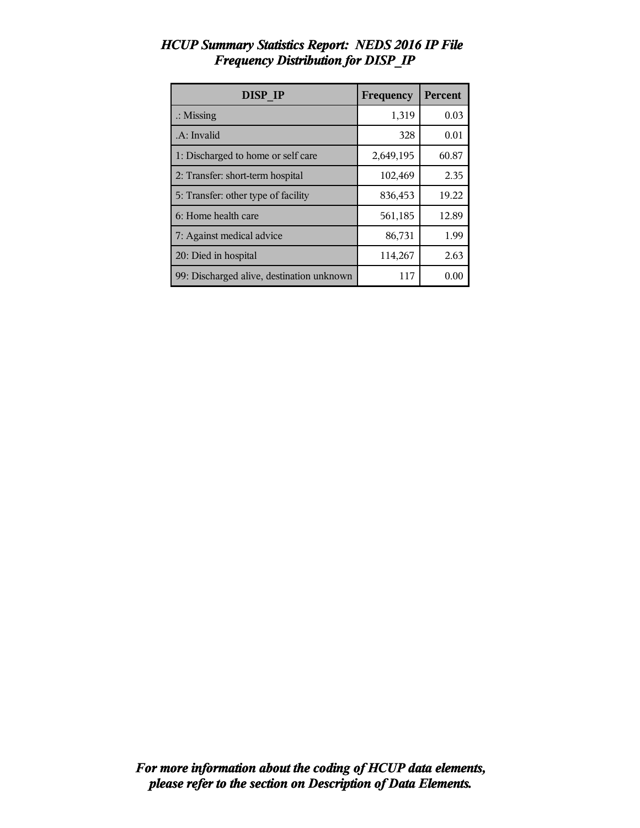| <b>DISP IP</b>                            | Frequency | <b>Percent</b> |
|-------------------------------------------|-----------|----------------|
| $\therefore$ Missing                      | 1,319     | 0.03           |
| .A: Invalid                               | 328       | 0.01           |
| 1: Discharged to home or self care        | 2,649,195 | 60.87          |
| 2: Transfer: short-term hospital          | 102,469   | 2.35           |
| 5: Transfer: other type of facility       | 836,453   | 19.22          |
| 6: Home health care                       | 561,185   | 12.89          |
| 7: Against medical advice                 | 86,731    | 1.99           |
| 20: Died in hospital                      | 114,267   | 2.63           |
| 99: Discharged alive, destination unknown | 117       | 0.00           |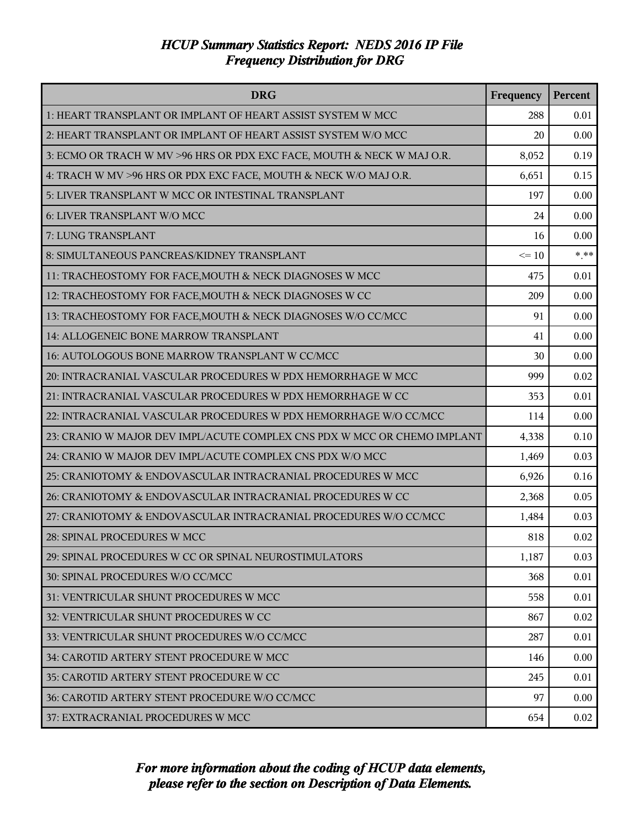| <b>DRG</b>                                                               | Frequency | Percent |
|--------------------------------------------------------------------------|-----------|---------|
| 1: HEART TRANSPLANT OR IMPLANT OF HEART ASSIST SYSTEM W MCC              | 288       | 0.01    |
| 2: HEART TRANSPLANT OR IMPLANT OF HEART ASSIST SYSTEM W/O MCC            | 20        | 0.00    |
| 3: ECMO OR TRACH W MV >96 HRS OR PDX EXC FACE, MOUTH & NECK W MAJ O.R.   | 8,052     | 0.19    |
| 4: TRACH W MV >96 HRS OR PDX EXC FACE, MOUTH & NECK W/O MAJ O.R.         | 6,651     | 0.15    |
| 5: LIVER TRANSPLANT W MCC OR INTESTINAL TRANSPLANT                       | 197       | 0.00    |
| 6: LIVER TRANSPLANT W/O MCC                                              | 24        | 0.00    |
| 7: LUNG TRANSPLANT                                                       | 16        | 0.00    |
| 8: SIMULTANEOUS PANCREAS/KIDNEY TRANSPLANT                               | $\leq 10$ | $***$   |
| 11: TRACHEOSTOMY FOR FACE, MOUTH & NECK DIAGNOSES W MCC                  | 475       | 0.01    |
| 12: TRACHEOSTOMY FOR FACE, MOUTH & NECK DIAGNOSES W CC                   | 209       | 0.00    |
| 13: TRACHEOSTOMY FOR FACE, MOUTH & NECK DIAGNOSES W/O CC/MCC             | 91        | 0.00    |
| 14: ALLOGENEIC BONE MARROW TRANSPLANT                                    | 41        | 0.00    |
| 16: AUTOLOGOUS BONE MARROW TRANSPLANT W CC/MCC                           | 30        | 0.00    |
| 20: INTRACRANIAL VASCULAR PROCEDURES W PDX HEMORRHAGE W MCC              | 999       | 0.02    |
| 21: INTRACRANIAL VASCULAR PROCEDURES W PDX HEMORRHAGE W CC               | 353       | 0.01    |
| 22: INTRACRANIAL VASCULAR PROCEDURES W PDX HEMORRHAGE W/O CC/MCC         | 114       | 0.00    |
| 23: CRANIO W MAJOR DEV IMPL/ACUTE COMPLEX CNS PDX W MCC OR CHEMO IMPLANT | 4,338     | 0.10    |
| 24: CRANIO W MAJOR DEV IMPL/ACUTE COMPLEX CNS PDX W/O MCC                | 1,469     | 0.03    |
| 25: CRANIOTOMY & ENDOVASCULAR INTRACRANIAL PROCEDURES W MCC              | 6,926     | 0.16    |
| 26: CRANIOTOMY & ENDOVASCULAR INTRACRANIAL PROCEDURES W CC               | 2,368     | 0.05    |
| 27: CRANIOTOMY & ENDOVASCULAR INTRACRANIAL PROCEDURES W/O CC/MCC         | 1,484     | 0.03    |
| 28: SPINAL PROCEDURES W MCC                                              | 818       | 0.02    |
| 29: SPINAL PROCEDURES W CC OR SPINAL NEUROSTIMULATORS                    | 1,187     | 0.03    |
| 30: SPINAL PROCEDURES W/O CC/MCC                                         | 368       | 0.01    |
| 31: VENTRICULAR SHUNT PROCEDURES W MCC                                   | 558       | 0.01    |
| 32: VENTRICULAR SHUNT PROCEDURES W CC                                    | 867       | 0.02    |
| 33: VENTRICULAR SHUNT PROCEDURES W/O CC/MCC                              | 287       | 0.01    |
| 34: CAROTID ARTERY STENT PROCEDURE W MCC                                 | 146       | 0.00    |
| 35: CAROTID ARTERY STENT PROCEDURE W CC                                  | 245       | 0.01    |
| 36: CAROTID ARTERY STENT PROCEDURE W/O CC/MCC                            | 97        | 0.00    |
| 37: EXTRACRANIAL PROCEDURES W MCC                                        | 654       | 0.02    |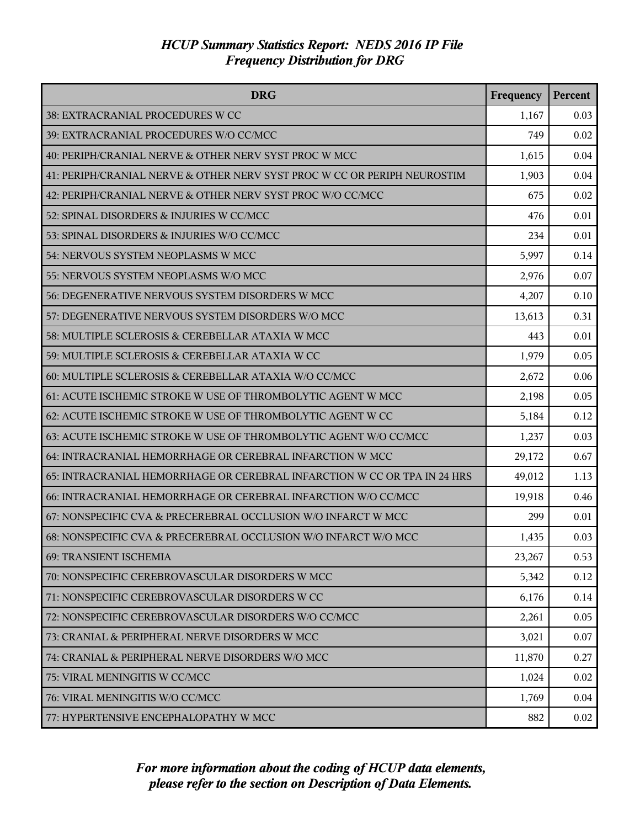| <b>DRG</b>                                                               | Frequency | Percent |
|--------------------------------------------------------------------------|-----------|---------|
| 38: EXTRACRANIAL PROCEDURES W CC                                         | 1,167     | 0.03    |
| 39: EXTRACRANIAL PROCEDURES W/O CC/MCC                                   | 749       | 0.02    |
| 40: PERIPH/CRANIAL NERVE & OTHER NERV SYST PROC W MCC                    | 1,615     | 0.04    |
| 41: PERIPH/CRANIAL NERVE & OTHER NERV SYST PROC W CC OR PERIPH NEUROSTIM | 1,903     | 0.04    |
| 42: PERIPH/CRANIAL NERVE & OTHER NERV SYST PROC W/O CC/MCC               | 675       | 0.02    |
| 52: SPINAL DISORDERS & INJURIES W CC/MCC                                 | 476       | 0.01    |
| 53: SPINAL DISORDERS & INJURIES W/O CC/MCC                               | 234       | 0.01    |
| 54: NERVOUS SYSTEM NEOPLASMS W MCC                                       | 5,997     | 0.14    |
| 55: NERVOUS SYSTEM NEOPLASMS W/O MCC                                     | 2,976     | 0.07    |
| 56: DEGENERATIVE NERVOUS SYSTEM DISORDERS W MCC                          | 4,207     | 0.10    |
| 57: DEGENERATIVE NERVOUS SYSTEM DISORDERS W/O MCC                        | 13,613    | 0.31    |
| 58: MULTIPLE SCLEROSIS & CEREBELLAR ATAXIA W MCC                         | 443       | 0.01    |
| 59: MULTIPLE SCLEROSIS & CEREBELLAR ATAXIA W CC                          | 1,979     | 0.05    |
| 60: MULTIPLE SCLEROSIS & CEREBELLAR ATAXIA W/O CC/MCC                    | 2,672     | 0.06    |
| 61: ACUTE ISCHEMIC STROKE W USE OF THROMBOLYTIC AGENT W MCC              | 2,198     | 0.05    |
| 62: ACUTE ISCHEMIC STROKE W USE OF THROMBOLYTIC AGENT W CC               | 5,184     | 0.12    |
| 63: ACUTE ISCHEMIC STROKE W USE OF THROMBOLYTIC AGENT W/O CC/MCC         | 1,237     | 0.03    |
| 64: INTRACRANIAL HEMORRHAGE OR CEREBRAL INFARCTION W MCC                 | 29,172    | 0.67    |
| 65: INTRACRANIAL HEMORRHAGE OR CEREBRAL INFARCTION W CC OR TPA IN 24 HRS | 49,012    | 1.13    |
| 66: INTRACRANIAL HEMORRHAGE OR CEREBRAL INFARCTION W/O CC/MCC            | 19,918    | 0.46    |
| 67: NONSPECIFIC CVA & PRECEREBRAL OCCLUSION W/O INFARCT W MCC            | 299       | 0.01    |
| 68: NONSPECIFIC CVA & PRECEREBRAL OCCLUSION W/O INFARCT W/O MCC          | 1,435     | 0.03    |
| 69: TRANSIENT ISCHEMIA                                                   | 23,267    | 0.53    |
| 70: NONSPECIFIC CEREBROVASCULAR DISORDERS W MCC                          | 5,342     | 0.12    |
| 71: NONSPECIFIC CEREBROVASCULAR DISORDERS W CC                           | 6,176     | 0.14    |
| 72: NONSPECIFIC CEREBROVASCULAR DISORDERS W/O CC/MCC                     | 2,261     | 0.05    |
| 73: CRANIAL & PERIPHERAL NERVE DISORDERS W MCC                           | 3,021     | 0.07    |
| 74: CRANIAL & PERIPHERAL NERVE DISORDERS W/O MCC                         | 11,870    | 0.27    |
| 75: VIRAL MENINGITIS W CC/MCC                                            | 1,024     | 0.02    |
| 76: VIRAL MENINGITIS W/O CC/MCC                                          | 1,769     | 0.04    |
| 77: HYPERTENSIVE ENCEPHALOPATHY W MCC                                    | 882       | 0.02    |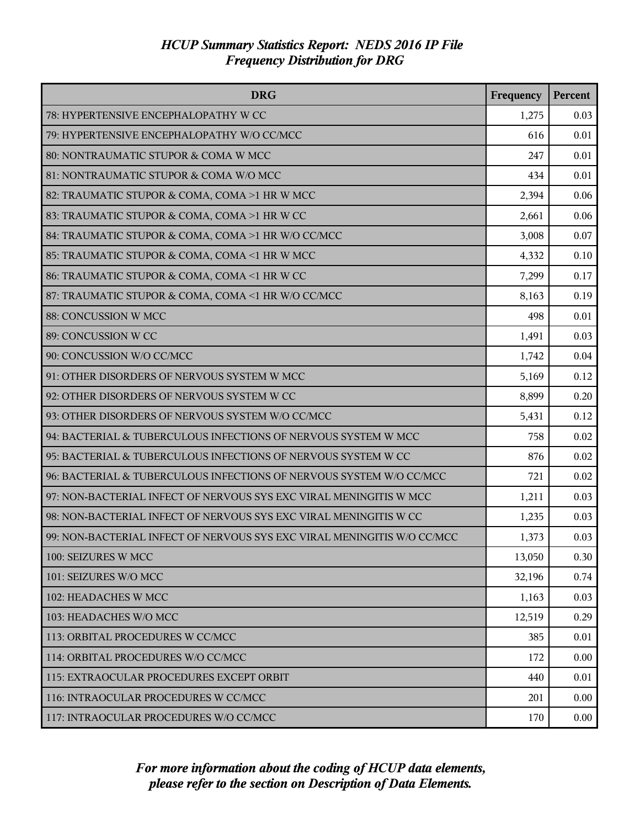| <b>DRG</b>                                                              | Frequency | Percent  |
|-------------------------------------------------------------------------|-----------|----------|
| 78: HYPERTENSIVE ENCEPHALOPATHY W CC                                    | 1,275     | 0.03     |
| 79: HYPERTENSIVE ENCEPHALOPATHY W/O CC/MCC                              | 616       | 0.01     |
| 80: NONTRAUMATIC STUPOR & COMA W MCC                                    | 247       | 0.01     |
| 81: NONTRAUMATIC STUPOR & COMA W/O MCC                                  | 434       | 0.01     |
| 82: TRAUMATIC STUPOR & COMA, COMA >1 HR W MCC                           | 2,394     | 0.06     |
| 83: TRAUMATIC STUPOR & COMA, COMA >1 HR W CC                            | 2,661     | 0.06     |
| 84: TRAUMATIC STUPOR & COMA, COMA >1 HR W/O CC/MCC                      | 3,008     | 0.07     |
| 85: TRAUMATIC STUPOR & COMA, COMA <1 HR W MCC                           | 4,332     | 0.10     |
| 86: TRAUMATIC STUPOR & COMA, COMA <1 HR W CC                            | 7,299     | 0.17     |
| 87: TRAUMATIC STUPOR & COMA, COMA <1 HR W/O CC/MCC                      | 8,163     | 0.19     |
| 88: CONCUSSION W MCC                                                    | 498       | 0.01     |
| 89: CONCUSSION W CC                                                     | 1,491     | 0.03     |
| 90: CONCUSSION W/O CC/MCC                                               | 1,742     | 0.04     |
| 91: OTHER DISORDERS OF NERVOUS SYSTEM W MCC                             | 5,169     | 0.12     |
| 92: OTHER DISORDERS OF NERVOUS SYSTEM W CC                              | 8,899     | 0.20     |
| 93: OTHER DISORDERS OF NERVOUS SYSTEM W/O CC/MCC                        | 5,431     | 0.12     |
| 94: BACTERIAL & TUBERCULOUS INFECTIONS OF NERVOUS SYSTEM W MCC          | 758       | 0.02     |
| 95: BACTERIAL & TUBERCULOUS INFECTIONS OF NERVOUS SYSTEM W CC           | 876       | 0.02     |
| 96: BACTERIAL & TUBERCULOUS INFECTIONS OF NERVOUS SYSTEM W/O CC/MCC     | 721       | 0.02     |
| 97: NON-BACTERIAL INFECT OF NERVOUS SYS EXC VIRAL MENINGITIS W MCC      | 1,211     | 0.03     |
| 98: NON-BACTERIAL INFECT OF NERVOUS SYS EXC VIRAL MENINGITIS W CC       | 1,235     | 0.03     |
| 99: NON-BACTERIAL INFECT OF NERVOUS SYS EXC VIRAL MENINGITIS W/O CC/MCC | 1,373     | 0.03     |
| 100: SEIZURES W MCC                                                     | 13,050    | 0.30     |
| 101: SEIZURES W/O MCC                                                   | 32,196    | 0.74     |
| 102: HEADACHES W MCC                                                    | 1,163     | 0.03     |
| 103: HEADACHES W/O MCC                                                  | 12,519    | 0.29     |
| 113: ORBITAL PROCEDURES W CC/MCC                                        | 385       | 0.01     |
| 114: ORBITAL PROCEDURES W/O CC/MCC                                      | 172       | 0.00     |
| 115: EXTRAOCULAR PROCEDURES EXCEPT ORBIT                                | 440       | 0.01     |
| 116: INTRAOCULAR PROCEDURES W CC/MCC                                    | 201       | 0.00     |
| 117: INTRAOCULAR PROCEDURES W/O CC/MCC                                  | 170       | $0.00\,$ |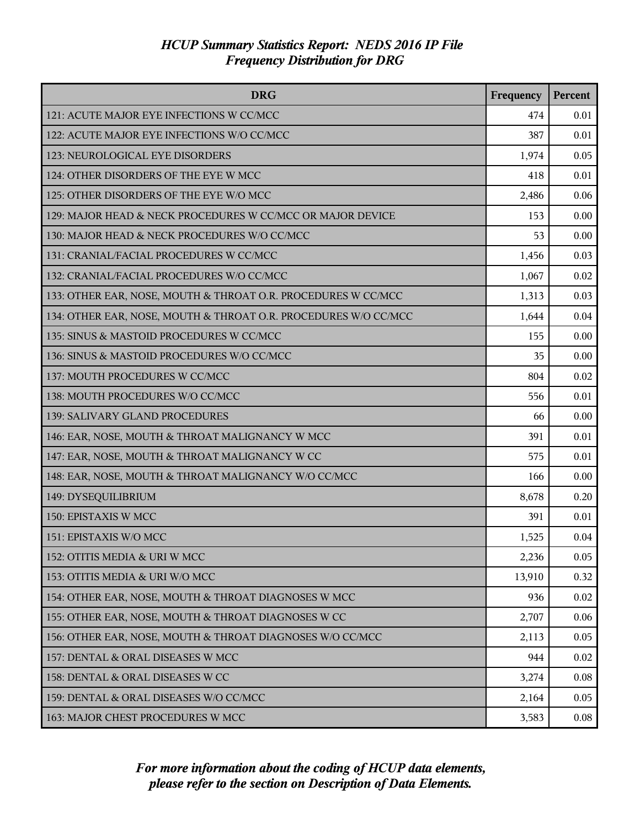| <b>DRG</b>                                                      | Frequency | Percent |
|-----------------------------------------------------------------|-----------|---------|
| 121: ACUTE MAJOR EYE INFECTIONS W CC/MCC                        | 474       | 0.01    |
| 122: ACUTE MAJOR EYE INFECTIONS W/O CC/MCC                      | 387       | 0.01    |
| 123: NEUROLOGICAL EYE DISORDERS                                 | 1,974     | 0.05    |
| 124: OTHER DISORDERS OF THE EYE W MCC                           | 418       | 0.01    |
| 125: OTHER DISORDERS OF THE EYE W/O MCC                         | 2,486     | 0.06    |
| 129: MAJOR HEAD & NECK PROCEDURES W CC/MCC OR MAJOR DEVICE      | 153       | 0.00    |
| 130: MAJOR HEAD & NECK PROCEDURES W/O CC/MCC                    | 53        | 0.00    |
| 131: CRANIAL/FACIAL PROCEDURES W CC/MCC                         | 1,456     | 0.03    |
| 132: CRANIAL/FACIAL PROCEDURES W/O CC/MCC                       | 1,067     | 0.02    |
| 133: OTHER EAR, NOSE, MOUTH & THROAT O.R. PROCEDURES W CC/MCC   | 1,313     | 0.03    |
| 134: OTHER EAR, NOSE, MOUTH & THROAT O.R. PROCEDURES W/O CC/MCC | 1,644     | 0.04    |
| 135: SINUS & MASTOID PROCEDURES W CC/MCC                        | 155       | 0.00    |
| 136: SINUS & MASTOID PROCEDURES W/O CC/MCC                      | 35        | 0.00    |
| 137: MOUTH PROCEDURES W CC/MCC                                  | 804       | 0.02    |
| 138: MOUTH PROCEDURES W/O CC/MCC                                | 556       | 0.01    |
| 139: SALIVARY GLAND PROCEDURES                                  | 66        | 0.00    |
| 146: EAR, NOSE, MOUTH & THROAT MALIGNANCY W MCC                 | 391       | 0.01    |
| 147: EAR, NOSE, MOUTH & THROAT MALIGNANCY W CC                  | 575       | 0.01    |
| 148: EAR, NOSE, MOUTH & THROAT MALIGNANCY W/O CC/MCC            | 166       | 0.00    |
| 149: DYSEQUILIBRIUM                                             | 8,678     | 0.20    |
| 150: EPISTAXIS W MCC                                            | 391       | 0.01    |
| 151: EPISTAXIS W/O MCC                                          | 1,525     | 0.04    |
| 152: OTITIS MEDIA & URI W MCC                                   | 2,236     | 0.05    |
| 153: OTITIS MEDIA & URI W/O MCC                                 | 13,910    | 0.32    |
| 154: OTHER EAR, NOSE, MOUTH & THROAT DIAGNOSES W MCC            | 936       | 0.02    |
| 155: OTHER EAR, NOSE, MOUTH & THROAT DIAGNOSES W CC             | 2,707     | 0.06    |
| 156: OTHER EAR, NOSE, MOUTH & THROAT DIAGNOSES W/O CC/MCC       | 2,113     | 0.05    |
| 157: DENTAL & ORAL DISEASES W MCC                               | 944       | 0.02    |
| 158: DENTAL & ORAL DISEASES W CC                                | 3,274     | 0.08    |
| 159: DENTAL & ORAL DISEASES W/O CC/MCC                          | 2,164     | 0.05    |
| 163: MAJOR CHEST PROCEDURES W MCC                               | 3,583     | 0.08    |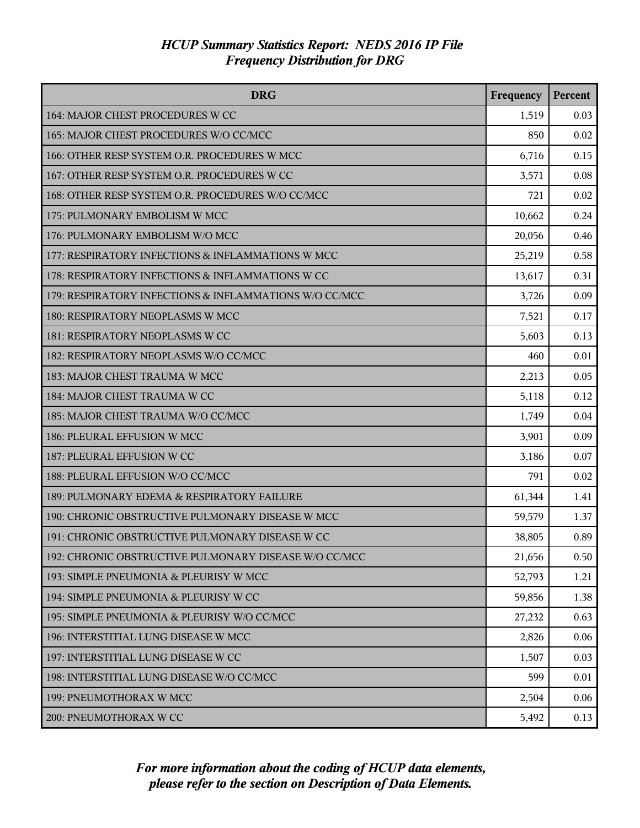| <b>DRG</b>                                             | Frequency | Percent |
|--------------------------------------------------------|-----------|---------|
| 164: MAJOR CHEST PROCEDURES W CC                       | 1,519     | 0.03    |
| 165: MAJOR CHEST PROCEDURES W/O CC/MCC                 | 850       | 0.02    |
| 166: OTHER RESP SYSTEM O.R. PROCEDURES W MCC           | 6,716     | 0.15    |
| 167: OTHER RESP SYSTEM O.R. PROCEDURES W CC            | 3,571     | 0.08    |
| 168: OTHER RESP SYSTEM O.R. PROCEDURES W/O CC/MCC      | 721       | 0.02    |
| 175: PULMONARY EMBOLISM W MCC                          | 10,662    | 0.24    |
| 176: PULMONARY EMBOLISM W/O MCC                        | 20,056    | 0.46    |
| 177: RESPIRATORY INFECTIONS & INFLAMMATIONS W MCC      | 25,219    | 0.58    |
| 178: RESPIRATORY INFECTIONS & INFLAMMATIONS W CC       | 13,617    | 0.31    |
| 179: RESPIRATORY INFECTIONS & INFLAMMATIONS W/O CC/MCC | 3,726     | 0.09    |
| 180: RESPIRATORY NEOPLASMS W MCC                       | 7,521     | 0.17    |
| 181: RESPIRATORY NEOPLASMS W CC                        | 5,603     | 0.13    |
| 182: RESPIRATORY NEOPLASMS W/O CC/MCC                  | 460       | 0.01    |
| 183: MAJOR CHEST TRAUMA W MCC                          | 2,213     | 0.05    |
| 184: MAJOR CHEST TRAUMA W CC                           | 5,118     | 0.12    |
| 185: MAJOR CHEST TRAUMA W/O CC/MCC                     | 1,749     | 0.04    |
| 186: PLEURAL EFFUSION W MCC                            | 3,901     | 0.09    |
| 187: PLEURAL EFFUSION W CC                             | 3,186     | 0.07    |
| 188: PLEURAL EFFUSION W/O CC/MCC                       | 791       | 0.02    |
| 189: PULMONARY EDEMA & RESPIRATORY FAILURE             | 61,344    | 1.41    |
| 190: CHRONIC OBSTRUCTIVE PULMONARY DISEASE W MCC       | 59,579    | 1.37    |
| 191: CHRONIC OBSTRUCTIVE PULMONARY DISEASE W CC        | 38,805    | 0.89    |
| 192: CHRONIC OBSTRUCTIVE PULMONARY DISEASE W/O CC/MCC  | 21,656    | 0.50    |
| 193: SIMPLE PNEUMONIA & PLEURISY W MCC                 | 52,793    | 1.21    |
| 194: SIMPLE PNEUMONIA & PLEURISY W CC                  | 59,856    | 1.38    |
| 195: SIMPLE PNEUMONIA & PLEURISY W/O CC/MCC            | 27,232    | 0.63    |
| 196: INTERSTITIAL LUNG DISEASE W MCC                   | 2,826     | 0.06    |
| 197: INTERSTITIAL LUNG DISEASE W CC                    | 1,507     | 0.03    |
| 198: INTERSTITIAL LUNG DISEASE W/O CC/MCC              | 599       | 0.01    |
| 199: PNEUMOTHORAX W MCC                                | 2,504     | 0.06    |
| 200: PNEUMOTHORAX W CC                                 | 5,492     | 0.13    |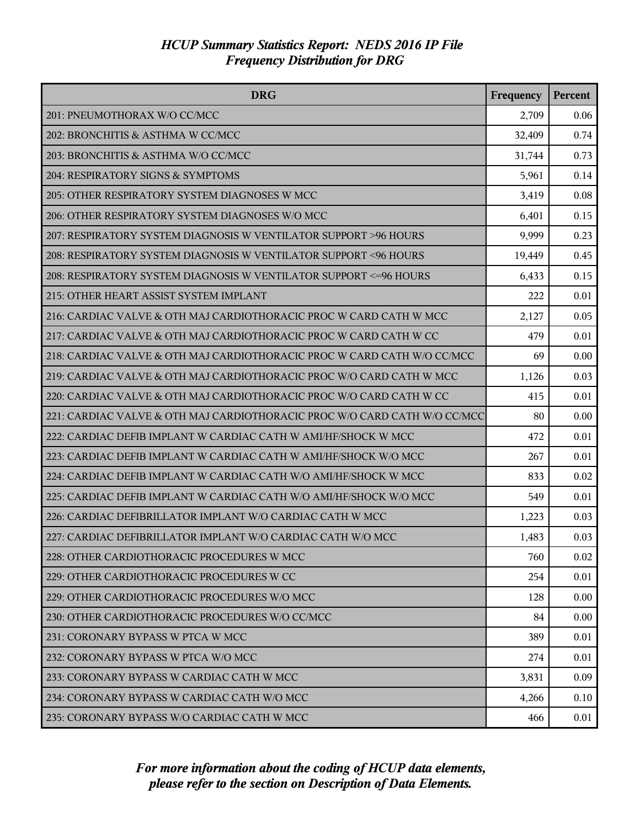| <b>DRG</b>                                                                | Frequency | <b>Percent</b> |
|---------------------------------------------------------------------------|-----------|----------------|
| 201: PNEUMOTHORAX W/O CC/MCC                                              | 2,709     | 0.06           |
| 202: BRONCHITIS & ASTHMA W CC/MCC                                         | 32,409    | 0.74           |
| 203: BRONCHITIS & ASTHMA W/O CC/MCC                                       | 31,744    | 0.73           |
| 204: RESPIRATORY SIGNS & SYMPTOMS                                         | 5,961     | 0.14           |
| 205: OTHER RESPIRATORY SYSTEM DIAGNOSES W MCC                             | 3,419     | 0.08           |
| 206: OTHER RESPIRATORY SYSTEM DIAGNOSES W/O MCC                           | 6,401     | 0.15           |
| 207: RESPIRATORY SYSTEM DIAGNOSIS W VENTILATOR SUPPORT >96 HOURS          | 9,999     | 0.23           |
| 208: RESPIRATORY SYSTEM DIAGNOSIS W VENTILATOR SUPPORT <96 HOURS          | 19,449    | 0.45           |
| 208: RESPIRATORY SYSTEM DIAGNOSIS W VENTILATOR SUPPORT <= 96 HOURS        | 6,433     | 0.15           |
| 215: OTHER HEART ASSIST SYSTEM IMPLANT                                    | 222       | 0.01           |
| 216: CARDIAC VALVE & OTH MAJ CARDIOTHORACIC PROC W CARD CATH W MCC        | 2,127     | 0.05           |
| 217: CARDIAC VALVE & OTH MAJ CARDIOTHORACIC PROC W CARD CATH W CC         | 479       | 0.01           |
| 218: CARDIAC VALVE & OTH MAJ CARDIOTHORACIC PROC W CARD CATH W/O CC/MCC   | 69        | 0.00           |
| 219: CARDIAC VALVE & OTH MAJ CARDIOTHORACIC PROC W/O CARD CATH W MCC      | 1,126     | 0.03           |
| 220: CARDIAC VALVE & OTH MAJ CARDIOTHORACIC PROC W/O CARD CATH W CC       | 415       | 0.01           |
| 221: CARDIAC VALVE & OTH MAJ CARDIOTHORACIC PROC W/O CARD CATH W/O CC/MCC | 80        | 0.00           |
| 222: CARDIAC DEFIB IMPLANT W CARDIAC CATH W AMI/HF/SHOCK W MCC            | 472       | 0.01           |
| 223: CARDIAC DEFIB IMPLANT W CARDIAC CATH W AMI/HF/SHOCK W/O MCC          | 267       | 0.01           |
| 224: CARDIAC DEFIB IMPLANT W CARDIAC CATH W/O AMI/HF/SHOCK W MCC          | 833       | 0.02           |
| 225: CARDIAC DEFIB IMPLANT W CARDIAC CATH W/O AMI/HF/SHOCK W/O MCC        | 549       | 0.01           |
| 226: CARDIAC DEFIBRILLATOR IMPLANT W/O CARDIAC CATH W MCC                 | 1,223     | 0.03           |
| 227: CARDIAC DEFIBRILLATOR IMPLANT W/O CARDIAC CATH W/O MCC               | 1,483     | 0.03           |
| 228: OTHER CARDIOTHORACIC PROCEDURES W MCC                                | 760       | 0.02           |
| 229: OTHER CARDIOTHORACIC PROCEDURES W CC                                 | 254       | 0.01           |
| 229: OTHER CARDIOTHORACIC PROCEDURES W/O MCC                              | 128       | 0.00           |
| 230: OTHER CARDIOTHORACIC PROCEDURES W/O CC/MCC                           | 84        | 0.00           |
| 231: CORONARY BYPASS W PTCA W MCC                                         | 389       | 0.01           |
| 232: CORONARY BYPASS W PTCA W/O MCC                                       | 274       | 0.01           |
| 233: CORONARY BYPASS W CARDIAC CATH W MCC                                 | 3,831     | 0.09           |
| 234: CORONARY BYPASS W CARDIAC CATH W/O MCC                               | 4,266     | 0.10           |
| 235: CORONARY BYPASS W/O CARDIAC CATH W MCC                               | 466       | 0.01           |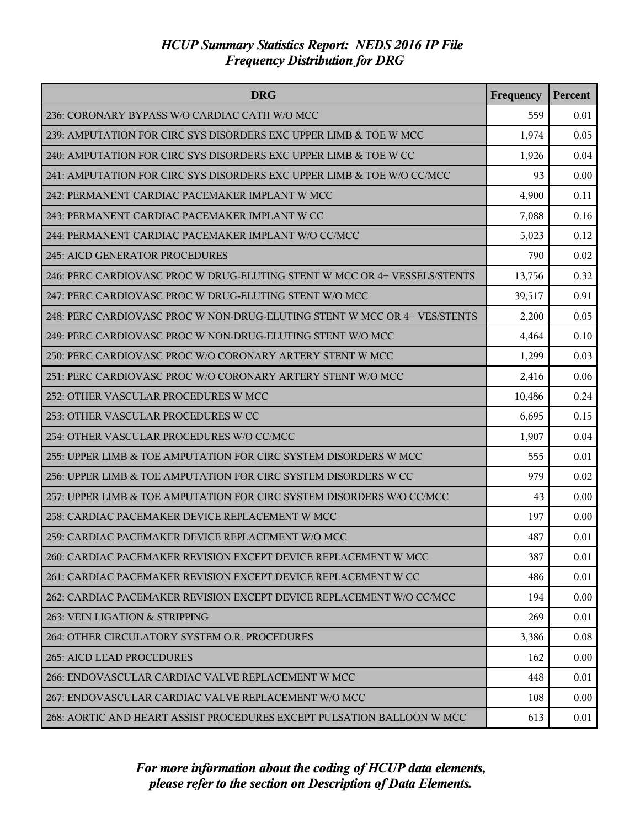| <b>DRG</b>                                                                | Frequency | Percent |
|---------------------------------------------------------------------------|-----------|---------|
| 236: CORONARY BYPASS W/O CARDIAC CATH W/O MCC                             | 559       | 0.01    |
| 239: AMPUTATION FOR CIRC SYS DISORDERS EXC UPPER LIMB & TOE W MCC         | 1,974     | 0.05    |
| 240: AMPUTATION FOR CIRC SYS DISORDERS EXC UPPER LIMB & TOE W CC          | 1,926     | 0.04    |
| 241: AMPUTATION FOR CIRC SYS DISORDERS EXC UPPER LIMB & TOE W/O CC/MCC    | 93        | 0.00    |
| 242: PERMANENT CARDIAC PACEMAKER IMPLANT W MCC                            | 4,900     | 0.11    |
| 243: PERMANENT CARDIAC PACEMAKER IMPLANT W CC                             | 7,088     | 0.16    |
| 244: PERMANENT CARDIAC PACEMAKER IMPLANT W/O CC/MCC                       | 5,023     | 0.12    |
| 245: AICD GENERATOR PROCEDURES                                            | 790       | 0.02    |
| 246: PERC CARDIOVASC PROC W DRUG-ELUTING STENT W MCC OR 4+ VESSELS/STENTS | 13,756    | 0.32    |
| 247: PERC CARDIOVASC PROC W DRUG-ELUTING STENT W/O MCC                    | 39,517    | 0.91    |
| 248: PERC CARDIOVASC PROC W NON-DRUG-ELUTING STENT W MCC OR 4+ VES/STENTS | 2,200     | 0.05    |
| 249: PERC CARDIOVASC PROC W NON-DRUG-ELUTING STENT W/O MCC                | 4,464     | 0.10    |
| 250: PERC CARDIOVASC PROC W/O CORONARY ARTERY STENT W MCC                 | 1,299     | 0.03    |
| 251: PERC CARDIOVASC PROC W/O CORONARY ARTERY STENT W/O MCC               | 2,416     | 0.06    |
| 252: OTHER VASCULAR PROCEDURES W MCC                                      | 10,486    | 0.24    |
| 253: OTHER VASCULAR PROCEDURES W CC                                       | 6,695     | 0.15    |
| 254: OTHER VASCULAR PROCEDURES W/O CC/MCC                                 | 1,907     | 0.04    |
| 255: UPPER LIMB & TOE AMPUTATION FOR CIRC SYSTEM DISORDERS W MCC          | 555       | 0.01    |
| 256: UPPER LIMB & TOE AMPUTATION FOR CIRC SYSTEM DISORDERS W CC           | 979       | 0.02    |
| 257: UPPER LIMB & TOE AMPUTATION FOR CIRC SYSTEM DISORDERS W/O CC/MCC     | 43        | 0.00    |
| 258: CARDIAC PACEMAKER DEVICE REPLACEMENT W MCC                           | 197       | 0.00    |
| 259: CARDIAC PACEMAKER DEVICE REPLACEMENT W/O MCC                         | 487       | 0.01    |
| 260: CARDIAC PACEMAKER REVISION EXCEPT DEVICE REPLACEMENT W MCC           | 387       | 0.01    |
| 261: CARDIAC PACEMAKER REVISION EXCEPT DEVICE REPLACEMENT W CC            | 486       | 0.01    |
| 262: CARDIAC PACEMAKER REVISION EXCEPT DEVICE REPLACEMENT W/O CC/MCC      | 194       | 0.00    |
| 263: VEIN LIGATION & STRIPPING                                            | 269       | 0.01    |
| 264: OTHER CIRCULATORY SYSTEM O.R. PROCEDURES                             | 3,386     | 0.08    |
| <b>265: AICD LEAD PROCEDURES</b>                                          | 162       | 0.00    |
| 266: ENDOVASCULAR CARDIAC VALVE REPLACEMENT W MCC                         | 448       | 0.01    |
| 267: ENDOVASCULAR CARDIAC VALVE REPLACEMENT W/O MCC                       | 108       | 0.00    |
| 268: AORTIC AND HEART ASSIST PROCEDURES EXCEPT PULSATION BALLOON W MCC    | 613       | 0.01    |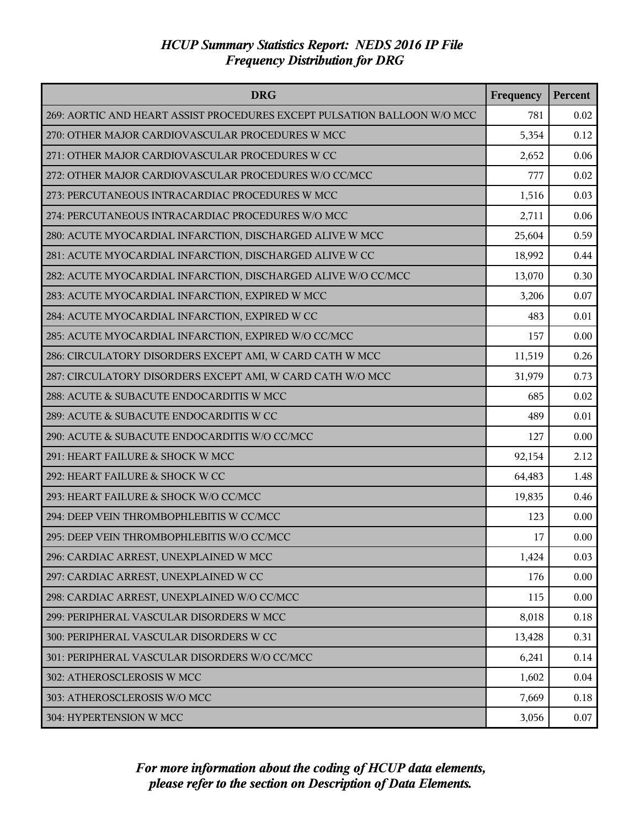| <b>DRG</b>                                                               | Frequency | Percent |
|--------------------------------------------------------------------------|-----------|---------|
| 269: AORTIC AND HEART ASSIST PROCEDURES EXCEPT PULSATION BALLOON W/O MCC | 781       | 0.02    |
| 270: OTHER MAJOR CARDIOVASCULAR PROCEDURES W MCC                         | 5,354     | 0.12    |
| 271: OTHER MAJOR CARDIOVASCULAR PROCEDURES W CC                          | 2,652     | 0.06    |
| 272: OTHER MAJOR CARDIOVASCULAR PROCEDURES W/O CC/MCC                    | 777       | 0.02    |
| 273: PERCUTANEOUS INTRACARDIAC PROCEDURES W MCC                          | 1,516     | 0.03    |
| 274: PERCUTANEOUS INTRACARDIAC PROCEDURES W/O MCC                        | 2,711     | 0.06    |
| 280: ACUTE MYOCARDIAL INFARCTION, DISCHARGED ALIVE W MCC                 | 25,604    | 0.59    |
| 281: ACUTE MYOCARDIAL INFARCTION, DISCHARGED ALIVE W CC                  | 18,992    | 0.44    |
| 282: ACUTE MYOCARDIAL INFARCTION, DISCHARGED ALIVE W/O CC/MCC            | 13,070    | 0.30    |
| 283: ACUTE MYOCARDIAL INFARCTION, EXPIRED W MCC                          | 3,206     | 0.07    |
| 284: ACUTE MYOCARDIAL INFARCTION, EXPIRED W CC                           | 483       | 0.01    |
| 285: ACUTE MYOCARDIAL INFARCTION, EXPIRED W/O CC/MCC                     | 157       | 0.00    |
| 286: CIRCULATORY DISORDERS EXCEPT AMI, W CARD CATH W MCC                 | 11,519    | 0.26    |
| 287: CIRCULATORY DISORDERS EXCEPT AMI, W CARD CATH W/O MCC               | 31,979    | 0.73    |
| 288: ACUTE & SUBACUTE ENDOCARDITIS W MCC                                 | 685       | 0.02    |
| 289: ACUTE & SUBACUTE ENDOCARDITIS W CC                                  | 489       | 0.01    |
| 290: ACUTE & SUBACUTE ENDOCARDITIS W/O CC/MCC                            | 127       | 0.00    |
| 291: HEART FAILURE & SHOCK W MCC                                         | 92,154    | 2.12    |
| 292: HEART FAILURE & SHOCK W CC                                          | 64,483    | 1.48    |
| 293: HEART FAILURE & SHOCK W/O CC/MCC                                    | 19,835    | 0.46    |
| 294: DEEP VEIN THROMBOPHLEBITIS W CC/MCC                                 | 123       | 0.00    |
| 295: DEEP VEIN THROMBOPHLEBITIS W/O CC/MCC                               | 17        | 0.00    |
| 296: CARDIAC ARREST, UNEXPLAINED W MCC                                   | 1,424     | 0.03    |
| 297: CARDIAC ARREST, UNEXPLAINED W CC                                    | 176       | 0.00    |
| 298: CARDIAC ARREST, UNEXPLAINED W/O CC/MCC                              | 115       | 0.00    |
| 299: PERIPHERAL VASCULAR DISORDERS W MCC                                 | 8,018     | 0.18    |
| 300: PERIPHERAL VASCULAR DISORDERS W CC                                  | 13,428    | 0.31    |
| 301: PERIPHERAL VASCULAR DISORDERS W/O CC/MCC                            | 6,241     | 0.14    |
| 302: ATHEROSCLEROSIS W MCC                                               | 1,602     | 0.04    |
| 303: ATHEROSCLEROSIS W/O MCC                                             | 7,669     | 0.18    |
| 304: HYPERTENSION W MCC                                                  | 3,056     | 0.07    |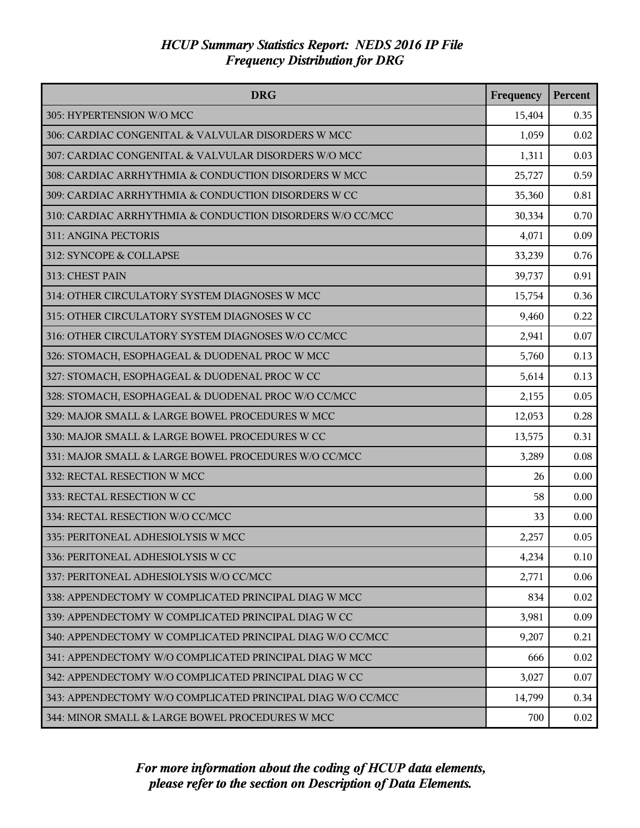| <b>DRG</b>                                                  | Frequency | Percent |
|-------------------------------------------------------------|-----------|---------|
| 305: HYPERTENSION W/O MCC                                   | 15,404    | 0.35    |
| 306: CARDIAC CONGENITAL & VALVULAR DISORDERS W MCC          | 1,059     | 0.02    |
| 307: CARDIAC CONGENITAL & VALVULAR DISORDERS W/O MCC        | 1,311     | 0.03    |
| 308: CARDIAC ARRHYTHMIA & CONDUCTION DISORDERS W MCC        | 25,727    | 0.59    |
| 309: CARDIAC ARRHYTHMIA & CONDUCTION DISORDERS W CC         | 35,360    | 0.81    |
| 310: CARDIAC ARRHYTHMIA & CONDUCTION DISORDERS W/O CC/MCC   | 30,334    | 0.70    |
| 311: ANGINA PECTORIS                                        | 4,071     | 0.09    |
| 312: SYNCOPE & COLLAPSE                                     | 33,239    | 0.76    |
| 313: CHEST PAIN                                             | 39,737    | 0.91    |
| 314: OTHER CIRCULATORY SYSTEM DIAGNOSES W MCC               | 15,754    | 0.36    |
| 315: OTHER CIRCULATORY SYSTEM DIAGNOSES W CC                | 9,460     | 0.22    |
| 316: OTHER CIRCULATORY SYSTEM DIAGNOSES W/O CC/MCC          | 2,941     | 0.07    |
| 326: STOMACH, ESOPHAGEAL & DUODENAL PROC W MCC              | 5,760     | 0.13    |
| 327: STOMACH, ESOPHAGEAL & DUODENAL PROC W CC               | 5,614     | 0.13    |
| 328: STOMACH, ESOPHAGEAL & DUODENAL PROC W/O CC/MCC         | 2,155     | 0.05    |
| 329: MAJOR SMALL & LARGE BOWEL PROCEDURES W MCC             | 12,053    | 0.28    |
| 330: MAJOR SMALL & LARGE BOWEL PROCEDURES W CC              | 13,575    | 0.31    |
| 331: MAJOR SMALL & LARGE BOWEL PROCEDURES W/O CC/MCC        | 3,289     | 0.08    |
| 332: RECTAL RESECTION W MCC                                 | 26        | 0.00    |
| 333: RECTAL RESECTION W CC                                  | 58        | 0.00    |
| 334: RECTAL RESECTION W/O CC/MCC                            | 33        | 0.00    |
| 335: PERITONEAL ADHESIOLYSIS W MCC                          | 2,257     | 0.05    |
| 336: PERITONEAL ADHESIOLYSIS W CC                           | 4,234     | 0.10    |
| 337: PERITONEAL ADHESIOLYSIS W/O CC/MCC                     | 2,771     | 0.06    |
| 338: APPENDECTOMY W COMPLICATED PRINCIPAL DIAG W MCC        | 834       | 0.02    |
| 339: APPENDECTOMY W COMPLICATED PRINCIPAL DIAG W CC         | 3,981     | 0.09    |
| 340: APPENDECTOMY W COMPLICATED PRINCIPAL DIAG W/O CC/MCC   | 9,207     | 0.21    |
| 341: APPENDECTOMY W/O COMPLICATED PRINCIPAL DIAG W MCC      | 666       | 0.02    |
| 342: APPENDECTOMY W/O COMPLICATED PRINCIPAL DIAG W CC       | 3,027     | 0.07    |
| 343: APPENDECTOMY W/O COMPLICATED PRINCIPAL DIAG W/O CC/MCC | 14,799    | 0.34    |
| 344: MINOR SMALL & LARGE BOWEL PROCEDURES W MCC             | 700       | 0.02    |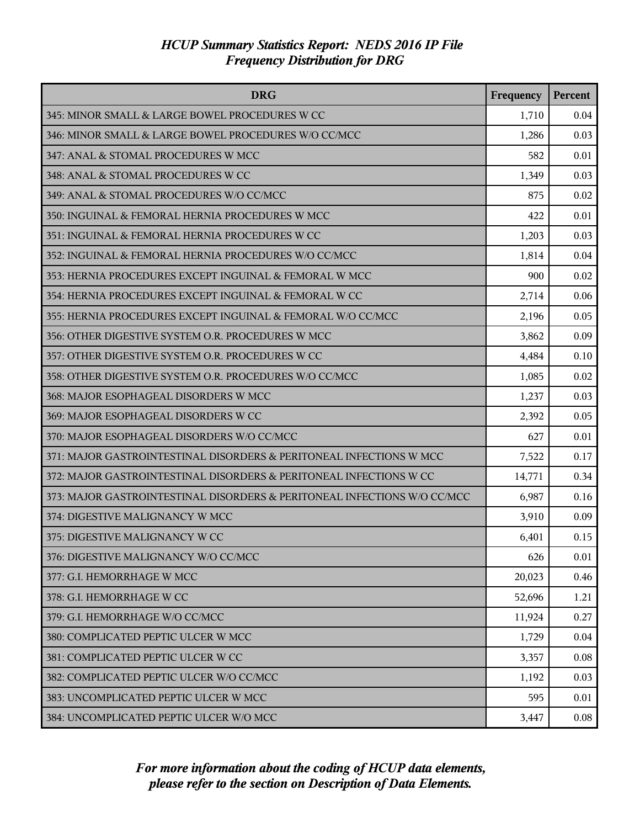| <b>DRG</b>                                                               | Frequency | Percent |
|--------------------------------------------------------------------------|-----------|---------|
| 345: MINOR SMALL & LARGE BOWEL PROCEDURES W CC                           | 1,710     | 0.04    |
| 346: MINOR SMALL & LARGE BOWEL PROCEDURES W/O CC/MCC                     | 1,286     | 0.03    |
| 347: ANAL & STOMAL PROCEDURES W MCC                                      | 582       | 0.01    |
| 348: ANAL & STOMAL PROCEDURES W CC                                       | 1,349     | 0.03    |
| 349: ANAL & STOMAL PROCEDURES W/O CC/MCC                                 | 875       | 0.02    |
| 350: INGUINAL & FEMORAL HERNIA PROCEDURES W MCC                          | 422       | 0.01    |
| 351: INGUINAL & FEMORAL HERNIA PROCEDURES W CC                           | 1,203     | 0.03    |
| 352: INGUINAL & FEMORAL HERNIA PROCEDURES W/O CC/MCC                     | 1,814     | 0.04    |
| 353: HERNIA PROCEDURES EXCEPT INGUINAL & FEMORAL W MCC                   | 900       | 0.02    |
| 354: HERNIA PROCEDURES EXCEPT INGUINAL & FEMORAL W CC                    | 2,714     | 0.06    |
| 355: HERNIA PROCEDURES EXCEPT INGUINAL & FEMORAL W/O CC/MCC              | 2,196     | 0.05    |
| 356: OTHER DIGESTIVE SYSTEM O.R. PROCEDURES W MCC                        | 3,862     | 0.09    |
| 357: OTHER DIGESTIVE SYSTEM O.R. PROCEDURES W CC                         | 4,484     | 0.10    |
| 358: OTHER DIGESTIVE SYSTEM O.R. PROCEDURES W/O CC/MCC                   | 1,085     | 0.02    |
| 368: MAJOR ESOPHAGEAL DISORDERS W MCC                                    | 1,237     | 0.03    |
| 369: MAJOR ESOPHAGEAL DISORDERS W CC                                     | 2,392     | 0.05    |
| 370: MAJOR ESOPHAGEAL DISORDERS W/O CC/MCC                               | 627       | 0.01    |
| 371: MAJOR GASTROINTESTINAL DISORDERS & PERITONEAL INFECTIONS W MCC      | 7,522     | 0.17    |
| 372: MAJOR GASTROINTESTINAL DISORDERS & PERITONEAL INFECTIONS W CC       | 14,771    | 0.34    |
| 373: MAJOR GASTROINTESTINAL DISORDERS & PERITONEAL INFECTIONS W/O CC/MCC | 6,987     | 0.16    |
| 374: DIGESTIVE MALIGNANCY W MCC                                          | 3,910     | 0.09    |
| 375: DIGESTIVE MALIGNANCY W CC                                           | 6,401     | 0.15    |
| 376: DIGESTIVE MALIGNANCY W/O CC/MCC                                     | 626       | 0.01    |
| 377: G.I. HEMORRHAGE W MCC                                               | 20,023    | 0.46    |
| 378: G.I. HEMORRHAGE W CC                                                | 52,696    | 1.21    |
| 379: G.I. HEMORRHAGE W/O CC/MCC                                          | 11,924    | 0.27    |
| 380: COMPLICATED PEPTIC ULCER W MCC                                      | 1,729     | 0.04    |
| 381: COMPLICATED PEPTIC ULCER W CC                                       | 3,357     | 0.08    |
| 382: COMPLICATED PEPTIC ULCER W/O CC/MCC                                 | 1,192     | 0.03    |
| 383: UNCOMPLICATED PEPTIC ULCER W MCC                                    | 595       | 0.01    |
| 384: UNCOMPLICATED PEPTIC ULCER W/O MCC                                  | 3,447     | 0.08    |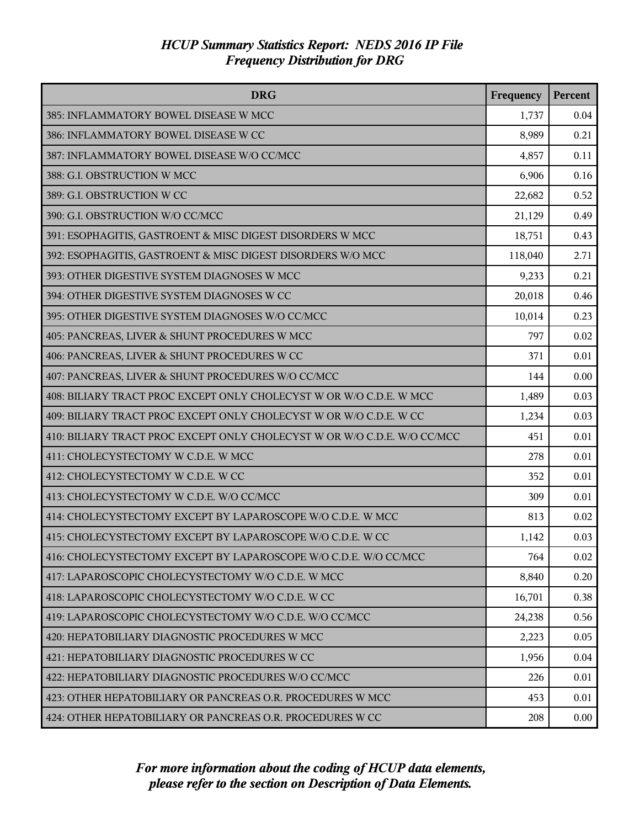| <b>DRG</b>                                                               | Frequency | Percent |
|--------------------------------------------------------------------------|-----------|---------|
| 385: INFLAMMATORY BOWEL DISEASE W MCC                                    | 1,737     | 0.04    |
| 386: INFLAMMATORY BOWEL DISEASE W CC                                     | 8,989     | 0.21    |
| 387: INFLAMMATORY BOWEL DISEASE W/O CC/MCC                               | 4,857     | 0.11    |
| 388: G.I. OBSTRUCTION W MCC                                              | 6,906     | 0.16    |
| 389: G.I. OBSTRUCTION W CC                                               | 22,682    | 0.52    |
| 390: G.I. OBSTRUCTION W/O CC/MCC                                         | 21,129    | 0.49    |
| 391: ESOPHAGITIS, GASTROENT & MISC DIGEST DISORDERS W MCC                | 18,751    | 0.43    |
| 392: ESOPHAGITIS, GASTROENT & MISC DIGEST DISORDERS W/O MCC              | 118,040   | 2.71    |
| 393: OTHER DIGESTIVE SYSTEM DIAGNOSES W MCC                              | 9,233     | 0.21    |
| 394: OTHER DIGESTIVE SYSTEM DIAGNOSES W CC                               | 20,018    | 0.46    |
| 395: OTHER DIGESTIVE SYSTEM DIAGNOSES W/O CC/MCC                         | 10,014    | 0.23    |
| 405: PANCREAS, LIVER & SHUNT PROCEDURES W MCC                            | 797       | 0.02    |
| 406: PANCREAS, LIVER & SHUNT PROCEDURES W CC                             | 371       | 0.01    |
| 407: PANCREAS, LIVER & SHUNT PROCEDURES W/O CC/MCC                       | 144       | 0.00    |
| 408: BILIARY TRACT PROC EXCEPT ONLY CHOLECYST W OR W/O C.D.E. W MCC      | 1,489     | 0.03    |
| 409: BILIARY TRACT PROC EXCEPT ONLY CHOLECYST W OR W/O C.D.E. W CC       | 1,234     | 0.03    |
| 410: BILIARY TRACT PROC EXCEPT ONLY CHOLECYST W OR W/O C.D.E. W/O CC/MCC | 451       | 0.01    |
| 411: CHOLECYSTECTOMY W C.D.E. W MCC                                      | 278       | 0.01    |
| 412: CHOLECYSTECTOMY W C.D.E. W CC                                       | 352       | 0.01    |
| 413: CHOLECYSTECTOMY W C.D.E. W/O CC/MCC                                 | 309       | 0.01    |
| 414: CHOLECYSTECTOMY EXCEPT BY LAPAROSCOPE W/O C.D.E. W MCC              | 813       | 0.02    |
| 415: CHOLECYSTECTOMY EXCEPT BY LAPAROSCOPE W/O C.D.E. W CC               | 1,142     | 0.03    |
| 416: CHOLECYSTECTOMY EXCEPT BY LAPAROSCOPE W/O C.D.E. W/O CC/MCC         | 764       | 0.02    |
| 417: LAPAROSCOPIC CHOLECYSTECTOMY W/O C.D.E. W MCC                       | 8,840     | 0.20    |
| 418: LAPAROSCOPIC CHOLECYSTECTOMY W/O C.D.E. W CC                        | 16,701    | 0.38    |
| 419: LAPAROSCOPIC CHOLECYSTECTOMY W/O C.D.E. W/O CC/MCC                  | 24,238    | 0.56    |
| 420: HEPATOBILIARY DIAGNOSTIC PROCEDURES W MCC                           | 2,223     | 0.05    |
| 421: HEPATOBILIARY DIAGNOSTIC PROCEDURES W CC                            | 1,956     | 0.04    |
| 422: HEPATOBILIARY DIAGNOSTIC PROCEDURES W/O CC/MCC                      | 226       | 0.01    |
| 423: OTHER HEPATOBILIARY OR PANCREAS O.R. PROCEDURES W MCC               | 453       | 0.01    |
| 424: OTHER HEPATOBILIARY OR PANCREAS O.R. PROCEDURES W CC                | 208       | 0.00    |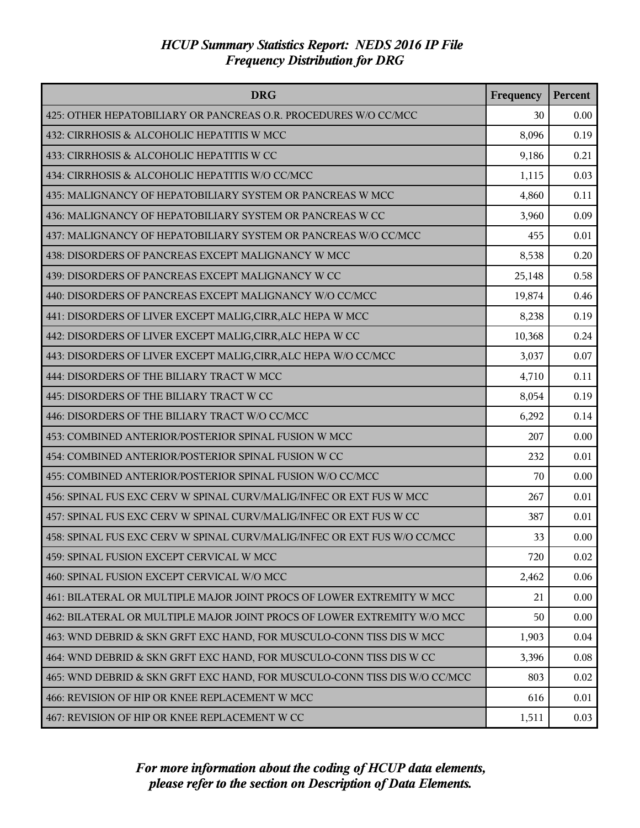| <b>DRG</b>                                                                | Frequency | Percent |
|---------------------------------------------------------------------------|-----------|---------|
| 425: OTHER HEPATOBILIARY OR PANCREAS O.R. PROCEDURES W/O CC/MCC           | 30        | 0.00    |
| 432: CIRRHOSIS & ALCOHOLIC HEPATITIS W MCC                                | 8,096     | 0.19    |
| 433: CIRRHOSIS & ALCOHOLIC HEPATITIS W CC                                 | 9,186     | 0.21    |
| 434: CIRRHOSIS & ALCOHOLIC HEPATITIS W/O CC/MCC                           | 1,115     | 0.03    |
| 435: MALIGNANCY OF HEPATOBILIARY SYSTEM OR PANCREAS W MCC                 | 4,860     | 0.11    |
| 436: MALIGNANCY OF HEPATOBILIARY SYSTEM OR PANCREAS W CC                  | 3,960     | 0.09    |
| 437: MALIGNANCY OF HEPATOBILIARY SYSTEM OR PANCREAS W/O CC/MCC            | 455       | 0.01    |
| 438: DISORDERS OF PANCREAS EXCEPT MALIGNANCY W MCC                        | 8,538     | 0.20    |
| 439: DISORDERS OF PANCREAS EXCEPT MALIGNANCY W CC                         | 25,148    | 0.58    |
| 440: DISORDERS OF PANCREAS EXCEPT MALIGNANCY W/O CC/MCC                   | 19,874    | 0.46    |
| 441: DISORDERS OF LIVER EXCEPT MALIG, CIRR, ALC HEPA W MCC                | 8,238     | 0.19    |
| 442: DISORDERS OF LIVER EXCEPT MALIG, CIRR, ALC HEPA W CC                 | 10,368    | 0.24    |
| 443: DISORDERS OF LIVER EXCEPT MALIG, CIRR, ALC HEPA W/O CC/MCC           | 3,037     | 0.07    |
| 444: DISORDERS OF THE BILIARY TRACT W MCC                                 | 4,710     | 0.11    |
| 445: DISORDERS OF THE BILIARY TRACT W CC                                  | 8,054     | 0.19    |
| 446: DISORDERS OF THE BILIARY TRACT W/O CC/MCC                            | 6,292     | 0.14    |
| 453: COMBINED ANTERIOR/POSTERIOR SPINAL FUSION W MCC                      | 207       | 0.00    |
| 454: COMBINED ANTERIOR/POSTERIOR SPINAL FUSION W CC                       | 232       | 0.01    |
| 455: COMBINED ANTERIOR/POSTERIOR SPINAL FUSION W/O CC/MCC                 | 70        | 0.00    |
| 456: SPINAL FUS EXC CERV W SPINAL CURV/MALIG/INFEC OR EXT FUS W MCC       | 267       | 0.01    |
| 457: SPINAL FUS EXC CERV W SPINAL CURV/MALIG/INFEC OR EXT FUS W CC        | 387       | 0.01    |
| 458: SPINAL FUS EXC CERV W SPINAL CURV/MALIG/INFEC OR EXT FUS W/O CC/MCC  | 33        | 0.00    |
| 459: SPINAL FUSION EXCEPT CERVICAL W MCC                                  | 720       | 0.02    |
| 460: SPINAL FUSION EXCEPT CERVICAL W/O MCC                                | 2,462     | 0.06    |
| 461: BILATERAL OR MULTIPLE MAJOR JOINT PROCS OF LOWER EXTREMITY W MCC     | 21        | 0.00    |
| 462: BILATERAL OR MULTIPLE MAJOR JOINT PROCS OF LOWER EXTREMITY W/O MCC   | 50        | 0.00    |
| 463: WND DEBRID & SKN GRFT EXC HAND, FOR MUSCULO-CONN TISS DIS W MCC      | 1,903     | 0.04    |
| 464: WND DEBRID & SKN GRFT EXC HAND, FOR MUSCULO-CONN TISS DIS W CC       | 3,396     | 0.08    |
| 465: WND DEBRID & SKN GRFT EXC HAND, FOR MUSCULO-CONN TISS DIS W/O CC/MCC | 803       | 0.02    |
| 466: REVISION OF HIP OR KNEE REPLACEMENT W MCC                            | 616       | 0.01    |
| 467: REVISION OF HIP OR KNEE REPLACEMENT W CC                             | 1,511     | 0.03    |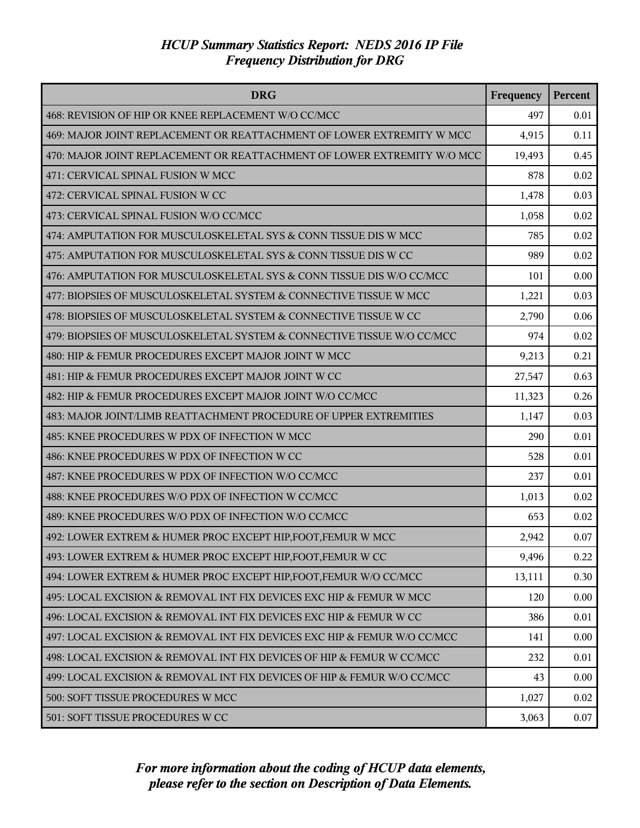| <b>DRG</b>                                                               | Frequency | <b>Percent</b> |
|--------------------------------------------------------------------------|-----------|----------------|
| 468: REVISION OF HIP OR KNEE REPLACEMENT W/O CC/MCC                      | 497       | 0.01           |
| 469: MAJOR JOINT REPLACEMENT OR REATTACHMENT OF LOWER EXTREMITY W MCC    | 4,915     | 0.11           |
| 470: MAJOR JOINT REPLACEMENT OR REATTACHMENT OF LOWER EXTREMITY W/O MCC  | 19,493    | 0.45           |
| 471: CERVICAL SPINAL FUSION W MCC                                        | 878       | 0.02           |
| 472: CERVICAL SPINAL FUSION W CC                                         | 1,478     | 0.03           |
| 473: CERVICAL SPINAL FUSION W/O CC/MCC                                   | 1,058     | 0.02           |
| 474: AMPUTATION FOR MUSCULOSKELETAL SYS & CONN TISSUE DIS W MCC          | 785       | 0.02           |
| 475: AMPUTATION FOR MUSCULOSKELETAL SYS & CONN TISSUE DIS W CC           | 989       | 0.02           |
| 476: AMPUTATION FOR MUSCULOSKELETAL SYS & CONN TISSUE DIS W/O CC/MCC     | 101       | 0.00           |
| 477: BIOPSIES OF MUSCULOSKELETAL SYSTEM & CONNECTIVE TISSUE W MCC        | 1,221     | 0.03           |
| 478: BIOPSIES OF MUSCULOSKELETAL SYSTEM & CONNECTIVE TISSUE W CC         | 2,790     | 0.06           |
| 479: BIOPSIES OF MUSCULOSKELETAL SYSTEM & CONNECTIVE TISSUE W/O CC/MCC   | 974       | 0.02           |
| 480: HIP & FEMUR PROCEDURES EXCEPT MAJOR JOINT W MCC                     | 9,213     | 0.21           |
| 481: HIP & FEMUR PROCEDURES EXCEPT MAJOR JOINT W CC                      | 27,547    | 0.63           |
| 482: HIP & FEMUR PROCEDURES EXCEPT MAJOR JOINT W/O CC/MCC                | 11,323    | 0.26           |
| 483: MAJOR JOINT/LIMB REATTACHMENT PROCEDURE OF UPPER EXTREMITIES        | 1,147     | 0.03           |
| 485: KNEE PROCEDURES W PDX OF INFECTION W MCC                            | 290       | 0.01           |
| 486: KNEE PROCEDURES W PDX OF INFECTION W CC                             | 528       | 0.01           |
| 487: KNEE PROCEDURES W PDX OF INFECTION W/O CC/MCC                       | 237       | 0.01           |
| 488: KNEE PROCEDURES W/O PDX OF INFECTION W CC/MCC                       | 1,013     | 0.02           |
| 489: KNEE PROCEDURES W/O PDX OF INFECTION W/O CC/MCC                     | 653       | 0.02           |
| 492: LOWER EXTREM & HUMER PROC EXCEPT HIP, FOOT, FEMUR W MCC             | 2,942     | 0.07           |
| 493: LOWER EXTREM & HUMER PROC EXCEPT HIP, FOOT, FEMUR W CC              | 9,496     | 0.22           |
| 494: LOWER EXTREM & HUMER PROC EXCEPT HIP, FOOT, FEMUR W/O CC/MCC        | 13,111    | 0.30           |
| 495: LOCAL EXCISION & REMOVAL INT FIX DEVICES EXC HIP & FEMUR W MCC      | 120       | 0.00           |
| 496: LOCAL EXCISION & REMOVAL INT FIX DEVICES EXC HIP & FEMUR W CC       | 386       | 0.01           |
| 497: LOCAL EXCISION & REMOVAL INT FIX DEVICES EXC HIP & FEMUR W/O CC/MCC | 141       | 0.00           |
| 498: LOCAL EXCISION & REMOVAL INT FIX DEVICES OF HIP & FEMUR W CC/MCC    | 232       | 0.01           |
| 499: LOCAL EXCISION & REMOVAL INT FIX DEVICES OF HIP & FEMUR W/O CC/MCC  | 43        | 0.00           |
| 500: SOFT TISSUE PROCEDURES W MCC                                        | 1,027     | 0.02           |
| 501: SOFT TISSUE PROCEDURES W CC                                         | 3,063     | 0.07           |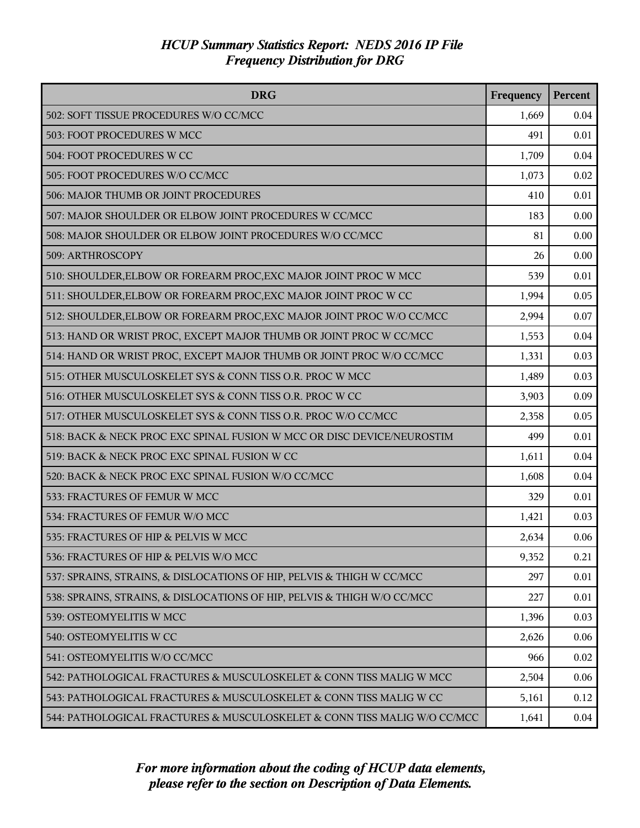| <b>DRG</b>                                                               | Frequency | Percent |
|--------------------------------------------------------------------------|-----------|---------|
| 502: SOFT TISSUE PROCEDURES W/O CC/MCC                                   | 1,669     | 0.04    |
| 503: FOOT PROCEDURES W MCC                                               | 491       | 0.01    |
| 504: FOOT PROCEDURES W CC                                                | 1,709     | 0.04    |
| 505: FOOT PROCEDURES W/O CC/MCC                                          | 1,073     | 0.02    |
| 506: MAJOR THUMB OR JOINT PROCEDURES                                     | 410       | 0.01    |
| 507: MAJOR SHOULDER OR ELBOW JOINT PROCEDURES W CC/MCC                   | 183       | 0.00    |
| 508: MAJOR SHOULDER OR ELBOW JOINT PROCEDURES W/O CC/MCC                 | 81        | 0.00    |
| 509: ARTHROSCOPY                                                         | 26        | 0.00    |
| 510: SHOULDER, ELBOW OR FOREARM PROC, EXC MAJOR JOINT PROC W MCC         | 539       | 0.01    |
| 511: SHOULDER, ELBOW OR FOREARM PROC, EXC MAJOR JOINT PROC W CC          | 1,994     | 0.05    |
| 512: SHOULDER, ELBOW OR FOREARM PROC, EXC MAJOR JOINT PROC W/O CC/MCC    | 2,994     | 0.07    |
| 513: HAND OR WRIST PROC, EXCEPT MAJOR THUMB OR JOINT PROC W CC/MCC       | 1,553     | 0.04    |
| 514: HAND OR WRIST PROC, EXCEPT MAJOR THUMB OR JOINT PROC W/O CC/MCC     | 1,331     | 0.03    |
| 515: OTHER MUSCULOSKELET SYS & CONN TISS O.R. PROC W MCC                 | 1,489     | 0.03    |
| 516: OTHER MUSCULOSKELET SYS & CONN TISS O.R. PROC W CC                  | 3,903     | 0.09    |
| 517: OTHER MUSCULOSKELET SYS & CONN TISS O.R. PROC W/O CC/MCC            | 2,358     | 0.05    |
| 518: BACK & NECK PROC EXC SPINAL FUSION W MCC OR DISC DEVICE/NEUROSTIM   | 499       | 0.01    |
| 519: BACK & NECK PROC EXC SPINAL FUSION W CC                             | 1,611     | 0.04    |
| 520: BACK & NECK PROC EXC SPINAL FUSION W/O CC/MCC                       | 1,608     | 0.04    |
| 533: FRACTURES OF FEMUR W MCC                                            | 329       | 0.01    |
| 534: FRACTURES OF FEMUR W/O MCC                                          | 1,421     | 0.03    |
| 535: FRACTURES OF HIP & PELVIS W MCC                                     | 2,634     | 0.06    |
| 536: FRACTURES OF HIP & PELVIS W/O MCC                                   | 9,352     | 0.21    |
| 537: SPRAINS, STRAINS, & DISLOCATIONS OF HIP, PELVIS & THIGH W CC/MCC    | 297       | 0.01    |
| 538: SPRAINS, STRAINS, & DISLOCATIONS OF HIP, PELVIS & THIGH W/O CC/MCC  | 227       | 0.01    |
| 539: OSTEOMYELITIS W MCC                                                 | 1,396     | 0.03    |
| 540: OSTEOMYELITIS W CC                                                  | 2,626     | 0.06    |
| 541: OSTEOMYELITIS W/O CC/MCC                                            | 966       | 0.02    |
| 542: PATHOLOGICAL FRACTURES & MUSCULOSKELET & CONN TISS MALIG W MCC      | 2,504     | 0.06    |
| 543: PATHOLOGICAL FRACTURES & MUSCULOSKELET & CONN TISS MALIG W CC       | 5,161     | 0.12    |
| 544: PATHOLOGICAL FRACTURES & MUSCULOSKELET & CONN TISS MALIG W/O CC/MCC | 1,641     | 0.04    |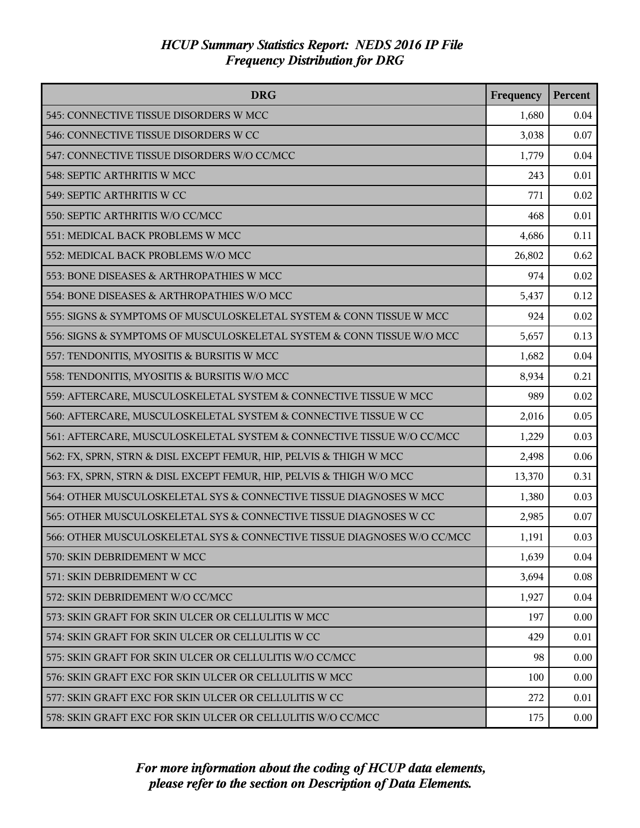| <b>DRG</b>                                                              | Frequency | Percent  |
|-------------------------------------------------------------------------|-----------|----------|
| 545: CONNECTIVE TISSUE DISORDERS W MCC                                  | 1,680     | 0.04     |
| 546: CONNECTIVE TISSUE DISORDERS W CC                                   | 3,038     | 0.07     |
| 547: CONNECTIVE TISSUE DISORDERS W/O CC/MCC                             | 1,779     | 0.04     |
| 548: SEPTIC ARTHRITIS W MCC                                             | 243       | 0.01     |
| 549: SEPTIC ARTHRITIS W CC                                              | 771       | 0.02     |
| 550: SEPTIC ARTHRITIS W/O CC/MCC                                        | 468       | 0.01     |
| 551: MEDICAL BACK PROBLEMS W MCC                                        | 4,686     | 0.11     |
| 552: MEDICAL BACK PROBLEMS W/O MCC                                      | 26,802    | 0.62     |
| 553: BONE DISEASES & ARTHROPATHIES W MCC                                | 974       | 0.02     |
| 554: BONE DISEASES & ARTHROPATHIES W/O MCC                              | 5,437     | 0.12     |
| 555: SIGNS & SYMPTOMS OF MUSCULOSKELETAL SYSTEM & CONN TISSUE W MCC     | 924       | 0.02     |
| 556: SIGNS & SYMPTOMS OF MUSCULOSKELETAL SYSTEM & CONN TISSUE W/O MCC   | 5,657     | 0.13     |
| 557: TENDONITIS, MYOSITIS & BURSITIS W MCC                              | 1,682     | 0.04     |
| 558: TENDONITIS, MYOSITIS & BURSITIS W/O MCC                            | 8,934     | 0.21     |
| 559: AFTERCARE, MUSCULOSKELETAL SYSTEM & CONNECTIVE TISSUE W MCC        | 989       | 0.02     |
| 560: AFTERCARE, MUSCULOSKELETAL SYSTEM & CONNECTIVE TISSUE W CC         | 2,016     | 0.05     |
| 561: AFTERCARE, MUSCULOSKELETAL SYSTEM & CONNECTIVE TISSUE W/O CC/MCC   | 1,229     | 0.03     |
| 562: FX, SPRN, STRN & DISL EXCEPT FEMUR, HIP, PELVIS & THIGH W MCC      | 2,498     | 0.06     |
| 563: FX, SPRN, STRN & DISL EXCEPT FEMUR, HIP, PELVIS & THIGH W/O MCC    | 13,370    | 0.31     |
| 564: OTHER MUSCULOSKELETAL SYS & CONNECTIVE TISSUE DIAGNOSES W MCC      | 1,380     | 0.03     |
| 565: OTHER MUSCULOSKELETAL SYS & CONNECTIVE TISSUE DIAGNOSES W CC       | 2,985     | 0.07     |
| 566: OTHER MUSCULOSKELETAL SYS & CONNECTIVE TISSUE DIAGNOSES W/O CC/MCC | 1,191     | 0.03     |
| 570: SKIN DEBRIDEMENT W MCC                                             | 1,639     | 0.04     |
| 571: SKIN DEBRIDEMENT W CC                                              | 3,694     | $0.08\,$ |
| 572: SKIN DEBRIDEMENT W/O CC/MCC                                        | 1,927     | 0.04     |
| 573: SKIN GRAFT FOR SKIN ULCER OR CELLULITIS W MCC                      | 197       | 0.00     |
| 574: SKIN GRAFT FOR SKIN ULCER OR CELLULITIS W CC                       | 429       | 0.01     |
| 575: SKIN GRAFT FOR SKIN ULCER OR CELLULITIS W/O CC/MCC                 | 98        | 0.00     |
| 576: SKIN GRAFT EXC FOR SKIN ULCER OR CELLULITIS W MCC                  | 100       | 0.00     |
| 577: SKIN GRAFT EXC FOR SKIN ULCER OR CELLULITIS W CC                   | 272       | 0.01     |
| 578: SKIN GRAFT EXC FOR SKIN ULCER OR CELLULITIS W/O CC/MCC             | 175       | 0.00     |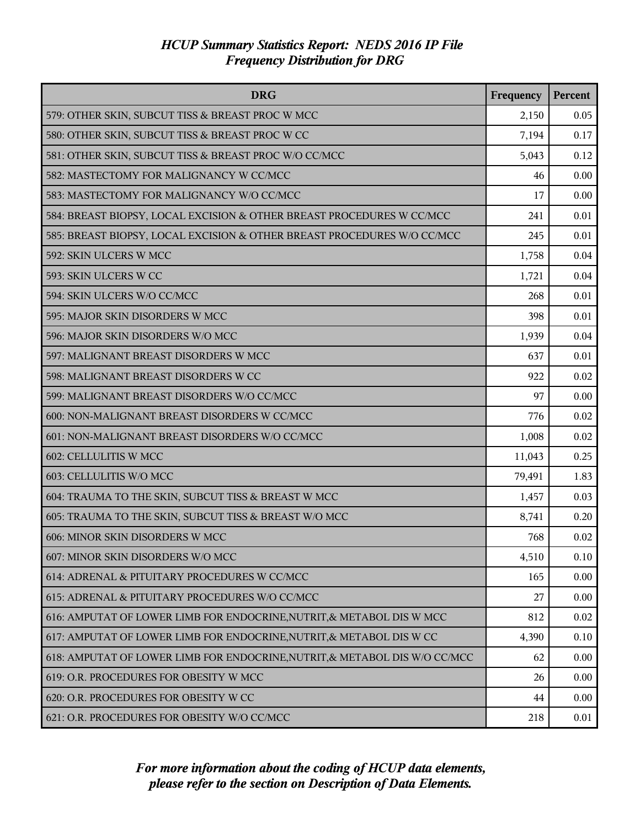| <b>DRG</b>                                                                 | Frequency | Percent |
|----------------------------------------------------------------------------|-----------|---------|
| 579: OTHER SKIN, SUBCUT TISS & BREAST PROC W MCC                           | 2,150     | 0.05    |
| 580: OTHER SKIN, SUBCUT TISS & BREAST PROC W CC                            | 7,194     | 0.17    |
| 581: OTHER SKIN, SUBCUT TISS & BREAST PROC W/O CC/MCC                      | 5,043     | 0.12    |
| 582: MASTECTOMY FOR MALIGNANCY W CC/MCC                                    | 46        | 0.00    |
| 583: MASTECTOMY FOR MALIGNANCY W/O CC/MCC                                  | 17        | 0.00    |
| 584: BREAST BIOPSY, LOCAL EXCISION & OTHER BREAST PROCEDURES W CC/MCC      | 241       | 0.01    |
| 585: BREAST BIOPSY, LOCAL EXCISION & OTHER BREAST PROCEDURES W/O CC/MCC    | 245       | 0.01    |
| 592: SKIN ULCERS W MCC                                                     | 1,758     | 0.04    |
| 593: SKIN ULCERS W CC                                                      | 1,721     | 0.04    |
| 594: SKIN ULCERS W/O CC/MCC                                                | 268       | 0.01    |
| 595: MAJOR SKIN DISORDERS W MCC                                            | 398       | 0.01    |
| 596: MAJOR SKIN DISORDERS W/O MCC                                          | 1,939     | 0.04    |
| 597: MALIGNANT BREAST DISORDERS W MCC                                      | 637       | 0.01    |
| 598: MALIGNANT BREAST DISORDERS W CC                                       | 922       | 0.02    |
| 599: MALIGNANT BREAST DISORDERS W/O CC/MCC                                 | 97        | 0.00    |
| 600: NON-MALIGNANT BREAST DISORDERS W CC/MCC                               | 776       | 0.02    |
| 601: NON-MALIGNANT BREAST DISORDERS W/O CC/MCC                             | 1,008     | 0.02    |
| 602: CELLULITIS W MCC                                                      | 11,043    | 0.25    |
| 603: CELLULITIS W/O MCC                                                    | 79,491    | 1.83    |
| 604: TRAUMA TO THE SKIN, SUBCUT TISS & BREAST W MCC                        | 1,457     | 0.03    |
| 605: TRAUMA TO THE SKIN, SUBCUT TISS & BREAST W/O MCC                      | 8,741     | 0.20    |
| 606: MINOR SKIN DISORDERS W MCC                                            | 768       | 0.02    |
| 607: MINOR SKIN DISORDERS W/O MCC                                          | 4,510     | 0.10    |
| 614: ADRENAL & PITUITARY PROCEDURES W CC/MCC                               | 165       | 0.00    |
| 615: ADRENAL & PITUITARY PROCEDURES W/O CC/MCC                             | 27        | 0.00    |
| 616: AMPUTAT OF LOWER LIMB FOR ENDOCRINE, NUTRIT, & METABOL DIS W MCC      | 812       | 0.02    |
| 617: AMPUTAT OF LOWER LIMB FOR ENDOCRINE, NUTRIT, & METABOL DIS W CC       | 4,390     | 0.10    |
| 618: AMPUTAT OF LOWER LIMB FOR ENDOCRINE, NUTRIT, & METABOL DIS W/O CC/MCC | 62        | 0.00    |
| 619: O.R. PROCEDURES FOR OBESITY W MCC                                     | 26        | 0.00    |
| 620: O.R. PROCEDURES FOR OBESITY W CC                                      | 44        | 0.00    |
| 621: O.R. PROCEDURES FOR OBESITY W/O CC/MCC                                | 218       | 0.01    |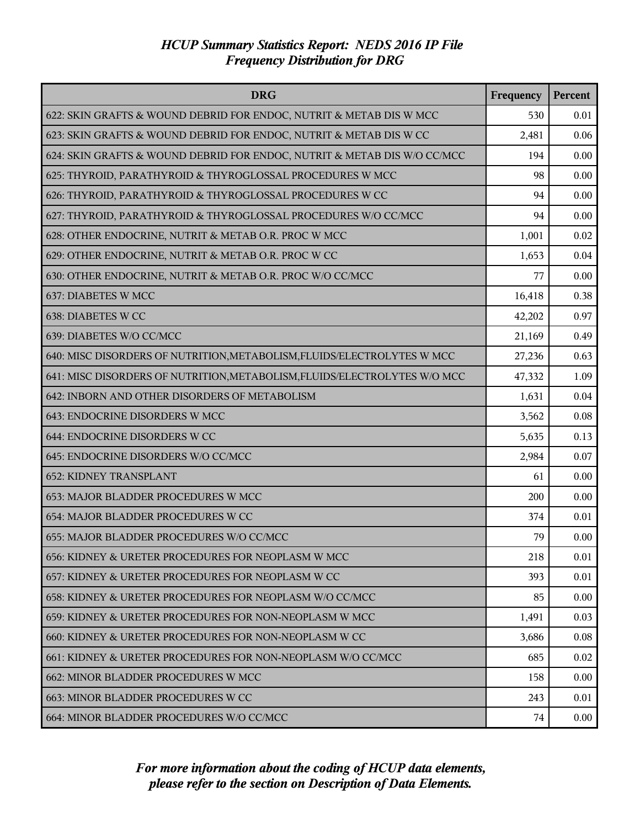| <b>DRG</b>                                                                | Frequency | Percent |
|---------------------------------------------------------------------------|-----------|---------|
| 622: SKIN GRAFTS & WOUND DEBRID FOR ENDOC, NUTRIT & METAB DIS W MCC       | 530       | 0.01    |
| 623: SKIN GRAFTS & WOUND DEBRID FOR ENDOC, NUTRIT & METAB DIS W CC        | 2,481     | 0.06    |
| 624: SKIN GRAFTS & WOUND DEBRID FOR ENDOC, NUTRIT & METAB DIS W/O CC/MCC  | 194       | 0.00    |
| 625: THYROID, PARATHYROID & THYROGLOSSAL PROCEDURES W MCC                 | 98        | 0.00    |
| 626: THYROID, PARATHYROID & THYROGLOSSAL PROCEDURES W CC                  | 94        | 0.00    |
| 627: THYROID, PARATHYROID & THYROGLOSSAL PROCEDURES W/O CC/MCC            | 94        | 0.00    |
| 628: OTHER ENDOCRINE, NUTRIT & METAB O.R. PROC W MCC                      | 1,001     | 0.02    |
| 629: OTHER ENDOCRINE, NUTRIT & METAB O.R. PROC W CC                       | 1,653     | 0.04    |
| 630: OTHER ENDOCRINE, NUTRIT & METAB O.R. PROC W/O CC/MCC                 | 77        | 0.00    |
| 637: DIABETES W MCC                                                       | 16,418    | 0.38    |
| 638: DIABETES W CC                                                        | 42,202    | 0.97    |
| 639: DIABETES W/O CC/MCC                                                  | 21,169    | 0.49    |
| 640: MISC DISORDERS OF NUTRITION, METABOLISM, FLUIDS/ELECTROLYTES W MCC   | 27,236    | 0.63    |
| 641: MISC DISORDERS OF NUTRITION, METABOLISM, FLUIDS/ELECTROLYTES W/O MCC | 47,332    | 1.09    |
| 642: INBORN AND OTHER DISORDERS OF METABOLISM                             | 1,631     | 0.04    |
| 643: ENDOCRINE DISORDERS W MCC                                            | 3,562     | 0.08    |
| 644: ENDOCRINE DISORDERS W CC                                             | 5,635     | 0.13    |
| 645: ENDOCRINE DISORDERS W/O CC/MCC                                       | 2,984     | 0.07    |
| <b>652: KIDNEY TRANSPLANT</b>                                             | 61        | 0.00    |
| 653: MAJOR BLADDER PROCEDURES W MCC                                       | 200       | 0.00    |
| 654: MAJOR BLADDER PROCEDURES W CC                                        | 374       | 0.01    |
| 655: MAJOR BLADDER PROCEDURES W/O CC/MCC                                  | 79        | 0.00    |
| 656: KIDNEY & URETER PROCEDURES FOR NEOPLASM W MCC                        | 218       | 0.01    |
| 657: KIDNEY & URETER PROCEDURES FOR NEOPLASM W CC                         | 393       | 0.01    |
| 658: KIDNEY & URETER PROCEDURES FOR NEOPLASM W/O CC/MCC                   | 85        | 0.00    |
| 659: KIDNEY & URETER PROCEDURES FOR NON-NEOPLASM W MCC                    | 1,491     | 0.03    |
| 660: KIDNEY & URETER PROCEDURES FOR NON-NEOPLASM W CC                     | 3,686     | 0.08    |
| 661: KIDNEY & URETER PROCEDURES FOR NON-NEOPLASM W/O CC/MCC               | 685       | 0.02    |
| 662: MINOR BLADDER PROCEDURES W MCC                                       | 158       | 0.00    |
| 663: MINOR BLADDER PROCEDURES W CC                                        | 243       | 0.01    |
| 664: MINOR BLADDER PROCEDURES W/O CC/MCC                                  | 74        | 0.00    |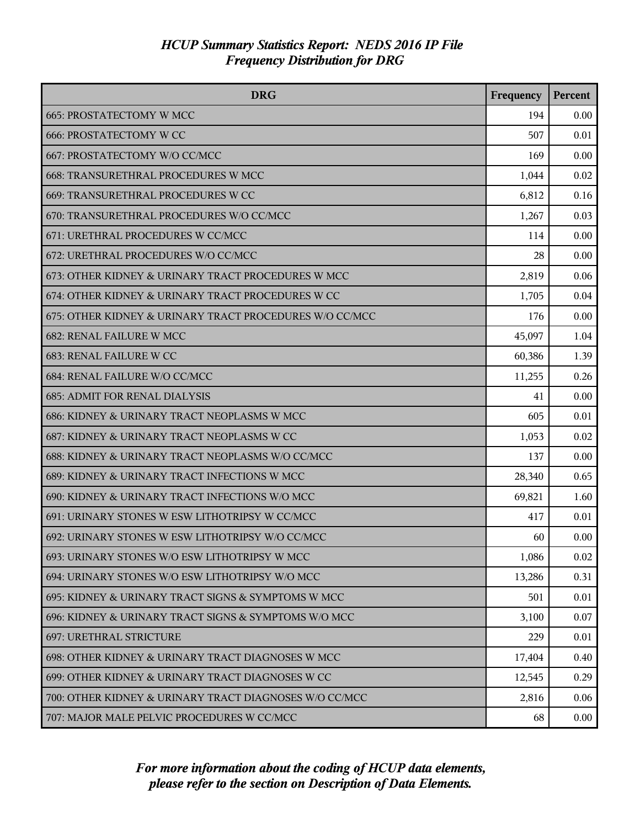| <b>DRG</b>                                              | Frequency | Percent |
|---------------------------------------------------------|-----------|---------|
| <b>665: PROSTATECTOMY W MCC</b>                         | 194       | 0.00    |
| <b>666: PROSTATECTOMY W CC</b>                          | 507       | 0.01    |
| 667: PROSTATECTOMY W/O CC/MCC                           | 169       | 0.00    |
| 668: TRANSURETHRAL PROCEDURES W MCC                     | 1,044     | 0.02    |
| 669: TRANSURETHRAL PROCEDURES W CC                      | 6,812     | 0.16    |
| 670: TRANSURETHRAL PROCEDURES W/O CC/MCC                | 1,267     | 0.03    |
| 671: URETHRAL PROCEDURES W CC/MCC                       | 114       | 0.00    |
| 672: URETHRAL PROCEDURES W/O CC/MCC                     | 28        | 0.00    |
| 673: OTHER KIDNEY & URINARY TRACT PROCEDURES W MCC      | 2,819     | 0.06    |
| 674: OTHER KIDNEY & URINARY TRACT PROCEDURES W CC       | 1,705     | 0.04    |
| 675: OTHER KIDNEY & URINARY TRACT PROCEDURES W/O CC/MCC | 176       | 0.00    |
| <b>682: RENAL FAILURE W MCC</b>                         | 45,097    | 1.04    |
| <b>683: RENAL FAILURE W CC</b>                          | 60,386    | 1.39    |
| 684: RENAL FAILURE W/O CC/MCC                           | 11,255    | 0.26    |
| <b>685: ADMIT FOR RENAL DIALYSIS</b>                    | 41        | 0.00    |
| 686: KIDNEY & URINARY TRACT NEOPLASMS W MCC             | 605       | 0.01    |
| 687: KIDNEY & URINARY TRACT NEOPLASMS W CC              | 1,053     | 0.02    |
| 688: KIDNEY & URINARY TRACT NEOPLASMS W/O CC/MCC        | 137       | 0.00    |
| 689: KIDNEY & URINARY TRACT INFECTIONS W MCC            | 28,340    | 0.65    |
| 690: KIDNEY & URINARY TRACT INFECTIONS W/O MCC          | 69,821    | 1.60    |
| 691: URINARY STONES W ESW LITHOTRIPSY W CC/MCC          | 417       | 0.01    |
| 692: URINARY STONES W ESW LITHOTRIPSY W/O CC/MCC        | 60        | 0.00    |
| 693: URINARY STONES W/O ESW LITHOTRIPSY W MCC           | 1,086     | 0.02    |
| 694: URINARY STONES W/O ESW LITHOTRIPSY W/O MCC         | 13,286    | 0.31    |
| 695: KIDNEY & URINARY TRACT SIGNS & SYMPTOMS W MCC      | 501       | 0.01    |
| 696: KIDNEY & URINARY TRACT SIGNS & SYMPTOMS W/O MCC    | 3,100     | 0.07    |
| 697: URETHRAL STRICTURE                                 | 229       | 0.01    |
| 698: OTHER KIDNEY & URINARY TRACT DIAGNOSES W MCC       | 17,404    | 0.40    |
| 699: OTHER KIDNEY & URINARY TRACT DIAGNOSES W CC        | 12,545    | 0.29    |
| 700: OTHER KIDNEY & URINARY TRACT DIAGNOSES W/O CC/MCC  | 2,816     | 0.06    |
| 707: MAJOR MALE PELVIC PROCEDURES W CC/MCC              | 68        | 0.00    |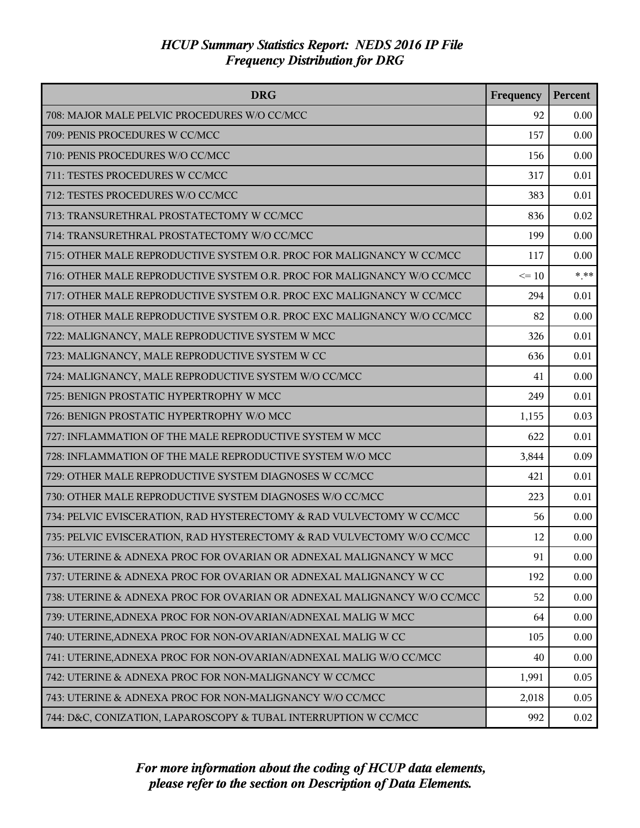| <b>DRG</b>                                                              | Frequency | Percent |
|-------------------------------------------------------------------------|-----------|---------|
| 708: MAJOR MALE PELVIC PROCEDURES W/O CC/MCC                            | 92        | 0.00    |
| 709: PENIS PROCEDURES W CC/MCC                                          | 157       | 0.00    |
| 710: PENIS PROCEDURES W/O CC/MCC                                        | 156       | 0.00    |
| 711: TESTES PROCEDURES W CC/MCC                                         | 317       | 0.01    |
| 712: TESTES PROCEDURES W/O CC/MCC                                       | 383       | 0.01    |
| 713: TRANSURETHRAL PROSTATECTOMY W CC/MCC                               | 836       | 0.02    |
| 714: TRANSURETHRAL PROSTATECTOMY W/O CC/MCC                             | 199       | 0.00    |
| 715: OTHER MALE REPRODUCTIVE SYSTEM O.R. PROC FOR MALIGNANCY W CC/MCC   | 117       | 0.00    |
| 716: OTHER MALE REPRODUCTIVE SYSTEM O.R. PROC FOR MALIGNANCY W/O CC/MCC | $\leq 10$ | $*$ **  |
| 717: OTHER MALE REPRODUCTIVE SYSTEM O.R. PROC EXC MALIGNANCY W CC/MCC   | 294       | 0.01    |
| 718: OTHER MALE REPRODUCTIVE SYSTEM O.R. PROC EXC MALIGNANCY W/O CC/MCC | 82        | 0.00    |
| 722: MALIGNANCY, MALE REPRODUCTIVE SYSTEM W MCC                         | 326       | 0.01    |
| 723: MALIGNANCY, MALE REPRODUCTIVE SYSTEM W CC                          | 636       | 0.01    |
| 724: MALIGNANCY, MALE REPRODUCTIVE SYSTEM W/O CC/MCC                    | 41        | 0.00    |
| 725: BENIGN PROSTATIC HYPERTROPHY W MCC                                 | 249       | 0.01    |
| 726: BENIGN PROSTATIC HYPERTROPHY W/O MCC                               | 1,155     | 0.03    |
| 727: INFLAMMATION OF THE MALE REPRODUCTIVE SYSTEM W MCC                 | 622       | 0.01    |
| 728: INFLAMMATION OF THE MALE REPRODUCTIVE SYSTEM W/O MCC               | 3,844     | 0.09    |
| 729: OTHER MALE REPRODUCTIVE SYSTEM DIAGNOSES W CC/MCC                  | 421       | 0.01    |
| 730: OTHER MALE REPRODUCTIVE SYSTEM DIAGNOSES W/O CC/MCC                | 223       | 0.01    |
| 734: PELVIC EVISCERATION, RAD HYSTERECTOMY & RAD VULVECTOMY W CC/MCC    | 56        | 0.00    |
| 735: PELVIC EVISCERATION, RAD HYSTERECTOMY & RAD VULVECTOMY W/O CC/MCC  | 12        | 0.00    |
| 736: UTERINE & ADNEXA PROC FOR OVARIAN OR ADNEXAL MALIGNANCY W MCC      | 91        | 0.00    |
| 737: UTERINE & ADNEXA PROC FOR OVARIAN OR ADNEXAL MALIGNANCY W CC       | 192       | 0.00    |
| 738: UTERINE & ADNEXA PROC FOR OVARIAN OR ADNEXAL MALIGNANCY W/O CC/MCC | 52        | 0.00    |
| 739: UTERINE, ADNEXA PROC FOR NON-OVARIAN/ADNEXAL MALIG W MCC           | 64        | 0.00    |
| 740: UTERINE, ADNEXA PROC FOR NON-OVARIAN/ADNEXAL MALIG W CC            | 105       | 0.00    |
| 741: UTERINE, ADNEXA PROC FOR NON-OVARIAN/ADNEXAL MALIG W/O CC/MCC      | 40        | 0.00    |
| 742: UTERINE & ADNEXA PROC FOR NON-MALIGNANCY W CC/MCC                  | 1,991     | 0.05    |
| 743: UTERINE & ADNEXA PROC FOR NON-MALIGNANCY W/O CC/MCC                | 2,018     | 0.05    |
| 744: D&C, CONIZATION, LAPAROSCOPY & TUBAL INTERRUPTION W CC/MCC         | 992       | 0.02    |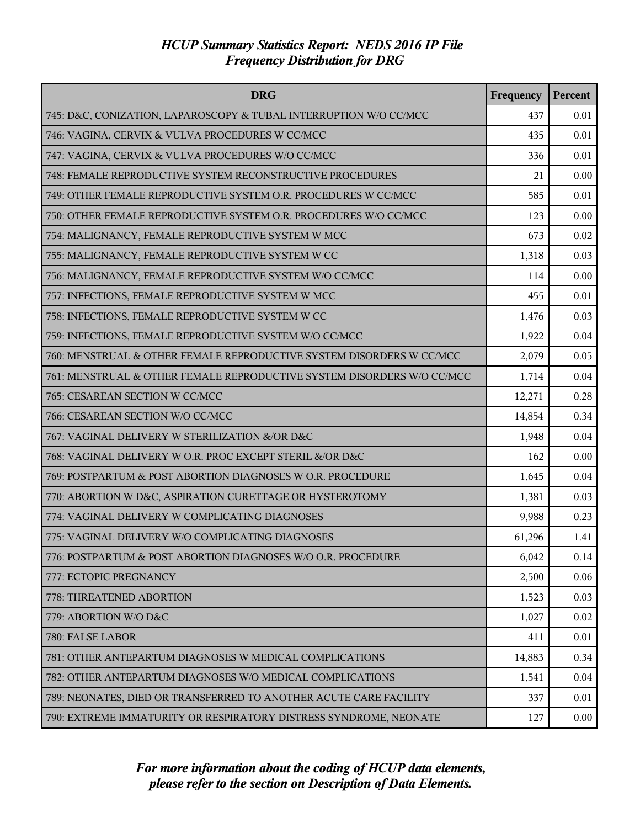| <b>DRG</b>                                                             | Frequency | Percent |
|------------------------------------------------------------------------|-----------|---------|
| 745: D&C, CONIZATION, LAPAROSCOPY & TUBAL INTERRUPTION W/O CC/MCC      | 437       | 0.01    |
| 746: VAGINA, CERVIX & VULVA PROCEDURES W CC/MCC                        | 435       | 0.01    |
| 747: VAGINA, CERVIX & VULVA PROCEDURES W/O CC/MCC                      | 336       | 0.01    |
| 748: FEMALE REPRODUCTIVE SYSTEM RECONSTRUCTIVE PROCEDURES              | 21        | 0.00    |
| 749: OTHER FEMALE REPRODUCTIVE SYSTEM O.R. PROCEDURES W CC/MCC         | 585       | 0.01    |
| 750: OTHER FEMALE REPRODUCTIVE SYSTEM O.R. PROCEDURES W/O CC/MCC       | 123       | 0.00    |
| 754: MALIGNANCY, FEMALE REPRODUCTIVE SYSTEM W MCC                      | 673       | 0.02    |
| 755: MALIGNANCY, FEMALE REPRODUCTIVE SYSTEM W CC                       | 1,318     | 0.03    |
| 756: MALIGNANCY, FEMALE REPRODUCTIVE SYSTEM W/O CC/MCC                 | 114       | 0.00    |
| 757: INFECTIONS, FEMALE REPRODUCTIVE SYSTEM W MCC                      | 455       | 0.01    |
| 758: INFECTIONS, FEMALE REPRODUCTIVE SYSTEM W CC                       | 1,476     | 0.03    |
| 759: INFECTIONS, FEMALE REPRODUCTIVE SYSTEM W/O CC/MCC                 | 1,922     | 0.04    |
| 760: MENSTRUAL & OTHER FEMALE REPRODUCTIVE SYSTEM DISORDERS W CC/MCC   | 2,079     | 0.05    |
| 761: MENSTRUAL & OTHER FEMALE REPRODUCTIVE SYSTEM DISORDERS W/O CC/MCC | 1,714     | 0.04    |
| 765: CESAREAN SECTION W CC/MCC                                         | 12,271    | 0.28    |
| 766: CESAREAN SECTION W/O CC/MCC                                       | 14,854    | 0.34    |
| 767: VAGINAL DELIVERY W STERILIZATION &/OR D&C                         | 1,948     | 0.04    |
| 768: VAGINAL DELIVERY W O.R. PROC EXCEPT STERIL &/OR D&C               | 162       | 0.00    |
| 769: POSTPARTUM & POST ABORTION DIAGNOSES W O.R. PROCEDURE             | 1,645     | 0.04    |
| 770: ABORTION W D&C, ASPIRATION CURETTAGE OR HYSTEROTOMY               | 1,381     | 0.03    |
| 774: VAGINAL DELIVERY W COMPLICATING DIAGNOSES                         | 9,988     | 0.23    |
| 775: VAGINAL DELIVERY W/O COMPLICATING DIAGNOSES                       | 61,296    | 1.41    |
| 776: POSTPARTUM & POST ABORTION DIAGNOSES W/O O.R. PROCEDURE           | 6,042     | 0.14    |
| 777: ECTOPIC PREGNANCY                                                 | 2,500     | 0.06    |
| 778: THREATENED ABORTION                                               | 1,523     | 0.03    |
| 779: ABORTION W/O D&C                                                  | 1,027     | 0.02    |
| 780: FALSE LABOR                                                       | 411       | 0.01    |
| 781: OTHER ANTEPARTUM DIAGNOSES W MEDICAL COMPLICATIONS                | 14,883    | 0.34    |
| 782: OTHER ANTEPARTUM DIAGNOSES W/O MEDICAL COMPLICATIONS              | 1,541     | 0.04    |
| 789: NEONATES, DIED OR TRANSFERRED TO ANOTHER ACUTE CARE FACILITY      | 337       | 0.01    |
| 790: EXTREME IMMATURITY OR RESPIRATORY DISTRESS SYNDROME, NEONATE      | 127       | 0.00    |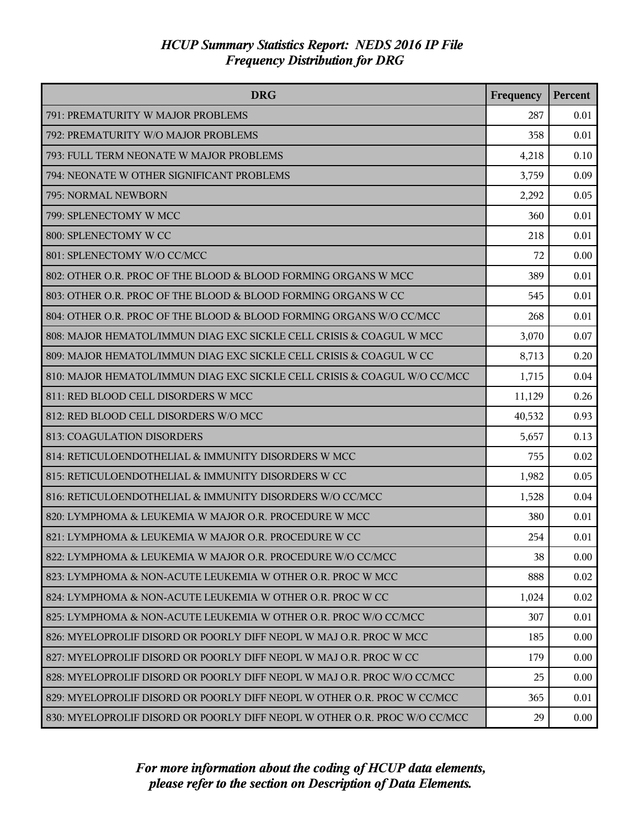| <b>DRG</b>                                                                | Frequency | Percent |
|---------------------------------------------------------------------------|-----------|---------|
| 791: PREMATURITY W MAJOR PROBLEMS                                         | 287       | 0.01    |
| 792: PREMATURITY W/O MAJOR PROBLEMS                                       | 358       | 0.01    |
| 793: FULL TERM NEONATE W MAJOR PROBLEMS                                   | 4,218     | 0.10    |
| 794: NEONATE W OTHER SIGNIFICANT PROBLEMS                                 | 3,759     | 0.09    |
| 795: NORMAL NEWBORN                                                       | 2,292     | 0.05    |
| 799: SPLENECTOMY W MCC                                                    | 360       | 0.01    |
| 800: SPLENECTOMY W CC                                                     | 218       | 0.01    |
| 801: SPLENECTOMY W/O CC/MCC                                               | 72        | 0.00    |
| 802: OTHER O.R. PROC OF THE BLOOD & BLOOD FORMING ORGANS W MCC            | 389       | 0.01    |
| 803: OTHER O.R. PROC OF THE BLOOD & BLOOD FORMING ORGANS W CC             | 545       | 0.01    |
| 804: OTHER O.R. PROC OF THE BLOOD & BLOOD FORMING ORGANS W/O CC/MCC       | 268       | 0.01    |
| 808: MAJOR HEMATOL/IMMUN DIAG EXC SICKLE CELL CRISIS & COAGUL W MCC       | 3,070     | 0.07    |
| 809: MAJOR HEMATOL/IMMUN DIAG EXC SICKLE CELL CRISIS & COAGUL W CC        | 8,713     | 0.20    |
| 810: MAJOR HEMATOL/IMMUN DIAG EXC SICKLE CELL CRISIS & COAGUL W/O CC/MCC  | 1,715     | 0.04    |
| 811: RED BLOOD CELL DISORDERS W MCC                                       | 11,129    | 0.26    |
| 812: RED BLOOD CELL DISORDERS W/O MCC                                     | 40,532    | 0.93    |
| 813: COAGULATION DISORDERS                                                | 5,657     | 0.13    |
| 814: RETICULOENDOTHELIAL & IMMUNITY DISORDERS W MCC                       | 755       | 0.02    |
| 815: RETICULOENDOTHELIAL & IMMUNITY DISORDERS W CC                        | 1,982     | 0.05    |
| 816: RETICULOENDOTHELIAL & IMMUNITY DISORDERS W/O CC/MCC                  | 1,528     | 0.04    |
| 820: LYMPHOMA & LEUKEMIA W MAJOR O.R. PROCEDURE W MCC                     | 380       | 0.01    |
| 821: LYMPHOMA & LEUKEMIA W MAJOR O.R. PROCEDURE W CC                      | 254       | 0.01    |
| 822: LYMPHOMA & LEUKEMIA W MAJOR O.R. PROCEDURE W/O CC/MCC                | 38        | 0.00    |
| 823: LYMPHOMA & NON-ACUTE LEUKEMIA W OTHER O.R. PROC W MCC                | 888       | 0.02    |
| 824: LYMPHOMA & NON-ACUTE LEUKEMIA W OTHER O.R. PROC W CC                 | 1,024     | 0.02    |
| 825: LYMPHOMA & NON-ACUTE LEUKEMIA W OTHER O.R. PROC W/O CC/MCC           | 307       | 0.01    |
| 826: MYELOPROLIF DISORD OR POORLY DIFF NEOPL W MAJ O.R. PROC W MCC        | 185       | 0.00    |
| 827: MYELOPROLIF DISORD OR POORLY DIFF NEOPL W MAJ O.R. PROC W CC         | 179       | 0.00    |
| 828: MYELOPROLIF DISORD OR POORLY DIFF NEOPL W MAJ O.R. PROC W/O CC/MCC   | 25        | 0.00    |
| 829: MYELOPROLIF DISORD OR POORLY DIFF NEOPL W OTHER O.R. PROC W CC/MCC   | 365       | 0.01    |
| 830: MYELOPROLIF DISORD OR POORLY DIFF NEOPL W OTHER O.R. PROC W/O CC/MCC | 29        | 0.00    |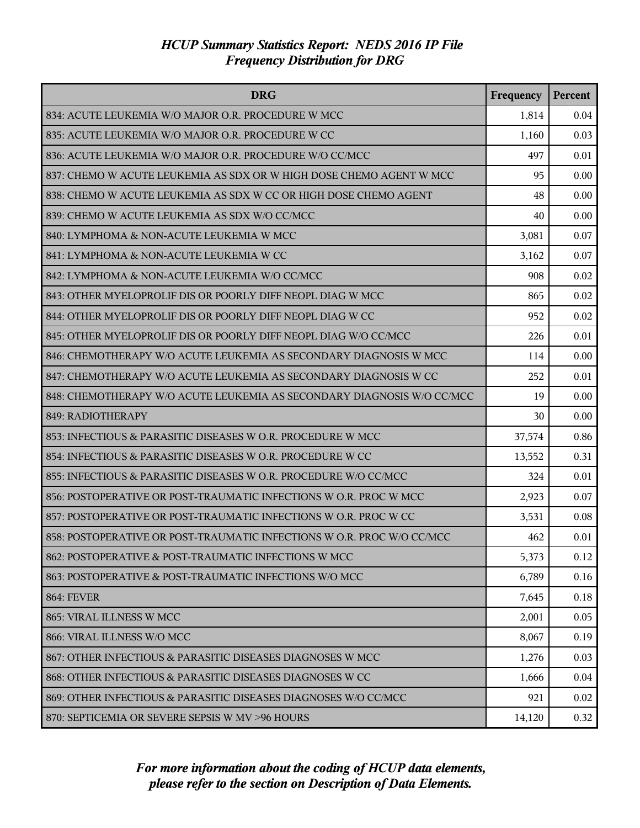| <b>DRG</b>                                                             | Frequency | Percent |
|------------------------------------------------------------------------|-----------|---------|
| 834: ACUTE LEUKEMIA W/O MAJOR O.R. PROCEDURE W MCC                     | 1,814     | 0.04    |
| 835: ACUTE LEUKEMIA W/O MAJOR O.R. PROCEDURE W CC                      | 1,160     | 0.03    |
| 836: ACUTE LEUKEMIA W/O MAJOR O.R. PROCEDURE W/O CC/MCC                | 497       | 0.01    |
| 837: CHEMO W ACUTE LEUKEMIA AS SDX OR W HIGH DOSE CHEMO AGENT W MCC    | 95        | 0.00    |
| 838: CHEMO W ACUTE LEUKEMIA AS SDX W CC OR HIGH DOSE CHEMO AGENT       | 48        | 0.00    |
| 839: CHEMO W ACUTE LEUKEMIA AS SDX W/O CC/MCC                          | 40        | 0.00    |
| 840: LYMPHOMA & NON-ACUTE LEUKEMIA W MCC                               | 3,081     | 0.07    |
| 841: LYMPHOMA & NON-ACUTE LEUKEMIA W CC                                | 3,162     | 0.07    |
| 842: LYMPHOMA & NON-ACUTE LEUKEMIA W/O CC/MCC                          | 908       | 0.02    |
| 843: OTHER MYELOPROLIF DIS OR POORLY DIFF NEOPL DIAG W MCC             | 865       | 0.02    |
| 844: OTHER MYELOPROLIF DIS OR POORLY DIFF NEOPL DIAG W CC              | 952       | 0.02    |
| 845: OTHER MYELOPROLIF DIS OR POORLY DIFF NEOPL DIAG W/O CC/MCC        | 226       | 0.01    |
| 846: CHEMOTHERAPY W/O ACUTE LEUKEMIA AS SECONDARY DIAGNOSIS W MCC      | 114       | 0.00    |
| 847: CHEMOTHERAPY W/O ACUTE LEUKEMIA AS SECONDARY DIAGNOSIS W CC       | 252       | 0.01    |
| 848: CHEMOTHERAPY W/O ACUTE LEUKEMIA AS SECONDARY DIAGNOSIS W/O CC/MCC | 19        | 0.00    |
| 849: RADIOTHERAPY                                                      | 30        | 0.00    |
| 853: INFECTIOUS & PARASITIC DISEASES W O.R. PROCEDURE W MCC            | 37,574    | 0.86    |
| 854: INFECTIOUS & PARASITIC DISEASES W O.R. PROCEDURE W CC             | 13,552    | 0.31    |
| 855: INFECTIOUS & PARASITIC DISEASES W O.R. PROCEDURE W/O CC/MCC       | 324       | 0.01    |
| 856: POSTOPERATIVE OR POST-TRAUMATIC INFECTIONS W O.R. PROC W MCC      | 2,923     | 0.07    |
| 857: POSTOPERATIVE OR POST-TRAUMATIC INFECTIONS W O.R. PROC W CC       | 3,531     | 0.08    |
| 858: POSTOPERATIVE OR POST-TRAUMATIC INFECTIONS W O.R. PROC W/O CC/MCC | 462       | 0.01    |
| 862: POSTOPERATIVE & POST-TRAUMATIC INFECTIONS W MCC                   | 5,373     | 0.12    |
| 863: POSTOPERATIVE & POST-TRAUMATIC INFECTIONS W/O MCC                 | 6,789     | 0.16    |
| <b>864: FEVER</b>                                                      | 7,645     | 0.18    |
| 865: VIRAL ILLNESS W MCC                                               | 2,001     | 0.05    |
| 866: VIRAL ILLNESS W/O MCC                                             | 8,067     | 0.19    |
| 867: OTHER INFECTIOUS & PARASITIC DISEASES DIAGNOSES W MCC             | 1,276     | 0.03    |
| 868: OTHER INFECTIOUS & PARASITIC DISEASES DIAGNOSES W CC              | 1,666     | 0.04    |
| 869: OTHER INFECTIOUS & PARASITIC DISEASES DIAGNOSES W/O CC/MCC        | 921       | 0.02    |
| 870: SEPTICEMIA OR SEVERE SEPSIS W MV >96 HOURS                        | 14,120    | 0.32    |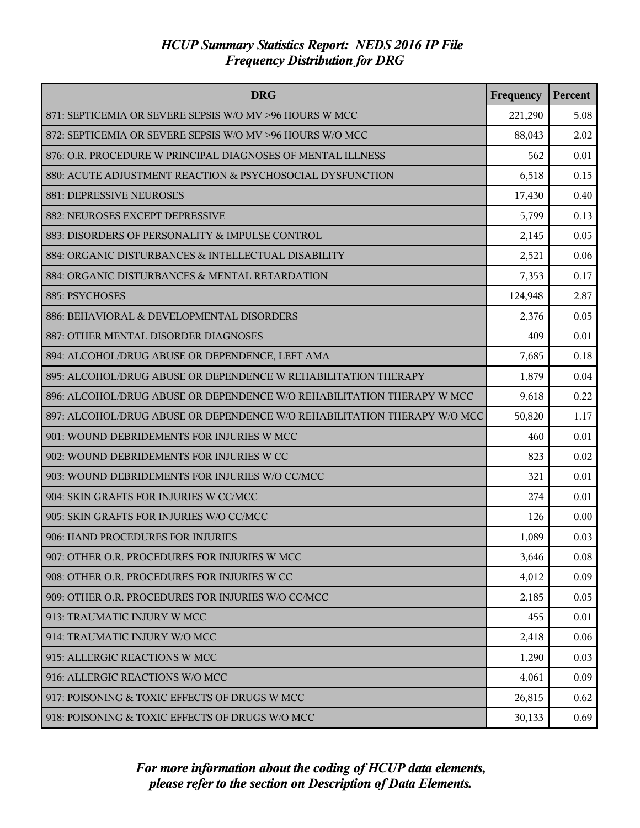| <b>DRG</b>                                                               | Frequency | Percent |
|--------------------------------------------------------------------------|-----------|---------|
| 871: SEPTICEMIA OR SEVERE SEPSIS W/O MV >96 HOURS W MCC                  | 221,290   | 5.08    |
| 872: SEPTICEMIA OR SEVERE SEPSIS W/O MV >96 HOURS W/O MCC                | 88,043    | 2.02    |
| 876: O.R. PROCEDURE W PRINCIPAL DIAGNOSES OF MENTAL ILLNESS              | 562       | 0.01    |
| 880: ACUTE ADJUSTMENT REACTION & PSYCHOSOCIAL DYSFUNCTION                | 6,518     | 0.15    |
| 881: DEPRESSIVE NEUROSES                                                 | 17,430    | 0.40    |
| 882: NEUROSES EXCEPT DEPRESSIVE                                          | 5,799     | 0.13    |
| 883: DISORDERS OF PERSONALITY & IMPULSE CONTROL                          | 2,145     | 0.05    |
| 884: ORGANIC DISTURBANCES & INTELLECTUAL DISABILITY                      | 2,521     | 0.06    |
| 884: ORGANIC DISTURBANCES & MENTAL RETARDATION                           | 7,353     | 0.17    |
| 885: PSYCHOSES                                                           | 124,948   | 2.87    |
| 886: BEHAVIORAL & DEVELOPMENTAL DISORDERS                                | 2,376     | 0.05    |
| 887: OTHER MENTAL DISORDER DIAGNOSES                                     | 409       | 0.01    |
| 894: ALCOHOL/DRUG ABUSE OR DEPENDENCE, LEFT AMA                          | 7,685     | 0.18    |
| 895: ALCOHOL/DRUG ABUSE OR DEPENDENCE W REHABILITATION THERAPY           | 1,879     | 0.04    |
| 896: ALCOHOL/DRUG ABUSE OR DEPENDENCE W/O REHABILITATION THERAPY W MCC   | 9,618     | 0.22    |
| 897: ALCOHOL/DRUG ABUSE OR DEPENDENCE W/O REHABILITATION THERAPY W/O MCC | 50,820    | 1.17    |
| 901: WOUND DEBRIDEMENTS FOR INJURIES W MCC                               | 460       | 0.01    |
| 902: WOUND DEBRIDEMENTS FOR INJURIES W CC                                | 823       | 0.02    |
| 903: WOUND DEBRIDEMENTS FOR INJURIES W/O CC/MCC                          | 321       | 0.01    |
| 904: SKIN GRAFTS FOR INJURIES W CC/MCC                                   | 274       | 0.01    |
| 905: SKIN GRAFTS FOR INJURIES W/O CC/MCC                                 | 126       | 0.00    |
| 906: HAND PROCEDURES FOR INJURIES                                        | 1,089     | 0.03    |
| 907: OTHER O.R. PROCEDURES FOR INJURIES W MCC                            | 3,646     | 0.08    |
| 908: OTHER O.R. PROCEDURES FOR INJURIES W CC                             | 4,012     | 0.09    |
| 909: OTHER O.R. PROCEDURES FOR INJURIES W/O CC/MCC                       | 2,185     | 0.05    |
| 913: TRAUMATIC INJURY W MCC                                              | 455       | 0.01    |
| 914: TRAUMATIC INJURY W/O MCC                                            | 2,418     | 0.06    |
| 915: ALLERGIC REACTIONS W MCC                                            | 1,290     | 0.03    |
| 916: ALLERGIC REACTIONS W/O MCC                                          | 4,061     | 0.09    |
| 917: POISONING & TOXIC EFFECTS OF DRUGS W MCC                            | 26,815    | 0.62    |
| 918: POISONING & TOXIC EFFECTS OF DRUGS W/O MCC                          | 30,133    | 0.69    |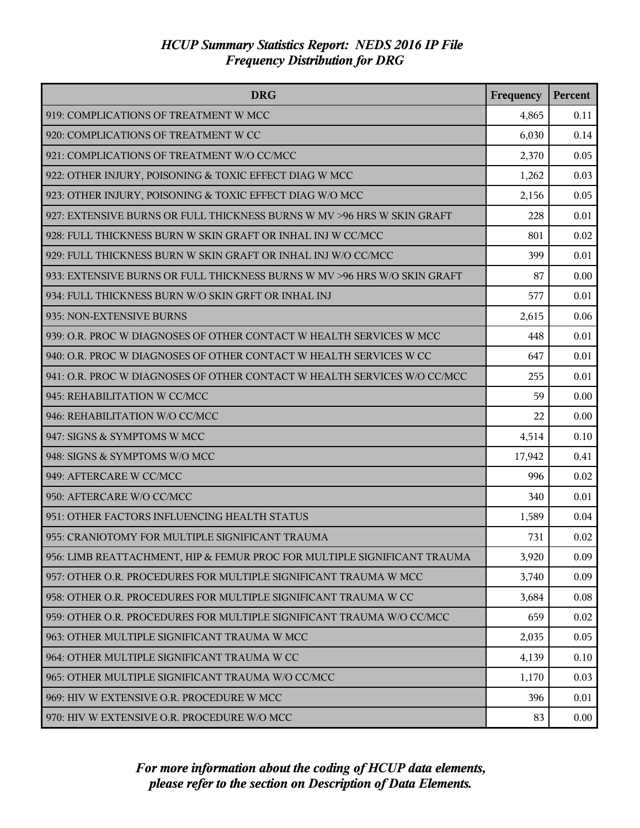| <b>DRG</b>                                                               | Frequency | Percent |
|--------------------------------------------------------------------------|-----------|---------|
| 919: COMPLICATIONS OF TREATMENT W MCC                                    | 4,865     | 0.11    |
| 920: COMPLICATIONS OF TREATMENT W CC                                     | 6,030     | 0.14    |
| 921: COMPLICATIONS OF TREATMENT W/O CC/MCC                               | 2,370     | 0.05    |
| 922: OTHER INJURY, POISONING & TOXIC EFFECT DIAG W MCC                   | 1,262     | 0.03    |
| 923: OTHER INJURY, POISONING & TOXIC EFFECT DIAG W/O MCC                 | 2,156     | 0.05    |
| 927: EXTENSIVE BURNS OR FULL THICKNESS BURNS W MV >96 HRS W SKIN GRAFT   | 228       | 0.01    |
| 928: FULL THICKNESS BURN W SKIN GRAFT OR INHAL INJ W CC/MCC              | 801       | 0.02    |
| 929: FULL THICKNESS BURN W SKIN GRAFT OR INHAL INJ W/O CC/MCC            | 399       | 0.01    |
| 933: EXTENSIVE BURNS OR FULL THICKNESS BURNS W MV >96 HRS W/O SKIN GRAFT | 87        | 0.00    |
| 934: FULL THICKNESS BURN W/O SKIN GRFT OR INHAL INJ                      | 577       | 0.01    |
| 935: NON-EXTENSIVE BURNS                                                 | 2,615     | 0.06    |
| 939: O.R. PROC W DIAGNOSES OF OTHER CONTACT W HEALTH SERVICES W MCC      | 448       | 0.01    |
| 940: O.R. PROC W DIAGNOSES OF OTHER CONTACT W HEALTH SERVICES W CC       | 647       | 0.01    |
| 941: O.R. PROC W DIAGNOSES OF OTHER CONTACT W HEALTH SERVICES W/O CC/MCC | 255       | 0.01    |
| 945: REHABILITATION W CC/MCC                                             | 59        | 0.00    |
| 946: REHABILITATION W/O CC/MCC                                           | 22        | 0.00    |
| 947: SIGNS & SYMPTOMS W MCC                                              | 4,514     | 0.10    |
| 948: SIGNS & SYMPTOMS W/O MCC                                            | 17,942    | 0.41    |
| 949: AFTERCARE W CC/MCC                                                  | 996       | 0.02    |
| 950: AFTERCARE W/O CC/MCC                                                | 340       | 0.01    |
| 951: OTHER FACTORS INFLUENCING HEALTH STATUS                             | 1,589     | 0.04    |
| 955: CRANIOTOMY FOR MULTIPLE SIGNIFICANT TRAUMA                          | 731       | 0.02    |
| 956: LIMB REATTACHMENT, HIP & FEMUR PROC FOR MULTIPLE SIGNIFICANT TRAUMA | 3,920     | 0.09    |
| 957: OTHER O.R. PROCEDURES FOR MULTIPLE SIGNIFICANT TRAUMA W MCC         | 3,740     | 0.09    |
| 958: OTHER O.R. PROCEDURES FOR MULTIPLE SIGNIFICANT TRAUMA W CC          | 3,684     | 0.08    |
| 959: OTHER O.R. PROCEDURES FOR MULTIPLE SIGNIFICANT TRAUMA W/O CC/MCC    | 659       | 0.02    |
| 963: OTHER MULTIPLE SIGNIFICANT TRAUMA W MCC                             | 2,035     | 0.05    |
| 964: OTHER MULTIPLE SIGNIFICANT TRAUMA W CC                              | 4,139     | 0.10    |
| 965: OTHER MULTIPLE SIGNIFICANT TRAUMA W/O CC/MCC                        | 1,170     | 0.03    |
| 969: HIV W EXTENSIVE O.R. PROCEDURE W MCC                                | 396       | 0.01    |
| 970: HIV W EXTENSIVE O.R. PROCEDURE W/O MCC                              | 83        | 0.00    |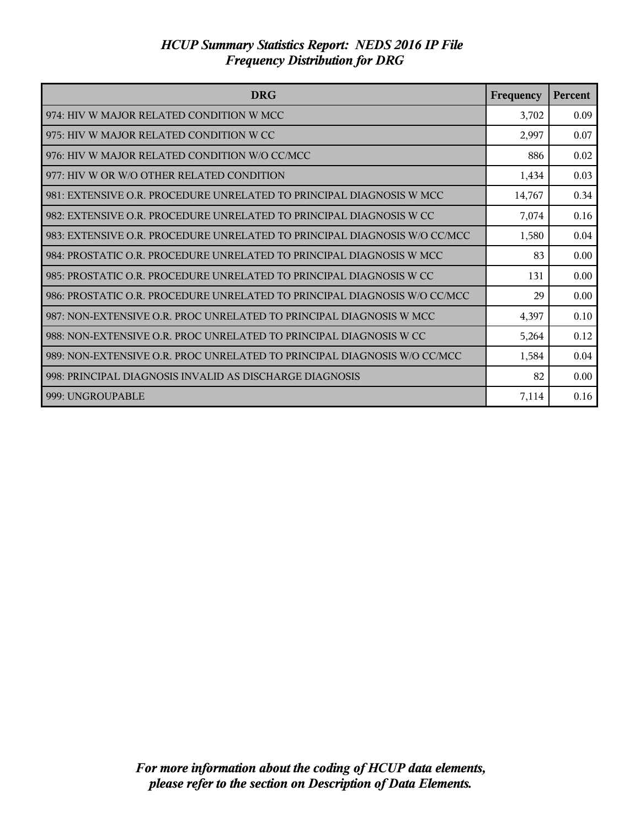| <b>DRG</b>                                                                | Frequency | Percent |
|---------------------------------------------------------------------------|-----------|---------|
| 974: HIV W MAJOR RELATED CONDITION W MCC                                  | 3,702     | 0.09    |
| 975: HIV W MAJOR RELATED CONDITION W CC                                   | 2,997     | 0.07    |
| 976: HIV W MAJOR RELATED CONDITION W/O CC/MCC                             | 886       | 0.02    |
| 977: HIV W OR W/O OTHER RELATED CONDITION                                 | 1,434     | 0.03    |
| 981: EXTENSIVE O.R. PROCEDURE UNRELATED TO PRINCIPAL DIAGNOSIS W MCC      | 14,767    | 0.34    |
| 982: EXTENSIVE O.R. PROCEDURE UNRELATED TO PRINCIPAL DIAGNOSIS W CC       | 7,074     | 0.16    |
| 983: EXTENSIVE O.R. PROCEDURE UNRELATED TO PRINCIPAL DIAGNOSIS W/O CC/MCC | 1,580     | 0.04    |
| 984: PROSTATIC O.R. PROCEDURE UNRELATED TO PRINCIPAL DIAGNOSIS W MCC      | 83        | 0.00    |
| 985: PROSTATIC O.R. PROCEDURE UNRELATED TO PRINCIPAL DIAGNOSIS W CC       | 131       | 0.00    |
| 986: PROSTATIC O.R. PROCEDURE UNRELATED TO PRINCIPAL DIAGNOSIS W/O CC/MCC | 29        | 0.00    |
| 987: NON-EXTENSIVE O.R. PROC UNRELATED TO PRINCIPAL DIAGNOSIS W MCC       | 4,397     | 0.10    |
| 988: NON-EXTENSIVE O.R. PROC UNRELATED TO PRINCIPAL DIAGNOSIS W CC        | 5,264     | 0.12    |
| 989: NON-EXTENSIVE O.R. PROC UNRELATED TO PRINCIPAL DIAGNOSIS W/O CC/MCC  | 1,584     | 0.04    |
| 998: PRINCIPAL DIAGNOSIS INVALID AS DISCHARGE DIAGNOSIS                   | 82        | 0.00    |
| 999: UNGROUPABLE                                                          | 7,114     | 0.16    |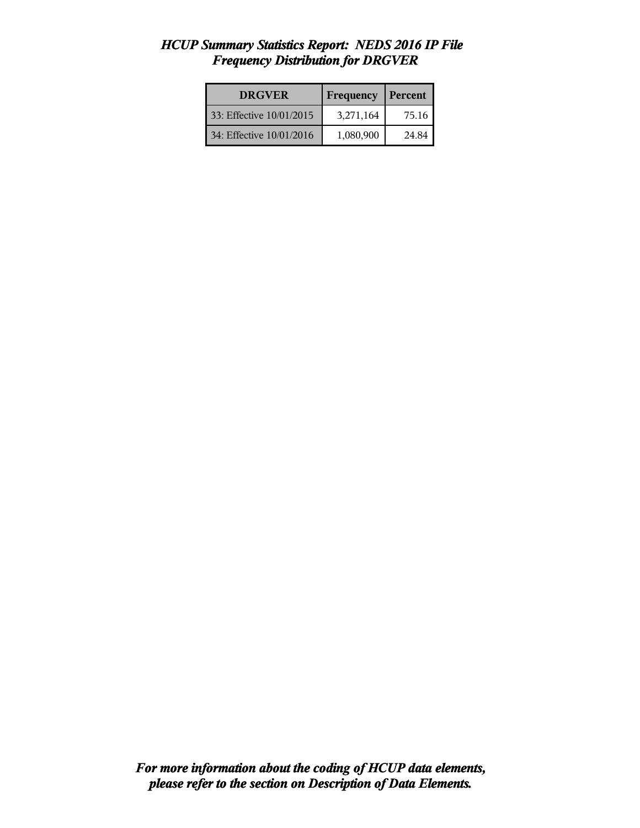| <b>DRGVER</b>            | Frequency | Percent |
|--------------------------|-----------|---------|
| 33: Effective 10/01/2015 | 3,271,164 | 75.16   |
| 34: Effective 10/01/2016 | 1,080,900 | 24.84   |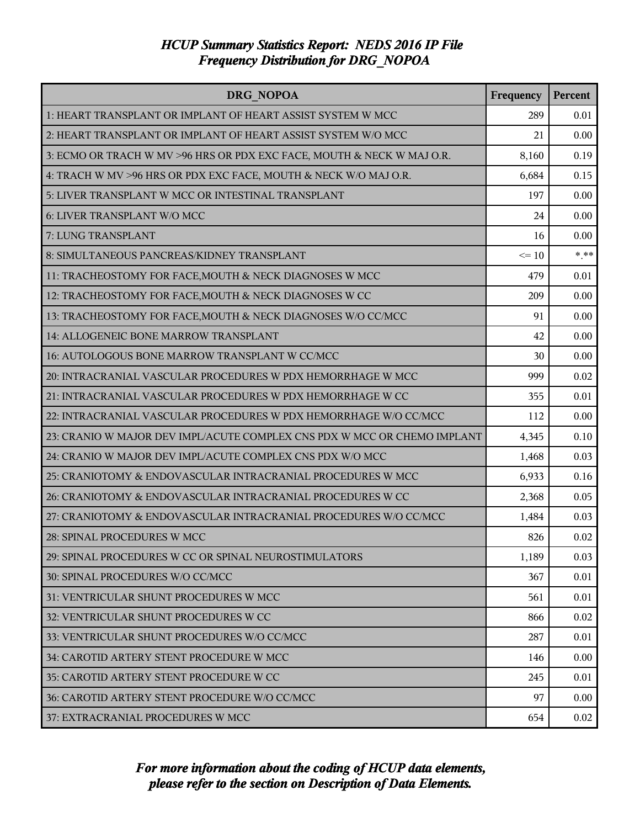| DRG NOPOA                                                                | Frequency | Percent |
|--------------------------------------------------------------------------|-----------|---------|
| 1: HEART TRANSPLANT OR IMPLANT OF HEART ASSIST SYSTEM W MCC              | 289       | 0.01    |
| 2: HEART TRANSPLANT OR IMPLANT OF HEART ASSIST SYSTEM W/O MCC            | 21        | 0.00    |
| 3: ECMO OR TRACH W MV >96 HRS OR PDX EXC FACE, MOUTH & NECK W MAJ O.R.   | 8,160     | 0.19    |
| 4: TRACH W MV >96 HRS OR PDX EXC FACE, MOUTH & NECK W/O MAJ O.R.         | 6,684     | 0.15    |
| 5: LIVER TRANSPLANT W MCC OR INTESTINAL TRANSPLANT                       | 197       | 0.00    |
| 6: LIVER TRANSPLANT W/O MCC                                              | 24        | 0.00    |
| 7: LUNG TRANSPLANT                                                       | 16        | 0.00    |
| 8: SIMULTANEOUS PANCREAS/KIDNEY TRANSPLANT                               | $\leq 10$ | $***$   |
| 11: TRACHEOSTOMY FOR FACE, MOUTH & NECK DIAGNOSES W MCC                  | 479       | 0.01    |
| 12: TRACHEOSTOMY FOR FACE, MOUTH & NECK DIAGNOSES W CC                   | 209       | 0.00    |
| 13: TRACHEOSTOMY FOR FACE, MOUTH & NECK DIAGNOSES W/O CC/MCC             | 91        | 0.00    |
| 14: ALLOGENEIC BONE MARROW TRANSPLANT                                    | 42        | 0.00    |
| 16: AUTOLOGOUS BONE MARROW TRANSPLANT W CC/MCC                           | 30        | 0.00    |
| 20: INTRACRANIAL VASCULAR PROCEDURES W PDX HEMORRHAGE W MCC              | 999       | 0.02    |
| 21: INTRACRANIAL VASCULAR PROCEDURES W PDX HEMORRHAGE W CC               | 355       | 0.01    |
| 22: INTRACRANIAL VASCULAR PROCEDURES W PDX HEMORRHAGE W/O CC/MCC         | 112       | 0.00    |
| 23: CRANIO W MAJOR DEV IMPL/ACUTE COMPLEX CNS PDX W MCC OR CHEMO IMPLANT | 4,345     | 0.10    |
| 24: CRANIO W MAJOR DEV IMPL/ACUTE COMPLEX CNS PDX W/O MCC                | 1,468     | 0.03    |
| 25: CRANIOTOMY & ENDOVASCULAR INTRACRANIAL PROCEDURES W MCC              | 6,933     | 0.16    |
| 26: CRANIOTOMY & ENDOVASCULAR INTRACRANIAL PROCEDURES W CC               | 2,368     | 0.05    |
| 27: CRANIOTOMY & ENDOVASCULAR INTRACRANIAL PROCEDURES W/O CC/MCC         | 1,484     | 0.03    |
| 28: SPINAL PROCEDURES W MCC                                              | 826       | 0.02    |
| 29: SPINAL PROCEDURES W CC OR SPINAL NEUROSTIMULATORS                    | 1,189     | 0.03    |
| 30: SPINAL PROCEDURES W/O CC/MCC                                         | 367       | 0.01    |
| 31: VENTRICULAR SHUNT PROCEDURES W MCC                                   | 561       | 0.01    |
| 32: VENTRICULAR SHUNT PROCEDURES W CC                                    | 866       | 0.02    |
| 33: VENTRICULAR SHUNT PROCEDURES W/O CC/MCC                              | 287       | 0.01    |
| 34: CAROTID ARTERY STENT PROCEDURE W MCC                                 | 146       | 0.00    |
| 35: CAROTID ARTERY STENT PROCEDURE W CC                                  | 245       | 0.01    |
| 36: CAROTID ARTERY STENT PROCEDURE W/O CC/MCC                            | 97        | 0.00    |
| 37: EXTRACRANIAL PROCEDURES W MCC                                        | 654       | 0.02    |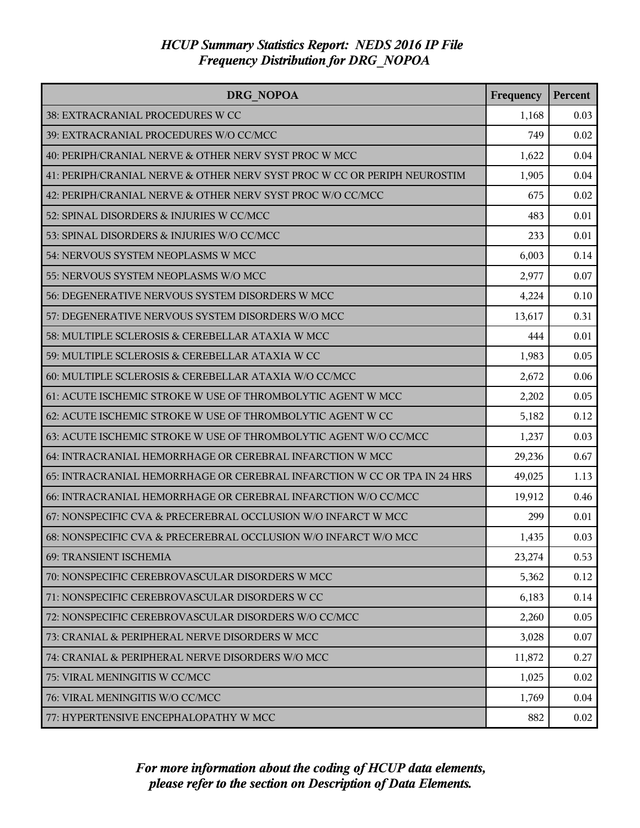| <b>DRG NOPOA</b>                                                         | Frequency | Percent |
|--------------------------------------------------------------------------|-----------|---------|
| 38: EXTRACRANIAL PROCEDURES W CC                                         | 1,168     | 0.03    |
| 39: EXTRACRANIAL PROCEDURES W/O CC/MCC                                   | 749       | 0.02    |
| 40: PERIPH/CRANIAL NERVE & OTHER NERV SYST PROC W MCC                    | 1,622     | 0.04    |
| 41: PERIPH/CRANIAL NERVE & OTHER NERV SYST PROC W CC OR PERIPH NEUROSTIM | 1,905     | 0.04    |
| 42: PERIPH/CRANIAL NERVE & OTHER NERV SYST PROC W/O CC/MCC               | 675       | 0.02    |
| 52: SPINAL DISORDERS & INJURIES W CC/MCC                                 | 483       | 0.01    |
| 53: SPINAL DISORDERS & INJURIES W/O CC/MCC                               | 233       | 0.01    |
| 54: NERVOUS SYSTEM NEOPLASMS W MCC                                       | 6,003     | 0.14    |
| 55: NERVOUS SYSTEM NEOPLASMS W/O MCC                                     | 2,977     | 0.07    |
| 56: DEGENERATIVE NERVOUS SYSTEM DISORDERS W MCC                          | 4,224     | 0.10    |
| 57: DEGENERATIVE NERVOUS SYSTEM DISORDERS W/O MCC                        | 13,617    | 0.31    |
| 58: MULTIPLE SCLEROSIS & CEREBELLAR ATAXIA W MCC                         | 444       | 0.01    |
| 59: MULTIPLE SCLEROSIS & CEREBELLAR ATAXIA W CC                          | 1,983     | 0.05    |
| 60: MULTIPLE SCLEROSIS & CEREBELLAR ATAXIA W/O CC/MCC                    | 2,672     | 0.06    |
| 61: ACUTE ISCHEMIC STROKE W USE OF THROMBOLYTIC AGENT W MCC              | 2,202     | 0.05    |
| 62: ACUTE ISCHEMIC STROKE W USE OF THROMBOLYTIC AGENT W CC               | 5,182     | 0.12    |
| 63: ACUTE ISCHEMIC STROKE W USE OF THROMBOLYTIC AGENT W/O CC/MCC         | 1,237     | 0.03    |
| 64: INTRACRANIAL HEMORRHAGE OR CEREBRAL INFARCTION W MCC                 | 29,236    | 0.67    |
| 65: INTRACRANIAL HEMORRHAGE OR CEREBRAL INFARCTION W CC OR TPA IN 24 HRS | 49,025    | 1.13    |
| 66: INTRACRANIAL HEMORRHAGE OR CEREBRAL INFARCTION W/O CC/MCC            | 19,912    | 0.46    |
| 67: NONSPECIFIC CVA & PRECEREBRAL OCCLUSION W/O INFARCT W MCC            | 299       | 0.01    |
| 68: NONSPECIFIC CVA & PRECEREBRAL OCCLUSION W/O INFARCT W/O MCC          | 1,435     | 0.03    |
| 69: TRANSIENT ISCHEMIA                                                   | 23,274    | 0.53    |
| 70: NONSPECIFIC CEREBROVASCULAR DISORDERS W MCC                          | 5,362     | 0.12    |
| 71: NONSPECIFIC CEREBROVASCULAR DISORDERS W CC                           | 6,183     | 0.14    |
| 72: NONSPECIFIC CEREBROVASCULAR DISORDERS W/O CC/MCC                     | 2,260     | 0.05    |
| 73: CRANIAL & PERIPHERAL NERVE DISORDERS W MCC                           | 3,028     | 0.07    |
| 74: CRANIAL & PERIPHERAL NERVE DISORDERS W/O MCC                         | 11,872    | 0.27    |
| 75: VIRAL MENINGITIS W CC/MCC                                            | 1,025     | 0.02    |
| 76: VIRAL MENINGITIS W/O CC/MCC                                          | 1,769     | 0.04    |
| 77: HYPERTENSIVE ENCEPHALOPATHY W MCC                                    | 882       | 0.02    |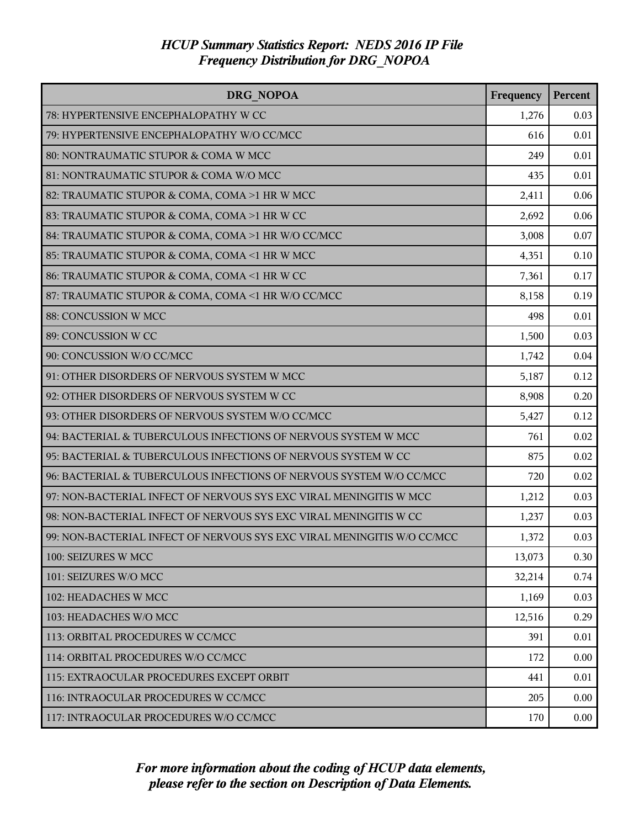| <b>DRG NOPOA</b>                                                        | Frequency | Percent |
|-------------------------------------------------------------------------|-----------|---------|
| 78: HYPERTENSIVE ENCEPHALOPATHY W CC                                    | 1,276     | 0.03    |
| 79: HYPERTENSIVE ENCEPHALOPATHY W/O CC/MCC                              | 616       | 0.01    |
| 80: NONTRAUMATIC STUPOR & COMA W MCC                                    | 249       | 0.01    |
| 81: NONTRAUMATIC STUPOR & COMA W/O MCC                                  | 435       | 0.01    |
| 82: TRAUMATIC STUPOR & COMA, COMA >1 HR W MCC                           | 2,411     | 0.06    |
| 83: TRAUMATIC STUPOR & COMA, COMA >1 HR W CC                            | 2,692     | 0.06    |
| 84: TRAUMATIC STUPOR & COMA, COMA >1 HR W/O CC/MCC                      | 3,008     | 0.07    |
| 85: TRAUMATIC STUPOR & COMA, COMA <1 HR W MCC                           | 4,351     | 0.10    |
| 86: TRAUMATIC STUPOR & COMA, COMA <1 HR W CC                            | 7,361     | 0.17    |
| 87: TRAUMATIC STUPOR & COMA, COMA <1 HR W/O CC/MCC                      | 8,158     | 0.19    |
| 88: CONCUSSION W MCC                                                    | 498       | 0.01    |
| 89: CONCUSSION W CC                                                     | 1,500     | 0.03    |
| 90: CONCUSSION W/O CC/MCC                                               | 1,742     | 0.04    |
| 91: OTHER DISORDERS OF NERVOUS SYSTEM W MCC                             | 5,187     | 0.12    |
| 92: OTHER DISORDERS OF NERVOUS SYSTEM W CC                              | 8,908     | 0.20    |
| 93: OTHER DISORDERS OF NERVOUS SYSTEM W/O CC/MCC                        | 5,427     | 0.12    |
| 94: BACTERIAL & TUBERCULOUS INFECTIONS OF NERVOUS SYSTEM W MCC          | 761       | 0.02    |
| 95: BACTERIAL & TUBERCULOUS INFECTIONS OF NERVOUS SYSTEM W CC           | 875       | 0.02    |
| 96: BACTERIAL & TUBERCULOUS INFECTIONS OF NERVOUS SYSTEM W/O CC/MCC     | 720       | 0.02    |
| 97: NON-BACTERIAL INFECT OF NERVOUS SYS EXC VIRAL MENINGITIS W MCC      | 1,212     | 0.03    |
| 98: NON-BACTERIAL INFECT OF NERVOUS SYS EXC VIRAL MENINGITIS W CC       | 1,237     | 0.03    |
| 99: NON-BACTERIAL INFECT OF NERVOUS SYS EXC VIRAL MENINGITIS W/O CC/MCC | 1,372     | 0.03    |
| 100: SEIZURES W MCC                                                     | 13,073    | 0.30    |
| 101: SEIZURES W/O MCC                                                   | 32,214    | 0.74    |
| 102: HEADACHES W MCC                                                    | 1,169     | 0.03    |
| 103: HEADACHES W/O MCC                                                  | 12,516    | 0.29    |
| 113: ORBITAL PROCEDURES W CC/MCC                                        | 391       | 0.01    |
| 114: ORBITAL PROCEDURES W/O CC/MCC                                      | 172       | 0.00    |
| 115: EXTRAOCULAR PROCEDURES EXCEPT ORBIT                                | 441       | 0.01    |
| 116: INTRAOCULAR PROCEDURES W CC/MCC                                    | 205       | 0.00    |
| 117: INTRAOCULAR PROCEDURES W/O CC/MCC                                  | 170       | 0.00    |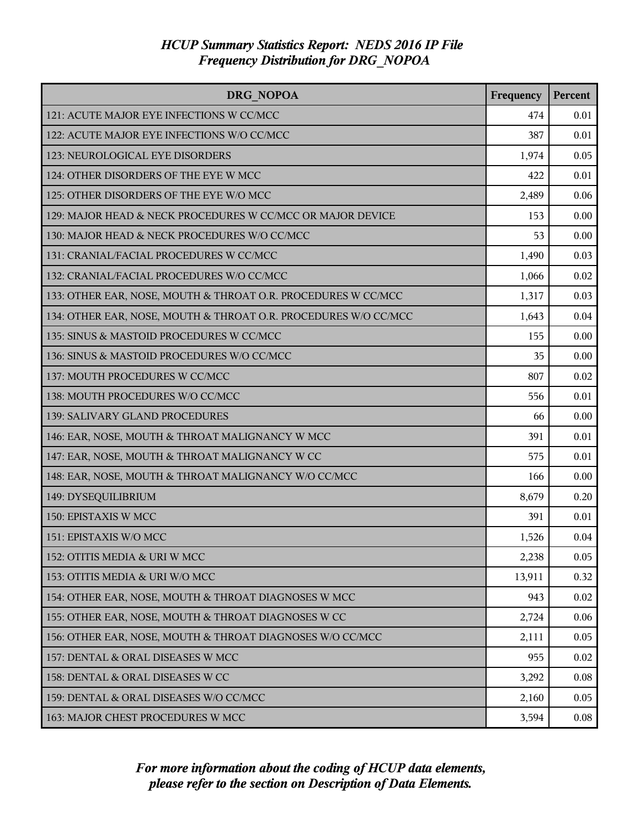| DRG NOPOA                                                       | Frequency | Percent |
|-----------------------------------------------------------------|-----------|---------|
| 121: ACUTE MAJOR EYE INFECTIONS W CC/MCC                        | 474       | 0.01    |
| 122: ACUTE MAJOR EYE INFECTIONS W/O CC/MCC                      | 387       | 0.01    |
| 123: NEUROLOGICAL EYE DISORDERS                                 | 1,974     | 0.05    |
| 124: OTHER DISORDERS OF THE EYE W MCC                           | 422       | 0.01    |
| 125: OTHER DISORDERS OF THE EYE W/O MCC                         | 2,489     | 0.06    |
| 129: MAJOR HEAD & NECK PROCEDURES W CC/MCC OR MAJOR DEVICE      | 153       | 0.00    |
| 130: MAJOR HEAD & NECK PROCEDURES W/O CC/MCC                    | 53        | 0.00    |
| 131: CRANIAL/FACIAL PROCEDURES W CC/MCC                         | 1,490     | 0.03    |
| 132: CRANIAL/FACIAL PROCEDURES W/O CC/MCC                       | 1,066     | 0.02    |
| 133: OTHER EAR, NOSE, MOUTH & THROAT O.R. PROCEDURES W CC/MCC   | 1,317     | 0.03    |
| 134: OTHER EAR, NOSE, MOUTH & THROAT O.R. PROCEDURES W/O CC/MCC | 1,643     | 0.04    |
| 135: SINUS & MASTOID PROCEDURES W CC/MCC                        | 155       | 0.00    |
| 136: SINUS & MASTOID PROCEDURES W/O CC/MCC                      | 35        | 0.00    |
| 137: MOUTH PROCEDURES W CC/MCC                                  | 807       | 0.02    |
| 138: MOUTH PROCEDURES W/O CC/MCC                                | 556       | 0.01    |
| 139: SALIVARY GLAND PROCEDURES                                  | 66        | 0.00    |
| 146: EAR, NOSE, MOUTH & THROAT MALIGNANCY W MCC                 | 391       | 0.01    |
| 147: EAR, NOSE, MOUTH & THROAT MALIGNANCY W CC                  | 575       | 0.01    |
| 148: EAR, NOSE, MOUTH & THROAT MALIGNANCY W/O CC/MCC            | 166       | 0.00    |
| 149: DYSEQUILIBRIUM                                             | 8,679     | 0.20    |
| 150: EPISTAXIS W MCC                                            | 391       | 0.01    |
| 151: EPISTAXIS W/O MCC                                          | 1,526     | 0.04    |
| 152: OTITIS MEDIA & URI W MCC                                   | 2,238     | 0.05    |
| 153: OTITIS MEDIA & URI W/O MCC                                 | 13,911    | 0.32    |
| 154: OTHER EAR, NOSE, MOUTH & THROAT DIAGNOSES W MCC            | 943       | 0.02    |
| 155: OTHER EAR, NOSE, MOUTH & THROAT DIAGNOSES W CC             | 2,724     | 0.06    |
| 156: OTHER EAR, NOSE, MOUTH & THROAT DIAGNOSES W/O CC/MCC       | 2,111     | 0.05    |
| 157: DENTAL & ORAL DISEASES W MCC                               | 955       | 0.02    |
| 158: DENTAL & ORAL DISEASES W CC                                | 3,292     | 0.08    |
| 159: DENTAL & ORAL DISEASES W/O CC/MCC                          | 2,160     | 0.05    |
| 163: MAJOR CHEST PROCEDURES W MCC                               | 3,594     | 0.08    |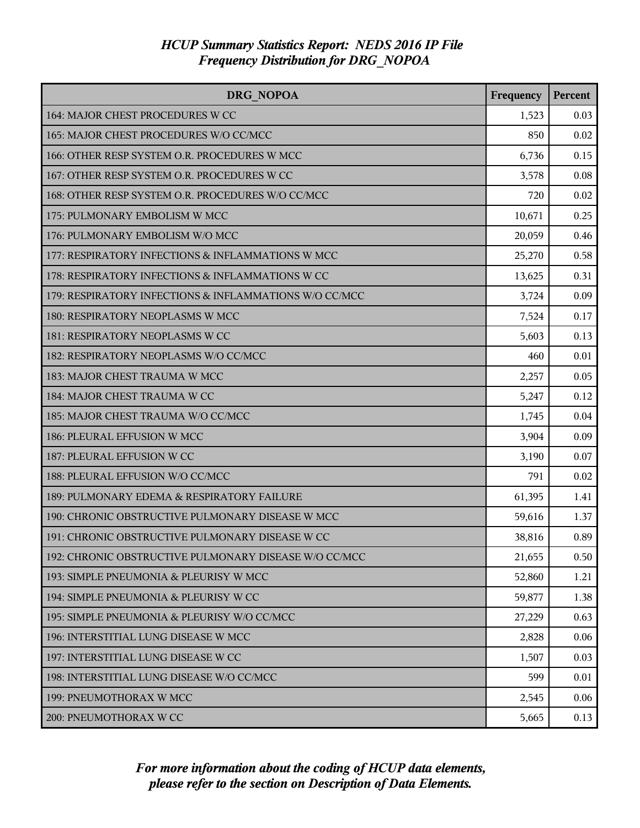| DRG NOPOA                                              | Frequency | Percent |
|--------------------------------------------------------|-----------|---------|
| 164: MAJOR CHEST PROCEDURES W CC                       | 1,523     | 0.03    |
| 165: MAJOR CHEST PROCEDURES W/O CC/MCC                 | 850       | 0.02    |
| 166: OTHER RESP SYSTEM O.R. PROCEDURES W MCC           | 6,736     | 0.15    |
| 167: OTHER RESP SYSTEM O.R. PROCEDURES W CC            | 3,578     | 0.08    |
| 168: OTHER RESP SYSTEM O.R. PROCEDURES W/O CC/MCC      | 720       | 0.02    |
| 175: PULMONARY EMBOLISM W MCC                          | 10,671    | 0.25    |
| 176: PULMONARY EMBOLISM W/O MCC                        | 20,059    | 0.46    |
| 177: RESPIRATORY INFECTIONS & INFLAMMATIONS W MCC      | 25,270    | 0.58    |
| 178: RESPIRATORY INFECTIONS & INFLAMMATIONS W CC       | 13,625    | 0.31    |
| 179: RESPIRATORY INFECTIONS & INFLAMMATIONS W/O CC/MCC | 3,724     | 0.09    |
| 180: RESPIRATORY NEOPLASMS W MCC                       | 7,524     | 0.17    |
| 181: RESPIRATORY NEOPLASMS W CC                        | 5,603     | 0.13    |
| 182: RESPIRATORY NEOPLASMS W/O CC/MCC                  | 460       | 0.01    |
| 183: MAJOR CHEST TRAUMA W MCC                          | 2,257     | 0.05    |
| 184: MAJOR CHEST TRAUMA W CC                           | 5,247     | 0.12    |
| 185: MAJOR CHEST TRAUMA W/O CC/MCC                     | 1,745     | 0.04    |
| 186: PLEURAL EFFUSION W MCC                            | 3,904     | 0.09    |
| 187: PLEURAL EFFUSION W CC                             | 3,190     | 0.07    |
| 188: PLEURAL EFFUSION W/O CC/MCC                       | 791       | 0.02    |
| 189: PULMONARY EDEMA & RESPIRATORY FAILURE             | 61,395    | 1.41    |
| 190: CHRONIC OBSTRUCTIVE PULMONARY DISEASE W MCC       | 59,616    | 1.37    |
| 191: CHRONIC OBSTRUCTIVE PULMONARY DISEASE W CC        | 38,816    | 0.89    |
| 192: CHRONIC OBSTRUCTIVE PULMONARY DISEASE W/O CC/MCC  | 21,655    | 0.50    |
| 193: SIMPLE PNEUMONIA & PLEURISY W MCC                 | 52,860    | 1.21    |
| 194: SIMPLE PNEUMONIA & PLEURISY W CC                  | 59,877    | 1.38    |
| 195: SIMPLE PNEUMONIA & PLEURISY W/O CC/MCC            | 27,229    | 0.63    |
| 196: INTERSTITIAL LUNG DISEASE W MCC                   | 2,828     | 0.06    |
| 197: INTERSTITIAL LUNG DISEASE W CC                    | 1,507     | 0.03    |
| 198: INTERSTITIAL LUNG DISEASE W/O CC/MCC              | 599       | 0.01    |
| 199: PNEUMOTHORAX W MCC                                | 2,545     | 0.06    |
| 200: PNEUMOTHORAX W CC                                 | 5,665     | 0.13    |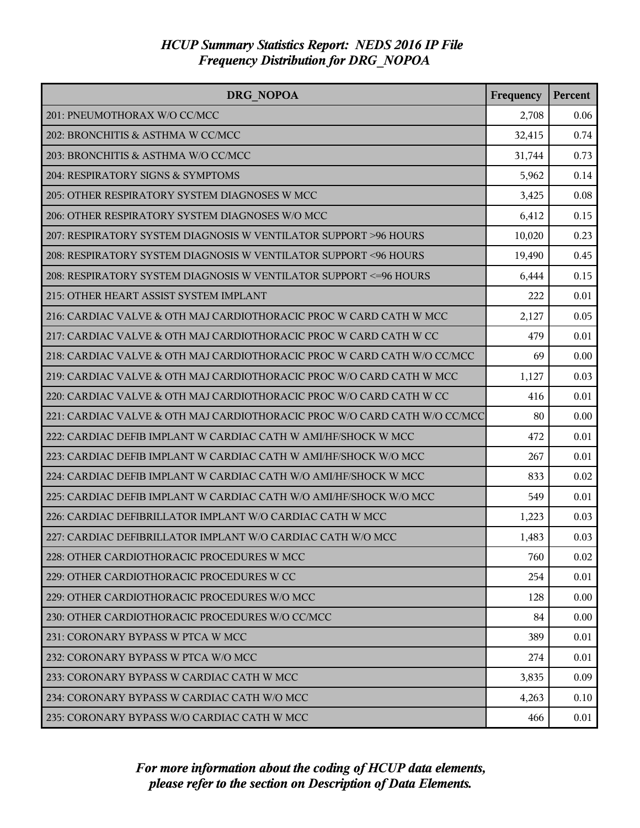| <b>DRG NOPOA</b>                                                          | Frequency | <b>Percent</b> |
|---------------------------------------------------------------------------|-----------|----------------|
| 201: PNEUMOTHORAX W/O CC/MCC                                              | 2,708     | 0.06           |
| 202: BRONCHITIS & ASTHMA W CC/MCC                                         | 32,415    | 0.74           |
| 203: BRONCHITIS & ASTHMA W/O CC/MCC                                       | 31,744    | 0.73           |
| 204: RESPIRATORY SIGNS & SYMPTOMS                                         | 5,962     | 0.14           |
| 205: OTHER RESPIRATORY SYSTEM DIAGNOSES W MCC                             | 3,425     | 0.08           |
| 206: OTHER RESPIRATORY SYSTEM DIAGNOSES W/O MCC                           | 6,412     | 0.15           |
| 207: RESPIRATORY SYSTEM DIAGNOSIS W VENTILATOR SUPPORT >96 HOURS          | 10,020    | 0.23           |
| 208: RESPIRATORY SYSTEM DIAGNOSIS W VENTILATOR SUPPORT <96 HOURS          | 19,490    | 0.45           |
| 208: RESPIRATORY SYSTEM DIAGNOSIS W VENTILATOR SUPPORT <= 96 HOURS        | 6,444     | 0.15           |
| 215: OTHER HEART ASSIST SYSTEM IMPLANT                                    | 222       | 0.01           |
| 216: CARDIAC VALVE & OTH MAJ CARDIOTHORACIC PROC W CARD CATH W MCC        | 2,127     | 0.05           |
| 217: CARDIAC VALVE & OTH MAJ CARDIOTHORACIC PROC W CARD CATH W CC         | 479       | 0.01           |
| 218: CARDIAC VALVE & OTH MAJ CARDIOTHORACIC PROC W CARD CATH W/O CC/MCC   | 69        | 0.00           |
| 219: CARDIAC VALVE & OTH MAJ CARDIOTHORACIC PROC W/O CARD CATH W MCC      | 1,127     | 0.03           |
| 220: CARDIAC VALVE & OTH MAJ CARDIOTHORACIC PROC W/O CARD CATH W CC       | 416       | 0.01           |
| 221: CARDIAC VALVE & OTH MAJ CARDIOTHORACIC PROC W/O CARD CATH W/O CC/MCC | 80        | 0.00           |
| 222: CARDIAC DEFIB IMPLANT W CARDIAC CATH W AMI/HF/SHOCK W MCC            | 472       | 0.01           |
| 223: CARDIAC DEFIB IMPLANT W CARDIAC CATH W AMI/HF/SHOCK W/O MCC          | 267       | 0.01           |
| 224: CARDIAC DEFIB IMPLANT W CARDIAC CATH W/O AMI/HF/SHOCK W MCC          | 833       | 0.02           |
| 225: CARDIAC DEFIB IMPLANT W CARDIAC CATH W/O AMI/HF/SHOCK W/O MCC        | 549       | 0.01           |
| 226: CARDIAC DEFIBRILLATOR IMPLANT W/O CARDIAC CATH W MCC                 | 1,223     | 0.03           |
| 227: CARDIAC DEFIBRILLATOR IMPLANT W/O CARDIAC CATH W/O MCC               | 1,483     | 0.03           |
| 228: OTHER CARDIOTHORACIC PROCEDURES W MCC                                | 760       | 0.02           |
| 229: OTHER CARDIOTHORACIC PROCEDURES W CC                                 | 254       | 0.01           |
| 229: OTHER CARDIOTHORACIC PROCEDURES W/O MCC                              | 128       | 0.00           |
| 230: OTHER CARDIOTHORACIC PROCEDURES W/O CC/MCC                           | 84        | 0.00           |
| 231: CORONARY BYPASS W PTCA W MCC                                         | 389       | $0.01\,$       |
| 232: CORONARY BYPASS W PTCA W/O MCC                                       | 274       | 0.01           |
| 233: CORONARY BYPASS W CARDIAC CATH W MCC                                 | 3,835     | 0.09           |
| 234: CORONARY BYPASS W CARDIAC CATH W/O MCC                               | 4,263     | 0.10           |
| 235: CORONARY BYPASS W/O CARDIAC CATH W MCC                               | 466       | 0.01           |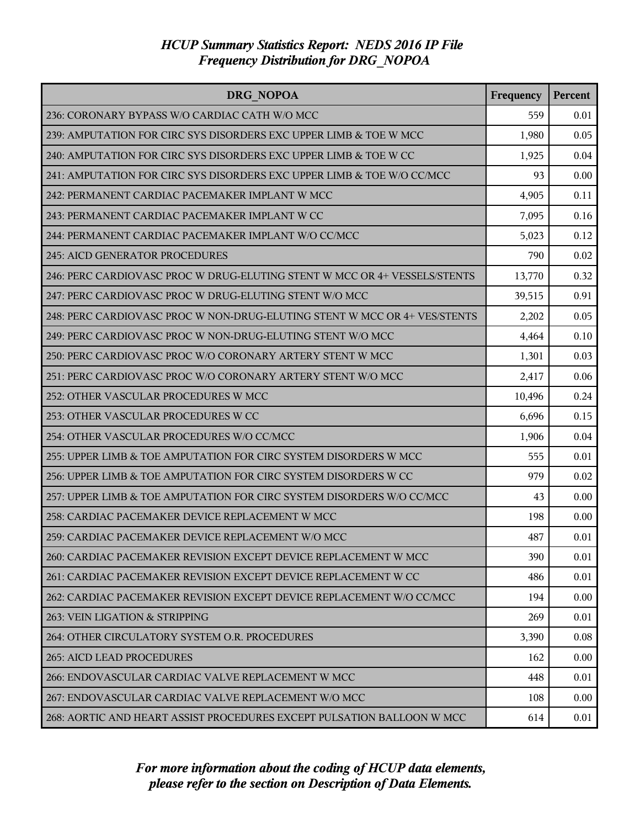| <b>DRG NOPOA</b>                                                          | Frequency | Percent |
|---------------------------------------------------------------------------|-----------|---------|
| 236: CORONARY BYPASS W/O CARDIAC CATH W/O MCC                             | 559       | 0.01    |
| 239: AMPUTATION FOR CIRC SYS DISORDERS EXC UPPER LIMB & TOE W MCC         | 1,980     | 0.05    |
| 240: AMPUTATION FOR CIRC SYS DISORDERS EXC UPPER LIMB & TOE W CC          | 1,925     | 0.04    |
| 241: AMPUTATION FOR CIRC SYS DISORDERS EXC UPPER LIMB & TOE W/O CC/MCC    | 93        | 0.00    |
| 242: PERMANENT CARDIAC PACEMAKER IMPLANT W MCC                            | 4,905     | 0.11    |
| 243: PERMANENT CARDIAC PACEMAKER IMPLANT W CC                             | 7,095     | 0.16    |
| 244: PERMANENT CARDIAC PACEMAKER IMPLANT W/O CC/MCC                       | 5,023     | 0.12    |
| 245: AICD GENERATOR PROCEDURES                                            | 790       | 0.02    |
| 246: PERC CARDIOVASC PROC W DRUG-ELUTING STENT W MCC OR 4+ VESSELS/STENTS | 13,770    | 0.32    |
| 247: PERC CARDIOVASC PROC W DRUG-ELUTING STENT W/O MCC                    | 39,515    | 0.91    |
| 248: PERC CARDIOVASC PROC W NON-DRUG-ELUTING STENT W MCC OR 4+ VES/STENTS | 2,202     | 0.05    |
| 249: PERC CARDIOVASC PROC W NON-DRUG-ELUTING STENT W/O MCC                | 4,464     | 0.10    |
| 250: PERC CARDIOVASC PROC W/O CORONARY ARTERY STENT W MCC                 | 1,301     | 0.03    |
| 251: PERC CARDIOVASC PROC W/O CORONARY ARTERY STENT W/O MCC               | 2,417     | 0.06    |
| 252: OTHER VASCULAR PROCEDURES W MCC                                      | 10,496    | 0.24    |
| 253: OTHER VASCULAR PROCEDURES W CC                                       | 6,696     | 0.15    |
| 254: OTHER VASCULAR PROCEDURES W/O CC/MCC                                 | 1,906     | 0.04    |
| 255: UPPER LIMB & TOE AMPUTATION FOR CIRC SYSTEM DISORDERS W MCC          | 555       | 0.01    |
| 256: UPPER LIMB & TOE AMPUTATION FOR CIRC SYSTEM DISORDERS W CC           | 979       | 0.02    |
| 257: UPPER LIMB & TOE AMPUTATION FOR CIRC SYSTEM DISORDERS W/O CC/MCC     | 43        | 0.00    |
| 258: CARDIAC PACEMAKER DEVICE REPLACEMENT W MCC                           | 198       | 0.00    |
| 259: CARDIAC PACEMAKER DEVICE REPLACEMENT W/O MCC                         | 487       | 0.01    |
| 260: CARDIAC PACEMAKER REVISION EXCEPT DEVICE REPLACEMENT W MCC           | 390       | 0.01    |
| 261: CARDIAC PACEMAKER REVISION EXCEPT DEVICE REPLACEMENT W CC            | 486       | 0.01    |
| 262: CARDIAC PACEMAKER REVISION EXCEPT DEVICE REPLACEMENT W/O CC/MCC      | 194       | 0.00    |
| 263: VEIN LIGATION & STRIPPING                                            | 269       | 0.01    |
| 264: OTHER CIRCULATORY SYSTEM O.R. PROCEDURES                             | 3,390     | 0.08    |
| <b>265: AICD LEAD PROCEDURES</b>                                          | 162       | 0.00    |
| 266: ENDOVASCULAR CARDIAC VALVE REPLACEMENT W MCC                         | 448       | 0.01    |
| 267: ENDOVASCULAR CARDIAC VALVE REPLACEMENT W/O MCC                       | 108       | 0.00    |
| 268: AORTIC AND HEART ASSIST PROCEDURES EXCEPT PULSATION BALLOON W MCC    | 614       | 0.01    |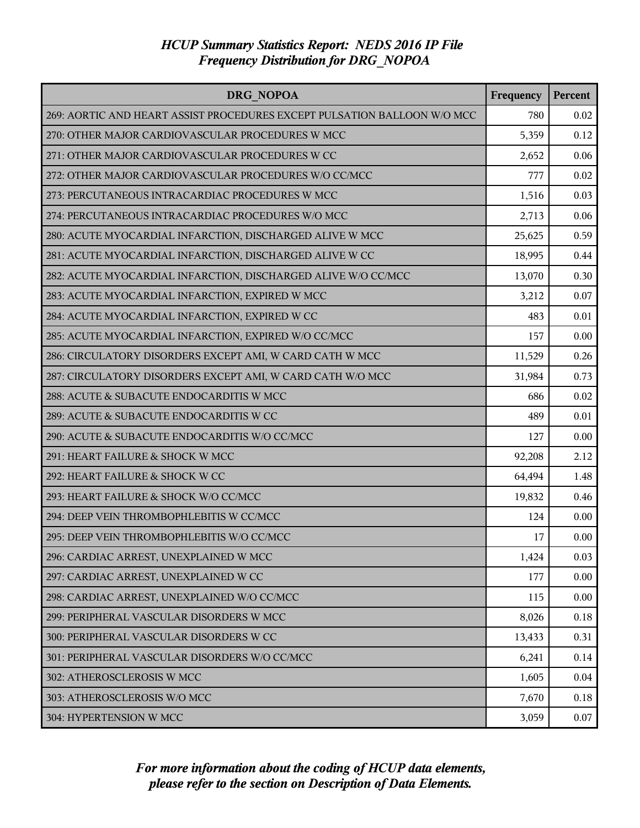| DRG NOPOA                                                                | Frequency | Percent |
|--------------------------------------------------------------------------|-----------|---------|
| 269: AORTIC AND HEART ASSIST PROCEDURES EXCEPT PULSATION BALLOON W/O MCC | 780       | 0.02    |
| 270: OTHER MAJOR CARDIOVASCULAR PROCEDURES W MCC                         | 5,359     | 0.12    |
| 271: OTHER MAJOR CARDIOVASCULAR PROCEDURES W CC                          | 2,652     | 0.06    |
| 272: OTHER MAJOR CARDIOVASCULAR PROCEDURES W/O CC/MCC                    | 777       | 0.02    |
| 273: PERCUTANEOUS INTRACARDIAC PROCEDURES W MCC                          | 1,516     | 0.03    |
| 274: PERCUTANEOUS INTRACARDIAC PROCEDURES W/O MCC                        | 2,713     | 0.06    |
| 280: ACUTE MYOCARDIAL INFARCTION, DISCHARGED ALIVE W MCC                 | 25,625    | 0.59    |
| 281: ACUTE MYOCARDIAL INFARCTION, DISCHARGED ALIVE W CC                  | 18,995    | 0.44    |
| 282: ACUTE MYOCARDIAL INFARCTION, DISCHARGED ALIVE W/O CC/MCC            | 13,070    | 0.30    |
| 283: ACUTE MYOCARDIAL INFARCTION, EXPIRED W MCC                          | 3,212     | 0.07    |
| 284: ACUTE MYOCARDIAL INFARCTION, EXPIRED W CC                           | 483       | 0.01    |
| 285: ACUTE MYOCARDIAL INFARCTION, EXPIRED W/O CC/MCC                     | 157       | 0.00    |
| 286: CIRCULATORY DISORDERS EXCEPT AMI, W CARD CATH W MCC                 | 11,529    | 0.26    |
| 287: CIRCULATORY DISORDERS EXCEPT AMI, W CARD CATH W/O MCC               | 31,984    | 0.73    |
| 288: ACUTE & SUBACUTE ENDOCARDITIS W MCC                                 | 686       | 0.02    |
| 289: ACUTE & SUBACUTE ENDOCARDITIS W CC                                  | 489       | 0.01    |
| 290: ACUTE & SUBACUTE ENDOCARDITIS W/O CC/MCC                            | 127       | 0.00    |
| 291: HEART FAILURE & SHOCK W MCC                                         | 92,208    | 2.12    |
| 292: HEART FAILURE & SHOCK W CC                                          | 64,494    | 1.48    |
| 293: HEART FAILURE & SHOCK W/O CC/MCC                                    | 19,832    | 0.46    |
| 294: DEEP VEIN THROMBOPHLEBITIS W CC/MCC                                 | 124       | 0.00    |
| 295: DEEP VEIN THROMBOPHLEBITIS W/O CC/MCC                               | 17        | 0.00    |
| 296: CARDIAC ARREST, UNEXPLAINED W MCC                                   | 1,424     | 0.03    |
| 297: CARDIAC ARREST, UNEXPLAINED W CC                                    | 177       | 0.00    |
| 298: CARDIAC ARREST, UNEXPLAINED W/O CC/MCC                              | 115       | 0.00    |
| 299: PERIPHERAL VASCULAR DISORDERS W MCC                                 | 8,026     | 0.18    |
| 300: PERIPHERAL VASCULAR DISORDERS W CC                                  | 13,433    | 0.31    |
| 301: PERIPHERAL VASCULAR DISORDERS W/O CC/MCC                            | 6,241     | 0.14    |
| 302: ATHEROSCLEROSIS W MCC                                               | 1,605     | 0.04    |
| 303: ATHEROSCLEROSIS W/O MCC                                             | 7,670     | 0.18    |
| 304: HYPERTENSION W MCC                                                  | 3,059     | 0.07    |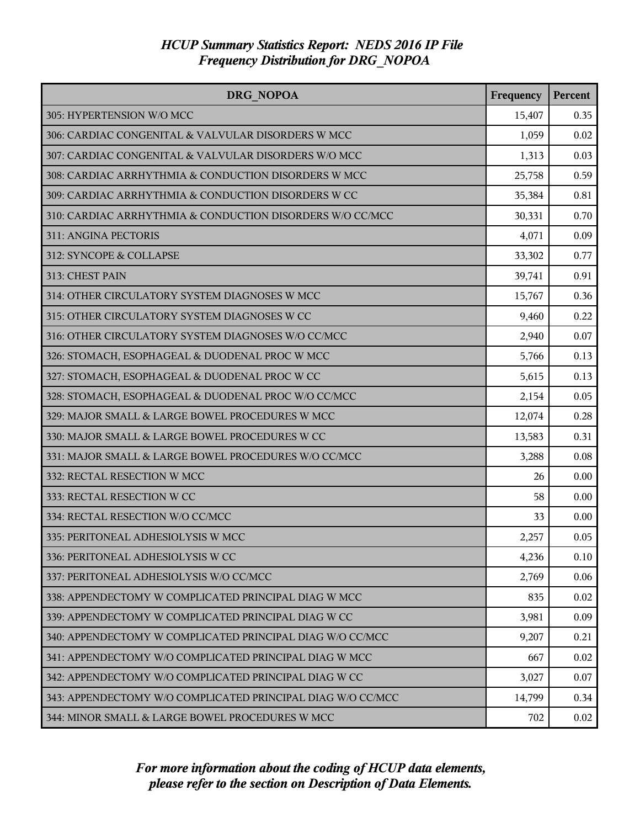| DRG NOPOA                                                   | Frequency | Percent |
|-------------------------------------------------------------|-----------|---------|
| 305: HYPERTENSION W/O MCC                                   | 15,407    | 0.35    |
| 306: CARDIAC CONGENITAL & VALVULAR DISORDERS W MCC          | 1,059     | 0.02    |
| 307: CARDIAC CONGENITAL & VALVULAR DISORDERS W/O MCC        | 1,313     | 0.03    |
| 308: CARDIAC ARRHYTHMIA & CONDUCTION DISORDERS W MCC        | 25,758    | 0.59    |
| 309: CARDIAC ARRHYTHMIA & CONDUCTION DISORDERS W CC         | 35,384    | 0.81    |
| 310: CARDIAC ARRHYTHMIA & CONDUCTION DISORDERS W/O CC/MCC   | 30,331    | 0.70    |
| 311: ANGINA PECTORIS                                        | 4,071     | 0.09    |
| 312: SYNCOPE & COLLAPSE                                     | 33,302    | 0.77    |
| 313: CHEST PAIN                                             | 39,741    | 0.91    |
| 314: OTHER CIRCULATORY SYSTEM DIAGNOSES W MCC               | 15,767    | 0.36    |
| 315: OTHER CIRCULATORY SYSTEM DIAGNOSES W CC                | 9,460     | 0.22    |
| 316: OTHER CIRCULATORY SYSTEM DIAGNOSES W/O CC/MCC          | 2,940     | 0.07    |
| 326: STOMACH, ESOPHAGEAL & DUODENAL PROC W MCC              | 5,766     | 0.13    |
| 327: STOMACH, ESOPHAGEAL & DUODENAL PROC W CC               | 5,615     | 0.13    |
| 328: STOMACH, ESOPHAGEAL & DUODENAL PROC W/O CC/MCC         | 2,154     | 0.05    |
| 329: MAJOR SMALL & LARGE BOWEL PROCEDURES W MCC             | 12,074    | 0.28    |
| 330: MAJOR SMALL & LARGE BOWEL PROCEDURES W CC              | 13,583    | 0.31    |
| 331: MAJOR SMALL & LARGE BOWEL PROCEDURES W/O CC/MCC        | 3,288     | 0.08    |
| 332: RECTAL RESECTION W MCC                                 | 26        | 0.00    |
| 333: RECTAL RESECTION W CC                                  | 58        | 0.00    |
| 334: RECTAL RESECTION W/O CC/MCC                            | 33        | 0.00    |
| 335: PERITONEAL ADHESIOLYSIS W MCC                          | 2,257     | 0.05    |
| 336: PERITONEAL ADHESIOLYSIS W CC                           | 4,236     | 0.10    |
| 337: PERITONEAL ADHESIOLYSIS W/O CC/MCC                     | 2,769     | 0.06    |
| 338: APPENDECTOMY W COMPLICATED PRINCIPAL DIAG W MCC        | 835       | 0.02    |
| 339: APPENDECTOMY W COMPLICATED PRINCIPAL DIAG W CC         | 3,981     | 0.09    |
| 340: APPENDECTOMY W COMPLICATED PRINCIPAL DIAG W/O CC/MCC   | 9,207     | 0.21    |
| 341: APPENDECTOMY W/O COMPLICATED PRINCIPAL DIAG W MCC      | 667       | 0.02    |
| 342: APPENDECTOMY W/O COMPLICATED PRINCIPAL DIAG W CC       | 3,027     | 0.07    |
| 343: APPENDECTOMY W/O COMPLICATED PRINCIPAL DIAG W/O CC/MCC | 14,799    | 0.34    |
| 344: MINOR SMALL & LARGE BOWEL PROCEDURES W MCC             | 702       | 0.02    |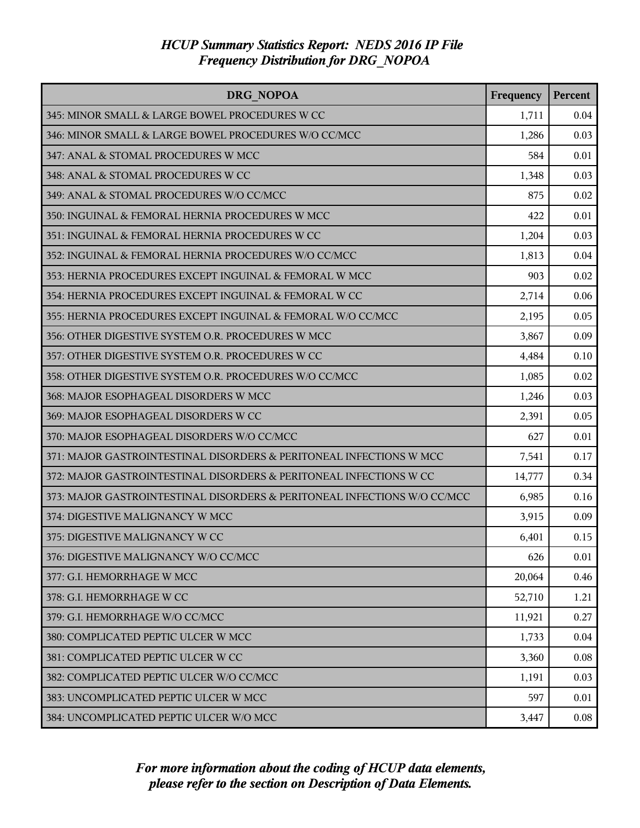| DRG NOPOA                                                                | Frequency | Percent |
|--------------------------------------------------------------------------|-----------|---------|
| 345: MINOR SMALL & LARGE BOWEL PROCEDURES W CC                           | 1,711     | 0.04    |
| 346: MINOR SMALL & LARGE BOWEL PROCEDURES W/O CC/MCC                     | 1,286     | 0.03    |
| 347: ANAL & STOMAL PROCEDURES W MCC                                      | 584       | 0.01    |
| 348: ANAL & STOMAL PROCEDURES W CC                                       | 1,348     | 0.03    |
| 349: ANAL & STOMAL PROCEDURES W/O CC/MCC                                 | 875       | 0.02    |
| 350: INGUINAL & FEMORAL HERNIA PROCEDURES W MCC                          | 422       | 0.01    |
| 351: INGUINAL & FEMORAL HERNIA PROCEDURES W CC                           | 1,204     | 0.03    |
| 352: INGUINAL & FEMORAL HERNIA PROCEDURES W/O CC/MCC                     | 1,813     | 0.04    |
| 353: HERNIA PROCEDURES EXCEPT INGUINAL & FEMORAL W MCC                   | 903       | 0.02    |
| 354: HERNIA PROCEDURES EXCEPT INGUINAL & FEMORAL W CC                    | 2,714     | 0.06    |
| 355: HERNIA PROCEDURES EXCEPT INGUINAL & FEMORAL W/O CC/MCC              | 2,195     | 0.05    |
| 356: OTHER DIGESTIVE SYSTEM O.R. PROCEDURES W MCC                        | 3,867     | 0.09    |
| 357: OTHER DIGESTIVE SYSTEM O.R. PROCEDURES W CC                         | 4,484     | 0.10    |
| 358: OTHER DIGESTIVE SYSTEM O.R. PROCEDURES W/O CC/MCC                   | 1,085     | 0.02    |
| 368: MAJOR ESOPHAGEAL DISORDERS W MCC                                    | 1,246     | 0.03    |
| 369: MAJOR ESOPHAGEAL DISORDERS W CC                                     | 2,391     | 0.05    |
| 370: MAJOR ESOPHAGEAL DISORDERS W/O CC/MCC                               | 627       | 0.01    |
| 371: MAJOR GASTROINTESTINAL DISORDERS & PERITONEAL INFECTIONS W MCC      | 7,541     | 0.17    |
| 372: MAJOR GASTROINTESTINAL DISORDERS & PERITONEAL INFECTIONS W CC       | 14,777    | 0.34    |
| 373: MAJOR GASTROINTESTINAL DISORDERS & PERITONEAL INFECTIONS W/O CC/MCC | 6,985     | 0.16    |
| 374: DIGESTIVE MALIGNANCY W MCC                                          | 3,915     | 0.09    |
| 375: DIGESTIVE MALIGNANCY W CC                                           | 6,401     | 0.15    |
| 376: DIGESTIVE MALIGNANCY W/O CC/MCC                                     | 626       | 0.01    |
| 377: G.I. HEMORRHAGE W MCC                                               | 20,064    | 0.46    |
| 378: G.I. HEMORRHAGE W CC                                                | 52,710    | 1.21    |
| 379: G.I. HEMORRHAGE W/O CC/MCC                                          | 11,921    | 0.27    |
| 380: COMPLICATED PEPTIC ULCER W MCC                                      | 1,733     | 0.04    |
| 381: COMPLICATED PEPTIC ULCER W CC                                       | 3,360     | 0.08    |
| 382: COMPLICATED PEPTIC ULCER W/O CC/MCC                                 | 1,191     | 0.03    |
| 383: UNCOMPLICATED PEPTIC ULCER W MCC                                    | 597       | 0.01    |
| 384: UNCOMPLICATED PEPTIC ULCER W/O MCC                                  | 3,447     | 0.08    |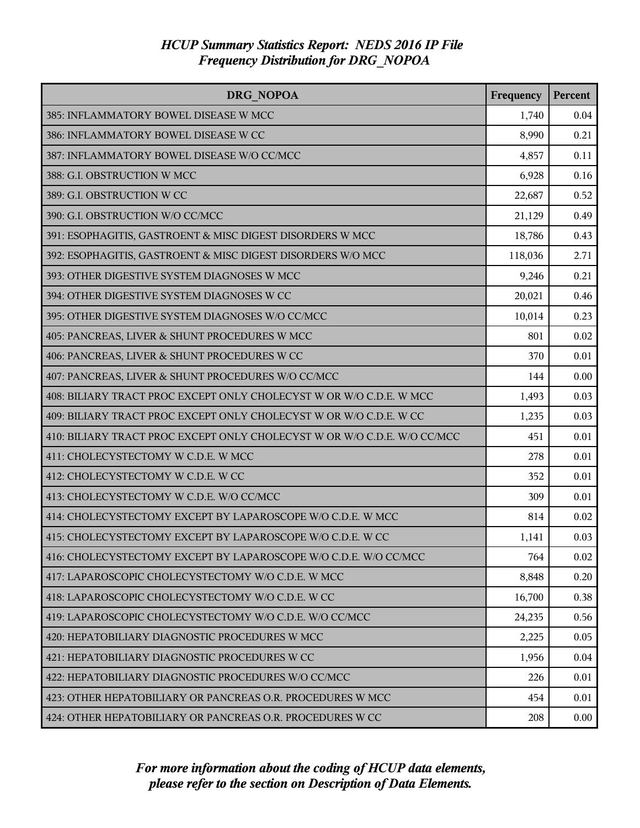| DRG NOPOA                                                                | Frequency | Percent |
|--------------------------------------------------------------------------|-----------|---------|
| 385: INFLAMMATORY BOWEL DISEASE W MCC                                    | 1,740     | 0.04    |
| 386: INFLAMMATORY BOWEL DISEASE W CC                                     | 8,990     | 0.21    |
| 387: INFLAMMATORY BOWEL DISEASE W/O CC/MCC                               | 4,857     | 0.11    |
| 388: G.I. OBSTRUCTION W MCC                                              | 6,928     | 0.16    |
| 389: G.I. OBSTRUCTION W CC                                               | 22,687    | 0.52    |
| 390: G.I. OBSTRUCTION W/O CC/MCC                                         | 21,129    | 0.49    |
| 391: ESOPHAGITIS, GASTROENT & MISC DIGEST DISORDERS W MCC                | 18,786    | 0.43    |
| 392: ESOPHAGITIS, GASTROENT & MISC DIGEST DISORDERS W/O MCC              | 118,036   | 2.71    |
| 393: OTHER DIGESTIVE SYSTEM DIAGNOSES W MCC                              | 9,246     | 0.21    |
| 394: OTHER DIGESTIVE SYSTEM DIAGNOSES W CC                               | 20,021    | 0.46    |
| 395: OTHER DIGESTIVE SYSTEM DIAGNOSES W/O CC/MCC                         | 10,014    | 0.23    |
| 405: PANCREAS, LIVER & SHUNT PROCEDURES W MCC                            | 801       | 0.02    |
| 406: PANCREAS, LIVER & SHUNT PROCEDURES W CC                             | 370       | 0.01    |
| 407: PANCREAS, LIVER & SHUNT PROCEDURES W/O CC/MCC                       | 144       | 0.00    |
| 408: BILIARY TRACT PROC EXCEPT ONLY CHOLECYST W OR W/O C.D.E. W MCC      | 1,493     | 0.03    |
| 409: BILIARY TRACT PROC EXCEPT ONLY CHOLECYST W OR W/O C.D.E. W CC       | 1,235     | 0.03    |
| 410: BILIARY TRACT PROC EXCEPT ONLY CHOLECYST W OR W/O C.D.E. W/O CC/MCC | 451       | 0.01    |
| 411: CHOLECYSTECTOMY W C.D.E. W MCC                                      | 278       | 0.01    |
| 412: CHOLECYSTECTOMY W C.D.E. W CC                                       | 352       | 0.01    |
| 413: CHOLECYSTECTOMY W C.D.E. W/O CC/MCC                                 | 309       | 0.01    |
| 414: CHOLECYSTECTOMY EXCEPT BY LAPAROSCOPE W/O C.D.E. W MCC              | 814       | 0.02    |
| 415: CHOLECYSTECTOMY EXCEPT BY LAPAROSCOPE W/O C.D.E. W CC               | 1,141     | 0.03    |
| 416: CHOLECYSTECTOMY EXCEPT BY LAPAROSCOPE W/O C.D.E. W/O CC/MCC         | 764       | 0.02    |
| 417: LAPAROSCOPIC CHOLECYSTECTOMY W/O C.D.E. W MCC                       | 8,848     | 0.20    |
| 418: LAPAROSCOPIC CHOLECYSTECTOMY W/O C.D.E. W CC                        | 16,700    | 0.38    |
| 419: LAPAROSCOPIC CHOLECYSTECTOMY W/O C.D.E. W/O CC/MCC                  | 24,235    | 0.56    |
| 420: HEPATOBILIARY DIAGNOSTIC PROCEDURES W MCC                           | 2,225     | 0.05    |
| 421: HEPATOBILIARY DIAGNOSTIC PROCEDURES W CC                            | 1,956     | 0.04    |
| 422: HEPATOBILIARY DIAGNOSTIC PROCEDURES W/O CC/MCC                      | 226       | 0.01    |
| 423: OTHER HEPATOBILIARY OR PANCREAS O.R. PROCEDURES W MCC               | 454       | 0.01    |
| 424: OTHER HEPATOBILIARY OR PANCREAS O.R. PROCEDURES W CC                | 208       | 0.00    |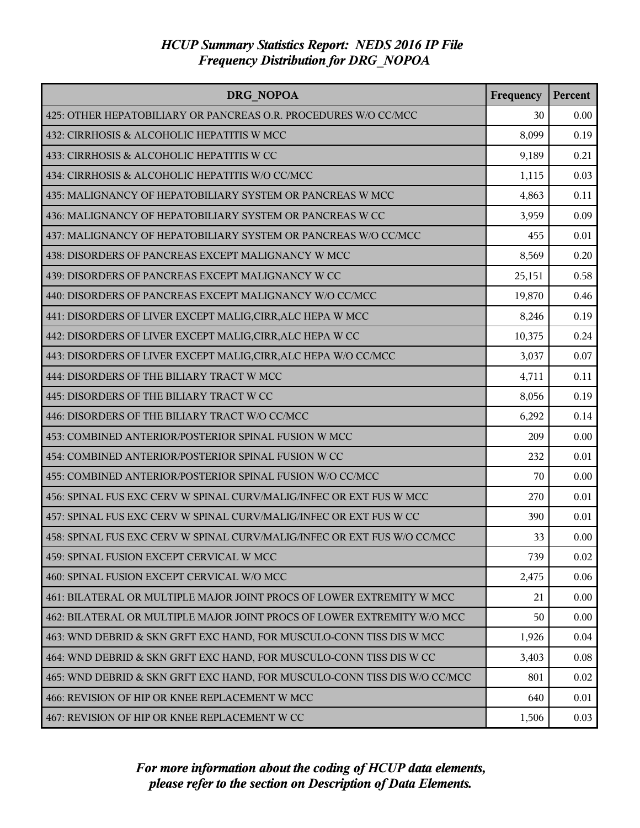| DRG NOPOA                                                                 | Frequency | Percent |
|---------------------------------------------------------------------------|-----------|---------|
| 425: OTHER HEPATOBILIARY OR PANCREAS O.R. PROCEDURES W/O CC/MCC           | 30        | 0.00    |
| 432: CIRRHOSIS & ALCOHOLIC HEPATITIS W MCC                                | 8,099     | 0.19    |
| 433: CIRRHOSIS & ALCOHOLIC HEPATITIS W CC                                 | 9,189     | 0.21    |
| 434: CIRRHOSIS & ALCOHOLIC HEPATITIS W/O CC/MCC                           | 1,115     | 0.03    |
| 435: MALIGNANCY OF HEPATOBILIARY SYSTEM OR PANCREAS W MCC                 | 4,863     | 0.11    |
| 436: MALIGNANCY OF HEPATOBILIARY SYSTEM OR PANCREAS W CC                  | 3,959     | 0.09    |
| 437: MALIGNANCY OF HEPATOBILIARY SYSTEM OR PANCREAS W/O CC/MCC            | 455       | 0.01    |
| 438: DISORDERS OF PANCREAS EXCEPT MALIGNANCY W MCC                        | 8,569     | 0.20    |
| 439: DISORDERS OF PANCREAS EXCEPT MALIGNANCY W CC                         | 25,151    | 0.58    |
| 440: DISORDERS OF PANCREAS EXCEPT MALIGNANCY W/O CC/MCC                   | 19,870    | 0.46    |
| 441: DISORDERS OF LIVER EXCEPT MALIG, CIRR, ALC HEPA W MCC                | 8,246     | 0.19    |
| 442: DISORDERS OF LIVER EXCEPT MALIG, CIRR, ALC HEPA W CC                 | 10,375    | 0.24    |
| 443: DISORDERS OF LIVER EXCEPT MALIG, CIRR, ALC HEPA W/O CC/MCC           | 3,037     | 0.07    |
| 444: DISORDERS OF THE BILIARY TRACT W MCC                                 | 4,711     | 0.11    |
| 445: DISORDERS OF THE BILIARY TRACT W CC                                  | 8,056     | 0.19    |
| 446: DISORDERS OF THE BILIARY TRACT W/O CC/MCC                            | 6,292     | 0.14    |
| 453: COMBINED ANTERIOR/POSTERIOR SPINAL FUSION W MCC                      | 209       | 0.00    |
| 454: COMBINED ANTERIOR/POSTERIOR SPINAL FUSION W CC                       | 232       | 0.01    |
| 455: COMBINED ANTERIOR/POSTERIOR SPINAL FUSION W/O CC/MCC                 | 70        | 0.00    |
| 456: SPINAL FUS EXC CERV W SPINAL CURV/MALIG/INFEC OR EXT FUS W MCC       | 270       | 0.01    |
| 457: SPINAL FUS EXC CERV W SPINAL CURV/MALIG/INFEC OR EXT FUS W CC        | 390       | 0.01    |
| 458: SPINAL FUS EXC CERV W SPINAL CURV/MALIG/INFEC OR EXT FUS W/O CC/MCC  | 33        | 0.00    |
| 459: SPINAL FUSION EXCEPT CERVICAL W MCC                                  | 739       | 0.02    |
| 460: SPINAL FUSION EXCEPT CERVICAL W/O MCC                                | 2,475     | 0.06    |
| 461: BILATERAL OR MULTIPLE MAJOR JOINT PROCS OF LOWER EXTREMITY W MCC     | 21        | 0.00    |
| 462: BILATERAL OR MULTIPLE MAJOR JOINT PROCS OF LOWER EXTREMITY W/O MCC   | 50        | 0.00    |
| 463: WND DEBRID & SKN GRFT EXC HAND, FOR MUSCULO-CONN TISS DIS W MCC      | 1,926     | 0.04    |
| 464: WND DEBRID & SKN GRFT EXC HAND, FOR MUSCULO-CONN TISS DIS W CC       | 3,403     | 0.08    |
| 465: WND DEBRID & SKN GRFT EXC HAND, FOR MUSCULO-CONN TISS DIS W/O CC/MCC | 801       | 0.02    |
| 466: REVISION OF HIP OR KNEE REPLACEMENT W MCC                            | 640       | 0.01    |
| 467: REVISION OF HIP OR KNEE REPLACEMENT W CC                             | 1,506     | 0.03    |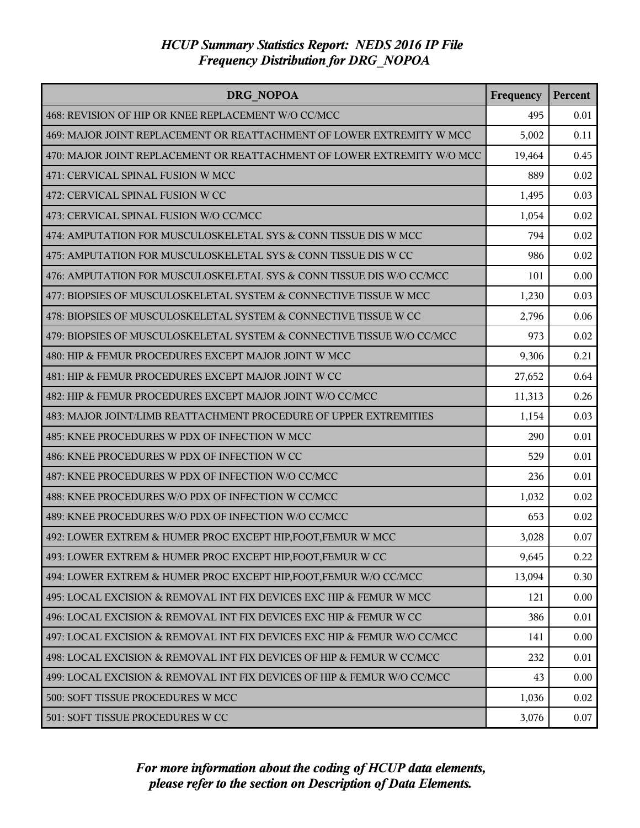| DRG NOPOA                                                                | Frequency | Percent |
|--------------------------------------------------------------------------|-----------|---------|
| 468: REVISION OF HIP OR KNEE REPLACEMENT W/O CC/MCC                      | 495       | 0.01    |
| 469: MAJOR JOINT REPLACEMENT OR REATTACHMENT OF LOWER EXTREMITY W MCC    | 5,002     | 0.11    |
| 470: MAJOR JOINT REPLACEMENT OR REATTACHMENT OF LOWER EXTREMITY W/O MCC  | 19,464    | 0.45    |
| 471: CERVICAL SPINAL FUSION W MCC                                        | 889       | 0.02    |
| 472: CERVICAL SPINAL FUSION W CC                                         | 1,495     | 0.03    |
| 473: CERVICAL SPINAL FUSION W/O CC/MCC                                   | 1,054     | 0.02    |
| 474: AMPUTATION FOR MUSCULOSKELETAL SYS & CONN TISSUE DIS W MCC          | 794       | 0.02    |
| 475: AMPUTATION FOR MUSCULOSKELETAL SYS & CONN TISSUE DIS W CC           | 986       | 0.02    |
| 476: AMPUTATION FOR MUSCULOSKELETAL SYS & CONN TISSUE DIS W/O CC/MCC     | 101       | 0.00    |
| 477: BIOPSIES OF MUSCULOSKELETAL SYSTEM & CONNECTIVE TISSUE W MCC        | 1,230     | 0.03    |
| 478: BIOPSIES OF MUSCULOSKELETAL SYSTEM & CONNECTIVE TISSUE W CC         | 2,796     | 0.06    |
| 479: BIOPSIES OF MUSCULOSKELETAL SYSTEM & CONNECTIVE TISSUE W/O CC/MCC   | 973       | 0.02    |
| 480: HIP & FEMUR PROCEDURES EXCEPT MAJOR JOINT W MCC                     | 9,306     | 0.21    |
| 481: HIP & FEMUR PROCEDURES EXCEPT MAJOR JOINT W CC                      | 27,652    | 0.64    |
| 482: HIP & FEMUR PROCEDURES EXCEPT MAJOR JOINT W/O CC/MCC                | 11,313    | 0.26    |
| 483: MAJOR JOINT/LIMB REATTACHMENT PROCEDURE OF UPPER EXTREMITIES        | 1,154     | 0.03    |
| 485: KNEE PROCEDURES W PDX OF INFECTION W MCC                            | 290       | 0.01    |
| 486: KNEE PROCEDURES W PDX OF INFECTION W CC                             | 529       | 0.01    |
| 487: KNEE PROCEDURES W PDX OF INFECTION W/O CC/MCC                       | 236       | 0.01    |
| 488: KNEE PROCEDURES W/O PDX OF INFECTION W CC/MCC                       | 1,032     | 0.02    |
| 489: KNEE PROCEDURES W/O PDX OF INFECTION W/O CC/MCC                     | 653       | 0.02    |
| 492: LOWER EXTREM & HUMER PROC EXCEPT HIP, FOOT, FEMUR W MCC             | 3,028     | 0.07    |
| 493: LOWER EXTREM & HUMER PROC EXCEPT HIP, FOOT, FEMUR W CC              | 9,645     | 0.22    |
| 494: LOWER EXTREM & HUMER PROC EXCEPT HIP, FOOT, FEMUR W/O CC/MCC        | 13,094    | 0.30    |
| 495: LOCAL EXCISION & REMOVAL INT FIX DEVICES EXC HIP & FEMUR W MCC      | 121       | 0.00    |
| 496: LOCAL EXCISION & REMOVAL INT FIX DEVICES EXC HIP & FEMUR W CC       | 386       | 0.01    |
| 497: LOCAL EXCISION & REMOVAL INT FIX DEVICES EXC HIP & FEMUR W/O CC/MCC | 141       | 0.00    |
| 498: LOCAL EXCISION & REMOVAL INT FIX DEVICES OF HIP & FEMUR W CC/MCC    | 232       | 0.01    |
| 499: LOCAL EXCISION & REMOVAL INT FIX DEVICES OF HIP & FEMUR W/O CC/MCC  | 43        | 0.00    |
| 500: SOFT TISSUE PROCEDURES W MCC                                        | 1,036     | 0.02    |
| 501: SOFT TISSUE PROCEDURES W CC                                         | 3,076     | 0.07    |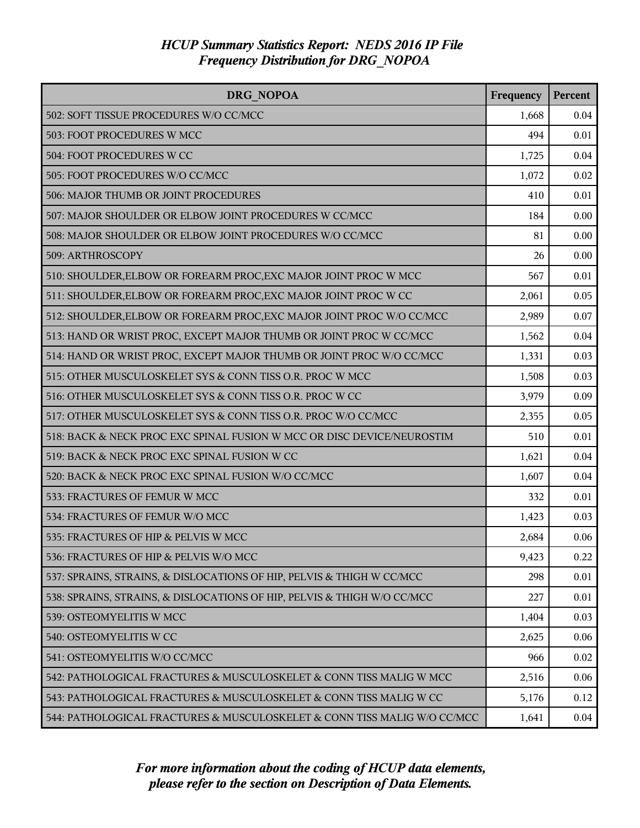| <b>DRG NOPOA</b>                                                         | Frequency | Percent |
|--------------------------------------------------------------------------|-----------|---------|
| 502: SOFT TISSUE PROCEDURES W/O CC/MCC                                   | 1,668     | 0.04    |
| 503: FOOT PROCEDURES W MCC                                               | 494       | 0.01    |
| 504: FOOT PROCEDURES W CC                                                | 1,725     | 0.04    |
| 505: FOOT PROCEDURES W/O CC/MCC                                          | 1,072     | 0.02    |
| 506: MAJOR THUMB OR JOINT PROCEDURES                                     | 410       | 0.01    |
| 507: MAJOR SHOULDER OR ELBOW JOINT PROCEDURES W CC/MCC                   | 184       | 0.00    |
| 508: MAJOR SHOULDER OR ELBOW JOINT PROCEDURES W/O CC/MCC                 | 81        | 0.00    |
| 509: ARTHROSCOPY                                                         | 26        | 0.00    |
| 510: SHOULDER, ELBOW OR FOREARM PROC, EXC MAJOR JOINT PROC W MCC         | 567       | 0.01    |
| 511: SHOULDER, ELBOW OR FOREARM PROC, EXC MAJOR JOINT PROC W CC          | 2,061     | 0.05    |
| 512: SHOULDER, ELBOW OR FOREARM PROC, EXC MAJOR JOINT PROC W/O CC/MCC    | 2,989     | 0.07    |
| 513: HAND OR WRIST PROC, EXCEPT MAJOR THUMB OR JOINT PROC W CC/MCC       | 1,562     | 0.04    |
| 514: HAND OR WRIST PROC, EXCEPT MAJOR THUMB OR JOINT PROC W/O CC/MCC     | 1,331     | 0.03    |
| 515: OTHER MUSCULOSKELET SYS & CONN TISS O.R. PROC W MCC                 | 1,508     | 0.03    |
| 516: OTHER MUSCULOSKELET SYS & CONN TISS O.R. PROC W CC                  | 3,979     | 0.09    |
| 517: OTHER MUSCULOSKELET SYS & CONN TISS O.R. PROC W/O CC/MCC            | 2,355     | 0.05    |
| 518: BACK & NECK PROC EXC SPINAL FUSION W MCC OR DISC DEVICE/NEUROSTIM   | 510       | 0.01    |
| 519: BACK & NECK PROC EXC SPINAL FUSION W CC                             | 1,621     | 0.04    |
| 520: BACK & NECK PROC EXC SPINAL FUSION W/O CC/MCC                       | 1,607     | 0.04    |
| 533: FRACTURES OF FEMUR W MCC                                            | 332       | 0.01    |
| 534: FRACTURES OF FEMUR W/O MCC                                          | 1,423     | 0.03    |
| 535: FRACTURES OF HIP & PELVIS W MCC                                     | 2,684     | 0.06    |
| 536: FRACTURES OF HIP & PELVIS W/O MCC                                   | 9,423     | 0.22    |
| 537: SPRAINS, STRAINS, & DISLOCATIONS OF HIP, PELVIS & THIGH W CC/MCC    | 298       | 0.01    |
| 538: SPRAINS, STRAINS, & DISLOCATIONS OF HIP, PELVIS & THIGH W/O CC/MCC  | 227       | 0.01    |
| 539: OSTEOMYELITIS W MCC                                                 | 1,404     | 0.03    |
| 540: OSTEOMYELITIS W CC                                                  | 2,625     | 0.06    |
| 541: OSTEOMYELITIS W/O CC/MCC                                            | 966       | 0.02    |
| 542: PATHOLOGICAL FRACTURES & MUSCULOSKELET & CONN TISS MALIG W MCC      | 2,516     | 0.06    |
| 543: PATHOLOGICAL FRACTURES & MUSCULOSKELET & CONN TISS MALIG W CC       | 5,176     | 0.12    |
| 544: PATHOLOGICAL FRACTURES & MUSCULOSKELET & CONN TISS MALIG W/O CC/MCC | 1,641     | 0.04    |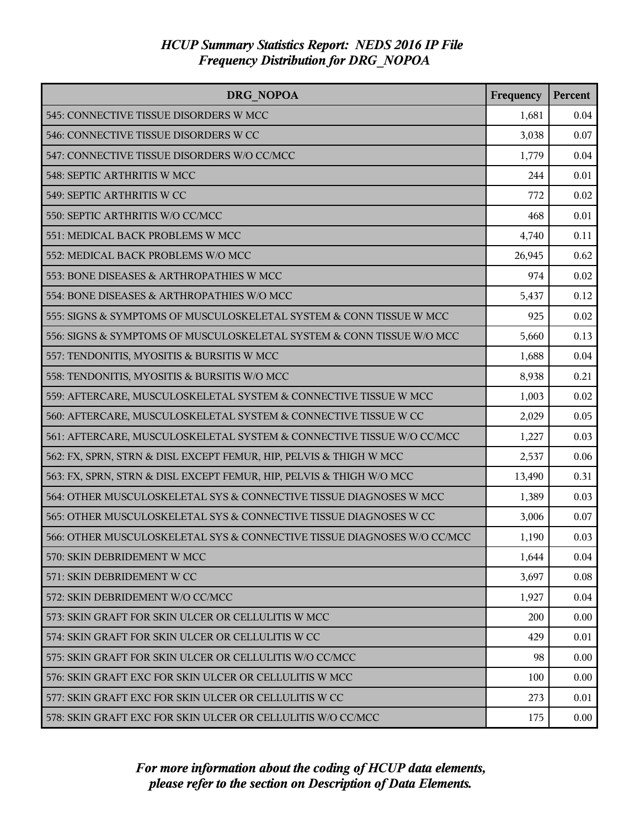| DRG NOPOA                                                               | Frequency | Percent |
|-------------------------------------------------------------------------|-----------|---------|
| 545: CONNECTIVE TISSUE DISORDERS W MCC                                  | 1,681     | 0.04    |
| 546: CONNECTIVE TISSUE DISORDERS W CC                                   | 3,038     | 0.07    |
| 547: CONNECTIVE TISSUE DISORDERS W/O CC/MCC                             | 1,779     | 0.04    |
| 548: SEPTIC ARTHRITIS W MCC                                             | 244       | 0.01    |
| 549: SEPTIC ARTHRITIS W CC                                              | 772       | 0.02    |
| 550: SEPTIC ARTHRITIS W/O CC/MCC                                        | 468       | 0.01    |
| 551: MEDICAL BACK PROBLEMS W MCC                                        | 4,740     | 0.11    |
| 552: MEDICAL BACK PROBLEMS W/O MCC                                      | 26,945    | 0.62    |
| 553: BONE DISEASES & ARTHROPATHIES W MCC                                | 974       | 0.02    |
| 554: BONE DISEASES & ARTHROPATHIES W/O MCC                              | 5,437     | 0.12    |
| 555: SIGNS & SYMPTOMS OF MUSCULOSKELETAL SYSTEM & CONN TISSUE W MCC     | 925       | 0.02    |
| 556: SIGNS & SYMPTOMS OF MUSCULOSKELETAL SYSTEM & CONN TISSUE W/O MCC   | 5,660     | 0.13    |
| 557: TENDONITIS, MYOSITIS & BURSITIS W MCC                              | 1,688     | 0.04    |
| 558: TENDONITIS, MYOSITIS & BURSITIS W/O MCC                            | 8,938     | 0.21    |
| 559: AFTERCARE, MUSCULOSKELETAL SYSTEM & CONNECTIVE TISSUE W MCC        | 1,003     | 0.02    |
| 560: AFTERCARE, MUSCULOSKELETAL SYSTEM & CONNECTIVE TISSUE W CC         | 2,029     | 0.05    |
| 561: AFTERCARE, MUSCULOSKELETAL SYSTEM & CONNECTIVE TISSUE W/O CC/MCC   | 1,227     | 0.03    |
| 562: FX, SPRN, STRN & DISL EXCEPT FEMUR, HIP, PELVIS & THIGH W MCC      | 2,537     | 0.06    |
| 563: FX, SPRN, STRN & DISL EXCEPT FEMUR, HIP, PELVIS & THIGH W/O MCC    | 13,490    | 0.31    |
| 564: OTHER MUSCULOSKELETAL SYS & CONNECTIVE TISSUE DIAGNOSES W MCC      | 1,389     | 0.03    |
| 565: OTHER MUSCULOSKELETAL SYS & CONNECTIVE TISSUE DIAGNOSES W CC       | 3,006     | 0.07    |
| 566: OTHER MUSCULOSKELETAL SYS & CONNECTIVE TISSUE DIAGNOSES W/O CC/MCC | 1,190     | 0.03    |
| 570: SKIN DEBRIDEMENT W MCC                                             | 1,644     | 0.04    |
| 571: SKIN DEBRIDEMENT W CC                                              | 3,697     | 0.08    |
| 572: SKIN DEBRIDEMENT W/O CC/MCC                                        | 1,927     | 0.04    |
| 573: SKIN GRAFT FOR SKIN ULCER OR CELLULITIS W MCC                      | 200       | 0.00    |
| 574: SKIN GRAFT FOR SKIN ULCER OR CELLULITIS W CC                       | 429       | 0.01    |
| 575: SKIN GRAFT FOR SKIN ULCER OR CELLULITIS W/O CC/MCC                 | 98        | 0.00    |
| 576: SKIN GRAFT EXC FOR SKIN ULCER OR CELLULITIS W MCC                  | 100       | 0.00    |
| 577: SKIN GRAFT EXC FOR SKIN ULCER OR CELLULITIS W CC                   | 273       | 0.01    |
| 578: SKIN GRAFT EXC FOR SKIN ULCER OR CELLULITIS W/O CC/MCC             | 175       | 0.00    |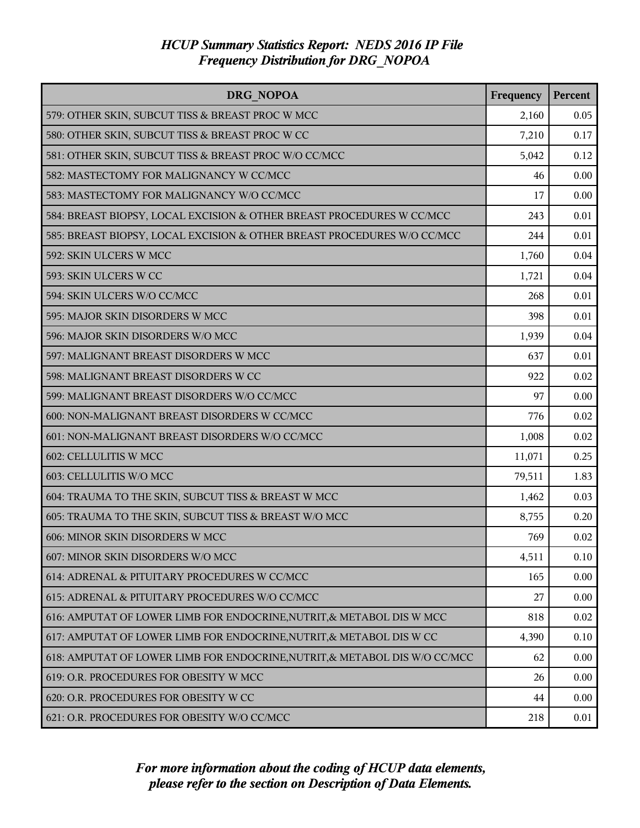| DRG NOPOA                                                                  | Frequency | Percent |
|----------------------------------------------------------------------------|-----------|---------|
| 579: OTHER SKIN, SUBCUT TISS & BREAST PROC W MCC                           | 2,160     | 0.05    |
| 580: OTHER SKIN, SUBCUT TISS & BREAST PROC W CC                            | 7,210     | 0.17    |
| 581: OTHER SKIN, SUBCUT TISS & BREAST PROC W/O CC/MCC                      | 5,042     | 0.12    |
| 582: MASTECTOMY FOR MALIGNANCY W CC/MCC                                    | 46        | 0.00    |
| 583: MASTECTOMY FOR MALIGNANCY W/O CC/MCC                                  | 17        | 0.00    |
| 584: BREAST BIOPSY, LOCAL EXCISION & OTHER BREAST PROCEDURES W CC/MCC      | 243       | 0.01    |
| 585: BREAST BIOPSY, LOCAL EXCISION & OTHER BREAST PROCEDURES W/O CC/MCC    | 244       | 0.01    |
| 592: SKIN ULCERS W MCC                                                     | 1,760     | 0.04    |
| 593: SKIN ULCERS W CC                                                      | 1,721     | 0.04    |
| 594: SKIN ULCERS W/O CC/MCC                                                | 268       | 0.01    |
| 595: MAJOR SKIN DISORDERS W MCC                                            | 398       | 0.01    |
| 596: MAJOR SKIN DISORDERS W/O MCC                                          | 1,939     | 0.04    |
| 597: MALIGNANT BREAST DISORDERS W MCC                                      | 637       | 0.01    |
| 598: MALIGNANT BREAST DISORDERS W CC                                       | 922       | 0.02    |
| 599: MALIGNANT BREAST DISORDERS W/O CC/MCC                                 | 97        | 0.00    |
| 600: NON-MALIGNANT BREAST DISORDERS W CC/MCC                               | 776       | 0.02    |
| 601: NON-MALIGNANT BREAST DISORDERS W/O CC/MCC                             | 1,008     | 0.02    |
| 602: CELLULITIS W MCC                                                      | 11,071    | 0.25    |
| 603: CELLULITIS W/O MCC                                                    | 79,511    | 1.83    |
| 604: TRAUMA TO THE SKIN, SUBCUT TISS & BREAST W MCC                        | 1,462     | 0.03    |
| 605: TRAUMA TO THE SKIN, SUBCUT TISS & BREAST W/O MCC                      | 8,755     | 0.20    |
| 606: MINOR SKIN DISORDERS W MCC                                            | 769       | 0.02    |
| 607: MINOR SKIN DISORDERS W/O MCC                                          | 4,511     | 0.10    |
| 614: ADRENAL & PITUITARY PROCEDURES W CC/MCC                               | 165       | 0.00    |
| 615: ADRENAL & PITUITARY PROCEDURES W/O CC/MCC                             | 27        | 0.00    |
| 616: AMPUTAT OF LOWER LIMB FOR ENDOCRINE, NUTRIT, & METABOL DIS W MCC      | 818       | 0.02    |
| 617: AMPUTAT OF LOWER LIMB FOR ENDOCRINE, NUTRIT, & METABOL DIS W CC       | 4,390     | 0.10    |
| 618: AMPUTAT OF LOWER LIMB FOR ENDOCRINE, NUTRIT, & METABOL DIS W/O CC/MCC | 62        | 0.00    |
| 619: O.R. PROCEDURES FOR OBESITY W MCC                                     | 26        | 0.00    |
| 620: O.R. PROCEDURES FOR OBESITY W CC                                      | 44        | 0.00    |
| 621: O.R. PROCEDURES FOR OBESITY W/O CC/MCC                                | 218       | 0.01    |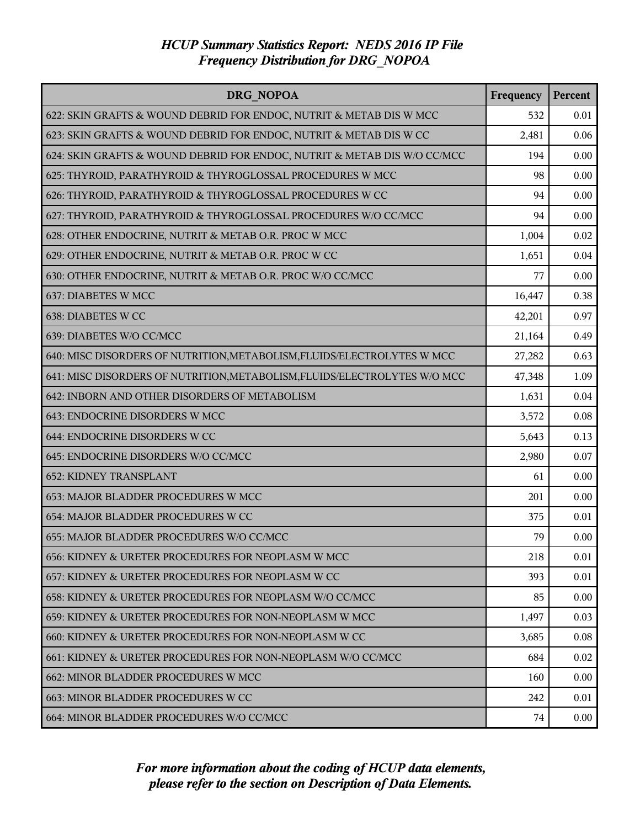| DRG NOPOA                                                                 | Frequency | Percent  |
|---------------------------------------------------------------------------|-----------|----------|
| 622: SKIN GRAFTS & WOUND DEBRID FOR ENDOC, NUTRIT & METAB DIS W MCC       | 532       | 0.01     |
| 623: SKIN GRAFTS & WOUND DEBRID FOR ENDOC, NUTRIT & METAB DIS W CC        | 2,481     | 0.06     |
| 624: SKIN GRAFTS & WOUND DEBRID FOR ENDOC, NUTRIT & METAB DIS W/O CC/MCC  | 194       | 0.00     |
| 625: THYROID, PARATHYROID & THYROGLOSSAL PROCEDURES W MCC                 | 98        | 0.00     |
| 626: THYROID, PARATHYROID & THYROGLOSSAL PROCEDURES W CC                  | 94        | 0.00     |
| 627: THYROID, PARATHYROID & THYROGLOSSAL PROCEDURES W/O CC/MCC            | 94        | 0.00     |
| 628: OTHER ENDOCRINE, NUTRIT & METAB O.R. PROC W MCC                      | 1,004     | 0.02     |
| 629: OTHER ENDOCRINE, NUTRIT & METAB O.R. PROC W CC                       | 1,651     | 0.04     |
| 630: OTHER ENDOCRINE, NUTRIT & METAB O.R. PROC W/O CC/MCC                 | 77        | 0.00     |
| 637: DIABETES W MCC                                                       | 16,447    | 0.38     |
| 638: DIABETES W CC                                                        | 42,201    | 0.97     |
| 639: DIABETES W/O CC/MCC                                                  | 21,164    | 0.49     |
| 640: MISC DISORDERS OF NUTRITION, METABOLISM, FLUIDS/ELECTROLYTES W MCC   | 27,282    | 0.63     |
| 641: MISC DISORDERS OF NUTRITION, METABOLISM, FLUIDS/ELECTROLYTES W/O MCC | 47,348    | 1.09     |
| 642: INBORN AND OTHER DISORDERS OF METABOLISM                             | 1,631     | 0.04     |
| 643: ENDOCRINE DISORDERS W MCC                                            | 3,572     | 0.08     |
| 644: ENDOCRINE DISORDERS W CC                                             | 5,643     | 0.13     |
| 645: ENDOCRINE DISORDERS W/O CC/MCC                                       | 2,980     | 0.07     |
| 652: KIDNEY TRANSPLANT                                                    | 61        | 0.00     |
| 653: MAJOR BLADDER PROCEDURES W MCC                                       | 201       | 0.00     |
| 654: MAJOR BLADDER PROCEDURES W CC                                        | 375       | 0.01     |
| 655: MAJOR BLADDER PROCEDURES W/O CC/MCC                                  | 79        | 0.00     |
| 656: KIDNEY & URETER PROCEDURES FOR NEOPLASM W MCC                        | 218       | 0.01     |
| 657: KIDNEY & URETER PROCEDURES FOR NEOPLASM W CC                         | 393       | 0.01     |
| 658: KIDNEY & URETER PROCEDURES FOR NEOPLASM W/O CC/MCC                   | 85        | 0.00     |
| 659: KIDNEY & URETER PROCEDURES FOR NON-NEOPLASM W MCC                    | 1,497     | 0.03     |
| 660: KIDNEY & URETER PROCEDURES FOR NON-NEOPLASM W CC                     | 3,685     | 0.08     |
| 661: KIDNEY & URETER PROCEDURES FOR NON-NEOPLASM W/O CC/MCC               | 684       | 0.02     |
| 662: MINOR BLADDER PROCEDURES W MCC                                       | 160       | 0.00     |
| 663: MINOR BLADDER PROCEDURES W CC                                        | 242       | 0.01     |
| 664: MINOR BLADDER PROCEDURES W/O CC/MCC                                  | 74        | $0.00\,$ |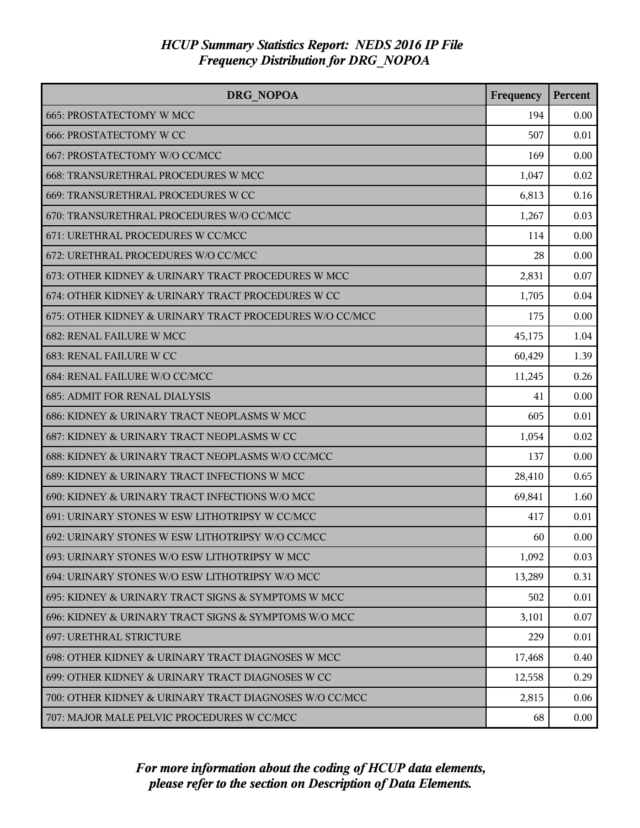| <b>DRG NOPOA</b>                                        | Frequency | Percent |
|---------------------------------------------------------|-----------|---------|
| <b>665: PROSTATECTOMY W MCC</b>                         | 194       | 0.00    |
| <b>666: PROSTATECTOMY W CC</b>                          | 507       | 0.01    |
| 667: PROSTATECTOMY W/O CC/MCC                           | 169       | 0.00    |
| 668: TRANSURETHRAL PROCEDURES W MCC                     | 1,047     | 0.02    |
| 669: TRANSURETHRAL PROCEDURES W CC                      | 6,813     | 0.16    |
| 670: TRANSURETHRAL PROCEDURES W/O CC/MCC                | 1,267     | 0.03    |
| 671: URETHRAL PROCEDURES W CC/MCC                       | 114       | 0.00    |
| 672: URETHRAL PROCEDURES W/O CC/MCC                     | 28        | 0.00    |
| 673: OTHER KIDNEY & URINARY TRACT PROCEDURES W MCC      | 2,831     | 0.07    |
| 674: OTHER KIDNEY & URINARY TRACT PROCEDURES W CC       | 1,705     | 0.04    |
| 675: OTHER KIDNEY & URINARY TRACT PROCEDURES W/O CC/MCC | 175       | 0.00    |
| <b>682: RENAL FAILURE W MCC</b>                         | 45,175    | 1.04    |
| <b>683: RENAL FAILURE W CC</b>                          | 60,429    | 1.39    |
| 684: RENAL FAILURE W/O CC/MCC                           | 11,245    | 0.26    |
| <b>685: ADMIT FOR RENAL DIALYSIS</b>                    | 41        | 0.00    |
| 686: KIDNEY & URINARY TRACT NEOPLASMS W MCC             | 605       | 0.01    |
| 687: KIDNEY & URINARY TRACT NEOPLASMS W CC              | 1,054     | 0.02    |
| 688: KIDNEY & URINARY TRACT NEOPLASMS W/O CC/MCC        | 137       | 0.00    |
| 689: KIDNEY & URINARY TRACT INFECTIONS W MCC            | 28,410    | 0.65    |
| 690: KIDNEY & URINARY TRACT INFECTIONS W/O MCC          | 69,841    | 1.60    |
| 691: URINARY STONES W ESW LITHOTRIPSY W CC/MCC          | 417       | 0.01    |
| 692: URINARY STONES W ESW LITHOTRIPSY W/O CC/MCC        | 60        | 0.00    |
| 693: URINARY STONES W/O ESW LITHOTRIPSY W MCC           | 1,092     | 0.03    |
| 694: URINARY STONES W/O ESW LITHOTRIPSY W/O MCC         | 13,289    | 0.31    |
| 695: KIDNEY & URINARY TRACT SIGNS & SYMPTOMS W MCC      | 502       | 0.01    |
| 696: KIDNEY & URINARY TRACT SIGNS & SYMPTOMS W/O MCC    | 3,101     | 0.07    |
| 697: URETHRAL STRICTURE                                 | 229       | 0.01    |
| 698: OTHER KIDNEY & URINARY TRACT DIAGNOSES W MCC       | 17,468    | 0.40    |
| 699: OTHER KIDNEY & URINARY TRACT DIAGNOSES W CC        | 12,558    | 0.29    |
| 700: OTHER KIDNEY & URINARY TRACT DIAGNOSES W/O CC/MCC  | 2,815     | 0.06    |
| 707: MAJOR MALE PELVIC PROCEDURES W CC/MCC              | 68        | 0.00    |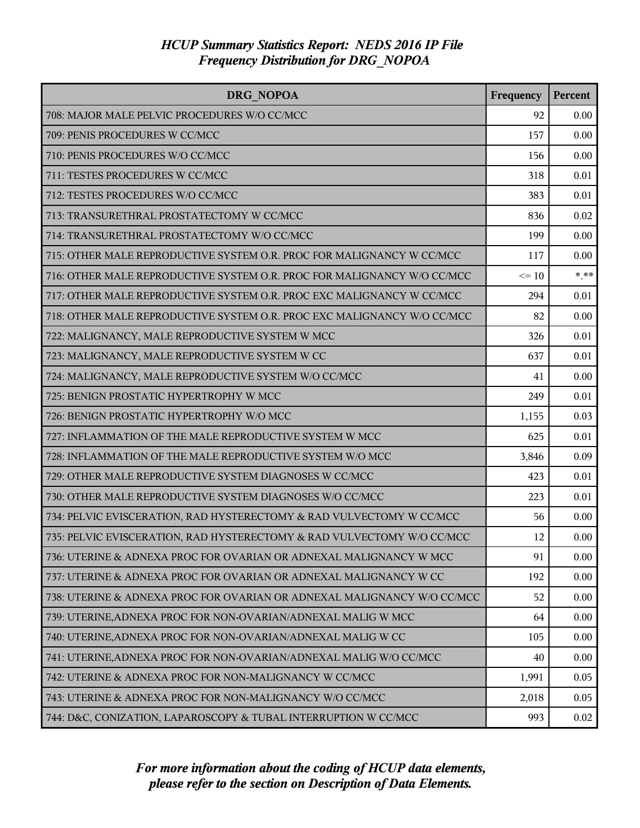| DRG NOPOA                                                               | Frequency | Percent |
|-------------------------------------------------------------------------|-----------|---------|
| 708: MAJOR MALE PELVIC PROCEDURES W/O CC/MCC                            | 92        | 0.00    |
| 709: PENIS PROCEDURES W CC/MCC                                          | 157       | 0.00    |
| 710: PENIS PROCEDURES W/O CC/MCC                                        | 156       | 0.00    |
| 711: TESTES PROCEDURES W CC/MCC                                         | 318       | 0.01    |
| 712: TESTES PROCEDURES W/O CC/MCC                                       | 383       | 0.01    |
| 713: TRANSURETHRAL PROSTATECTOMY W CC/MCC                               | 836       | 0.02    |
| 714: TRANSURETHRAL PROSTATECTOMY W/O CC/MCC                             | 199       | 0.00    |
| 715: OTHER MALE REPRODUCTIVE SYSTEM O.R. PROC FOR MALIGNANCY W CC/MCC   | 117       | 0.00    |
| 716: OTHER MALE REPRODUCTIVE SYSTEM O.R. PROC FOR MALIGNANCY W/O CC/MCC | $\leq 10$ | $***$   |
| 717: OTHER MALE REPRODUCTIVE SYSTEM O.R. PROC EXC MALIGNANCY W CC/MCC   | 294       | 0.01    |
| 718: OTHER MALE REPRODUCTIVE SYSTEM O.R. PROC EXC MALIGNANCY W/O CC/MCC | 82        | 0.00    |
| 722: MALIGNANCY, MALE REPRODUCTIVE SYSTEM W MCC                         | 326       | 0.01    |
| 723: MALIGNANCY, MALE REPRODUCTIVE SYSTEM W CC                          | 637       | 0.01    |
| 724: MALIGNANCY, MALE REPRODUCTIVE SYSTEM W/O CC/MCC                    | 41        | 0.00    |
| 725: BENIGN PROSTATIC HYPERTROPHY W MCC                                 | 249       | 0.01    |
| 726: BENIGN PROSTATIC HYPERTROPHY W/O MCC                               | 1,155     | 0.03    |
| 727: INFLAMMATION OF THE MALE REPRODUCTIVE SYSTEM W MCC                 | 625       | 0.01    |
| 728: INFLAMMATION OF THE MALE REPRODUCTIVE SYSTEM W/O MCC               | 3,846     | 0.09    |
| 729: OTHER MALE REPRODUCTIVE SYSTEM DIAGNOSES W CC/MCC                  | 423       | 0.01    |
| 730: OTHER MALE REPRODUCTIVE SYSTEM DIAGNOSES W/O CC/MCC                | 223       | 0.01    |
| 734: PELVIC EVISCERATION, RAD HYSTERECTOMY & RAD VULVECTOMY W CC/MCC    | 56        | 0.00    |
| 735: PELVIC EVISCERATION, RAD HYSTERECTOMY & RAD VULVECTOMY W/O CC/MCC  | 12        | 0.00    |
| 736: UTERINE & ADNEXA PROC FOR OVARIAN OR ADNEXAL MALIGNANCY W MCC      | 91        | 0.00    |
| 737: UTERINE & ADNEXA PROC FOR OVARIAN OR ADNEXAL MALIGNANCY W CC       | 192       | 0.00    |
| 738: UTERINE & ADNEXA PROC FOR OVARIAN OR ADNEXAL MALIGNANCY W/O CC/MCC | 52        | 0.00    |
| 739: UTERINE, ADNEXA PROC FOR NON-OVARIAN/ADNEXAL MALIG W MCC           | 64        | 0.00    |
| 740: UTERINE, ADNEXA PROC FOR NON-OVARIAN/ADNEXAL MALIG W CC            | 105       | 0.00    |
| 741: UTERINE, ADNEXA PROC FOR NON-OVARIAN/ADNEXAL MALIG W/O CC/MCC      | 40        | 0.00    |
| 742: UTERINE & ADNEXA PROC FOR NON-MALIGNANCY W CC/MCC                  | 1,991     | 0.05    |
| 743: UTERINE & ADNEXA PROC FOR NON-MALIGNANCY W/O CC/MCC                | 2,018     | 0.05    |
| 744: D&C, CONIZATION, LAPAROSCOPY & TUBAL INTERRUPTION W CC/MCC         | 993       | 0.02    |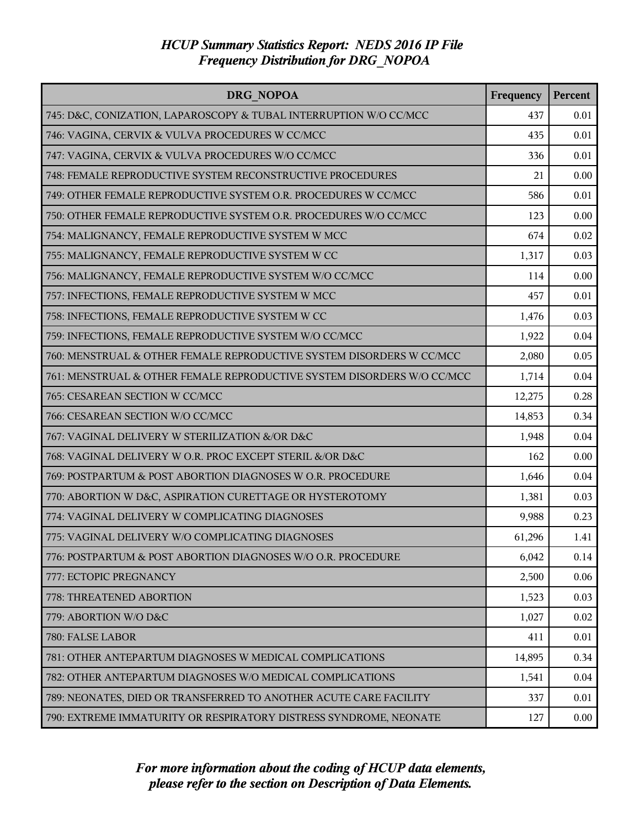| DRG NOPOA                                                              | Frequency | Percent |
|------------------------------------------------------------------------|-----------|---------|
| 745: D&C, CONIZATION, LAPAROSCOPY & TUBAL INTERRUPTION W/O CC/MCC      | 437       | 0.01    |
| 746: VAGINA, CERVIX & VULVA PROCEDURES W CC/MCC                        | 435       | 0.01    |
| 747: VAGINA, CERVIX & VULVA PROCEDURES W/O CC/MCC                      | 336       | 0.01    |
| 748: FEMALE REPRODUCTIVE SYSTEM RECONSTRUCTIVE PROCEDURES              | 21        | 0.00    |
| 749: OTHER FEMALE REPRODUCTIVE SYSTEM O.R. PROCEDURES W CC/MCC         | 586       | 0.01    |
| 750: OTHER FEMALE REPRODUCTIVE SYSTEM O.R. PROCEDURES W/O CC/MCC       | 123       | 0.00    |
| 754: MALIGNANCY, FEMALE REPRODUCTIVE SYSTEM W MCC                      | 674       | 0.02    |
| 755: MALIGNANCY, FEMALE REPRODUCTIVE SYSTEM W CC                       | 1,317     | 0.03    |
| 756: MALIGNANCY, FEMALE REPRODUCTIVE SYSTEM W/O CC/MCC                 | 114       | 0.00    |
| 757: INFECTIONS, FEMALE REPRODUCTIVE SYSTEM W MCC                      | 457       | 0.01    |
| 758: INFECTIONS, FEMALE REPRODUCTIVE SYSTEM W CC                       | 1,476     | 0.03    |
| 759: INFECTIONS, FEMALE REPRODUCTIVE SYSTEM W/O CC/MCC                 | 1,922     | 0.04    |
| 760: MENSTRUAL & OTHER FEMALE REPRODUCTIVE SYSTEM DISORDERS W CC/MCC   | 2,080     | 0.05    |
| 761: MENSTRUAL & OTHER FEMALE REPRODUCTIVE SYSTEM DISORDERS W/O CC/MCC | 1,714     | 0.04    |
| 765: CESAREAN SECTION W CC/MCC                                         | 12,275    | 0.28    |
| 766: CESAREAN SECTION W/O CC/MCC                                       | 14,853    | 0.34    |
| 767: VAGINAL DELIVERY W STERILIZATION &/OR D&C                         | 1,948     | 0.04    |
| 768: VAGINAL DELIVERY W O.R. PROC EXCEPT STERIL &/OR D&C               | 162       | 0.00    |
| 769: POSTPARTUM & POST ABORTION DIAGNOSES W O.R. PROCEDURE             | 1,646     | 0.04    |
| 770: ABORTION W D&C, ASPIRATION CURETTAGE OR HYSTEROTOMY               | 1,381     | 0.03    |
| 774: VAGINAL DELIVERY W COMPLICATING DIAGNOSES                         | 9,988     | 0.23    |
| 775: VAGINAL DELIVERY W/O COMPLICATING DIAGNOSES                       | 61,296    | 1.41    |
| 776: POSTPARTUM & POST ABORTION DIAGNOSES W/O O.R. PROCEDURE           | 6,042     | 0.14    |
| 777: ECTOPIC PREGNANCY                                                 | 2,500     | 0.06    |
| 778: THREATENED ABORTION                                               | 1,523     | 0.03    |
| 779: ABORTION W/O D&C                                                  | 1,027     | 0.02    |
| 780: FALSE LABOR                                                       | 411       | 0.01    |
| 781: OTHER ANTEPARTUM DIAGNOSES W MEDICAL COMPLICATIONS                | 14,895    | 0.34    |
| 782: OTHER ANTEPARTUM DIAGNOSES W/O MEDICAL COMPLICATIONS              | 1,541     | 0.04    |
| 789: NEONATES, DIED OR TRANSFERRED TO ANOTHER ACUTE CARE FACILITY      | 337       | 0.01    |
| 790: EXTREME IMMATURITY OR RESPIRATORY DISTRESS SYNDROME, NEONATE      | 127       | 0.00    |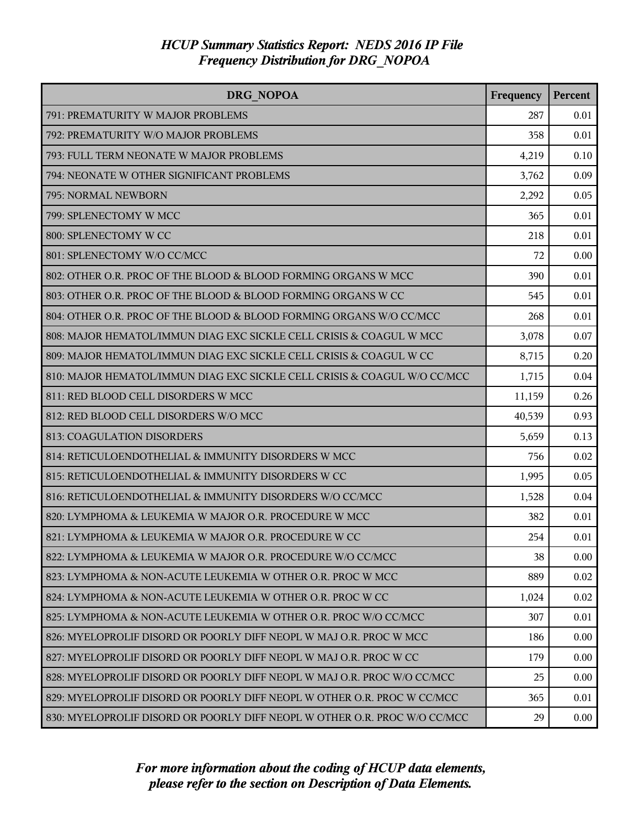| DRG NOPOA                                                                 | Frequency | Percent |
|---------------------------------------------------------------------------|-----------|---------|
| 791: PREMATURITY W MAJOR PROBLEMS                                         | 287       | 0.01    |
| 792: PREMATURITY W/O MAJOR PROBLEMS                                       | 358       | 0.01    |
| 793: FULL TERM NEONATE W MAJOR PROBLEMS                                   | 4,219     | 0.10    |
| 794: NEONATE W OTHER SIGNIFICANT PROBLEMS                                 | 3,762     | 0.09    |
| 795: NORMAL NEWBORN                                                       | 2,292     | 0.05    |
| 799: SPLENECTOMY W MCC                                                    | 365       | 0.01    |
| 800: SPLENECTOMY W CC                                                     | 218       | 0.01    |
| 801: SPLENECTOMY W/O CC/MCC                                               | 72        | 0.00    |
| 802: OTHER O.R. PROC OF THE BLOOD & BLOOD FORMING ORGANS W MCC            | 390       | 0.01    |
| 803: OTHER O.R. PROC OF THE BLOOD & BLOOD FORMING ORGANS W CC             | 545       | 0.01    |
| 804: OTHER O.R. PROC OF THE BLOOD & BLOOD FORMING ORGANS W/O CC/MCC       | 268       | 0.01    |
| 808: MAJOR HEMATOL/IMMUN DIAG EXC SICKLE CELL CRISIS & COAGUL W MCC       | 3,078     | 0.07    |
| 809: MAJOR HEMATOL/IMMUN DIAG EXC SICKLE CELL CRISIS & COAGUL W CC        | 8,715     | 0.20    |
| 810: MAJOR HEMATOL/IMMUN DIAG EXC SICKLE CELL CRISIS & COAGUL W/O CC/MCC  | 1,715     | 0.04    |
| 811: RED BLOOD CELL DISORDERS W MCC                                       | 11,159    | 0.26    |
| 812: RED BLOOD CELL DISORDERS W/O MCC                                     | 40,539    | 0.93    |
| 813: COAGULATION DISORDERS                                                | 5,659     | 0.13    |
| 814: RETICULOENDOTHELIAL & IMMUNITY DISORDERS W MCC                       | 756       | 0.02    |
| 815: RETICULOENDOTHELIAL & IMMUNITY DISORDERS W CC                        | 1,995     | 0.05    |
| 816: RETICULOENDOTHELIAL & IMMUNITY DISORDERS W/O CC/MCC                  | 1,528     | 0.04    |
| 820: LYMPHOMA & LEUKEMIA W MAJOR O.R. PROCEDURE W MCC                     | 382       | 0.01    |
| 821: LYMPHOMA & LEUKEMIA W MAJOR O.R. PROCEDURE W CC                      | 254       | 0.01    |
| 822: LYMPHOMA & LEUKEMIA W MAJOR O.R. PROCEDURE W/O CC/MCC                | 38        | 0.00    |
| 823: LYMPHOMA & NON-ACUTE LEUKEMIA W OTHER O.R. PROC W MCC                | 889       | 0.02    |
| 824: LYMPHOMA & NON-ACUTE LEUKEMIA W OTHER O.R. PROC W CC                 | 1,024     | 0.02    |
| 825: LYMPHOMA & NON-ACUTE LEUKEMIA W OTHER O.R. PROC W/O CC/MCC           | 307       | 0.01    |
| 826: MYELOPROLIF DISORD OR POORLY DIFF NEOPL W MAJ O.R. PROC W MCC        | 186       | 0.00    |
| 827: MYELOPROLIF DISORD OR POORLY DIFF NEOPL W MAJ O.R. PROC W CC         | 179       | 0.00    |
| 828: MYELOPROLIF DISORD OR POORLY DIFF NEOPL W MAJ O.R. PROC W/O CC/MCC   | 25        | 0.00    |
| 829: MYELOPROLIF DISORD OR POORLY DIFF NEOPL W OTHER O.R. PROC W CC/MCC   | 365       | 0.01    |
| 830: MYELOPROLIF DISORD OR POORLY DIFF NEOPL W OTHER O.R. PROC W/O CC/MCC | 29        | 0.00    |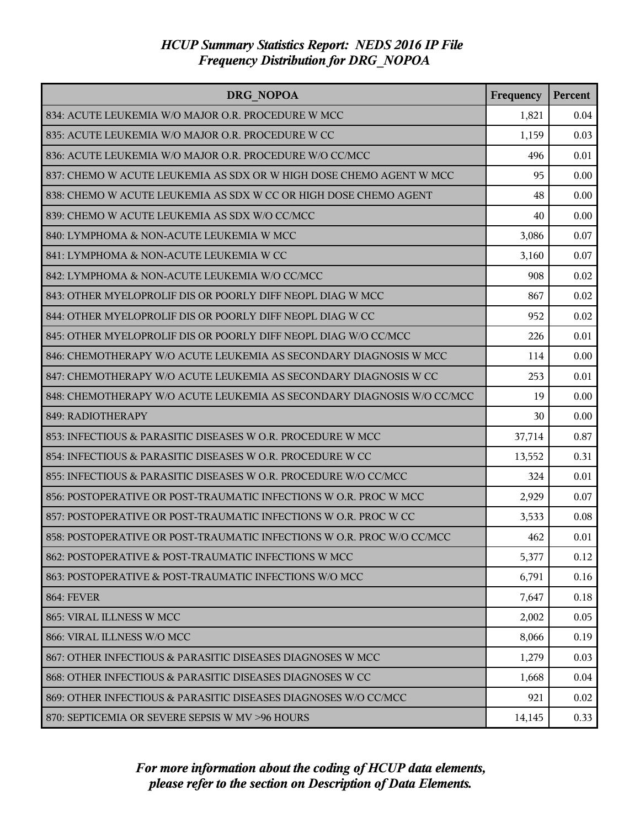| DRG NOPOA                                                              | Frequency | Percent |
|------------------------------------------------------------------------|-----------|---------|
| 834: ACUTE LEUKEMIA W/O MAJOR O.R. PROCEDURE W MCC                     | 1,821     | 0.04    |
| 835: ACUTE LEUKEMIA W/O MAJOR O.R. PROCEDURE W CC                      | 1,159     | 0.03    |
| 836: ACUTE LEUKEMIA W/O MAJOR O.R. PROCEDURE W/O CC/MCC                | 496       | 0.01    |
| 837: CHEMO W ACUTE LEUKEMIA AS SDX OR W HIGH DOSE CHEMO AGENT W MCC    | 95        | 0.00    |
| 838: CHEMO W ACUTE LEUKEMIA AS SDX W CC OR HIGH DOSE CHEMO AGENT       | 48        | 0.00    |
| 839: CHEMO W ACUTE LEUKEMIA AS SDX W/O CC/MCC                          | 40        | 0.00    |
| 840: LYMPHOMA & NON-ACUTE LEUKEMIA W MCC                               | 3,086     | 0.07    |
| 841: LYMPHOMA & NON-ACUTE LEUKEMIA W CC                                | 3,160     | 0.07    |
| 842: LYMPHOMA & NON-ACUTE LEUKEMIA W/O CC/MCC                          | 908       | 0.02    |
| 843: OTHER MYELOPROLIF DIS OR POORLY DIFF NEOPL DIAG W MCC             | 867       | 0.02    |
| 844: OTHER MYELOPROLIF DIS OR POORLY DIFF NEOPL DIAG W CC              | 952       | 0.02    |
| 845: OTHER MYELOPROLIF DIS OR POORLY DIFF NEOPL DIAG W/O CC/MCC        | 226       | 0.01    |
| 846: CHEMOTHERAPY W/O ACUTE LEUKEMIA AS SECONDARY DIAGNOSIS W MCC      | 114       | 0.00    |
| 847: CHEMOTHERAPY W/O ACUTE LEUKEMIA AS SECONDARY DIAGNOSIS W CC       | 253       | 0.01    |
| 848: CHEMOTHERAPY W/O ACUTE LEUKEMIA AS SECONDARY DIAGNOSIS W/O CC/MCC | 19        | 0.00    |
| 849: RADIOTHERAPY                                                      | 30        | 0.00    |
| 853: INFECTIOUS & PARASITIC DISEASES W O.R. PROCEDURE W MCC            | 37,714    | 0.87    |
| 854: INFECTIOUS & PARASITIC DISEASES W O.R. PROCEDURE W CC             | 13,552    | 0.31    |
| 855: INFECTIOUS & PARASITIC DISEASES W O.R. PROCEDURE W/O CC/MCC       | 324       | 0.01    |
| 856: POSTOPERATIVE OR POST-TRAUMATIC INFECTIONS W O.R. PROC W MCC      | 2,929     | 0.07    |
| 857: POSTOPERATIVE OR POST-TRAUMATIC INFECTIONS W O.R. PROC W CC       | 3,533     | 0.08    |
| 858: POSTOPERATIVE OR POST-TRAUMATIC INFECTIONS W O.R. PROC W/O CC/MCC | 462       | 0.01    |
| 862: POSTOPERATIVE & POST-TRAUMATIC INFECTIONS W MCC                   | 5,377     | 0.12    |
| 863: POSTOPERATIVE & POST-TRAUMATIC INFECTIONS W/O MCC                 | 6,791     | 0.16    |
| <b>864: FEVER</b>                                                      | 7,647     | 0.18    |
| 865: VIRAL ILLNESS W MCC                                               | 2,002     | 0.05    |
| 866: VIRAL ILLNESS W/O MCC                                             | 8,066     | 0.19    |
| 867: OTHER INFECTIOUS & PARASITIC DISEASES DIAGNOSES W MCC             | 1,279     | 0.03    |
| 868: OTHER INFECTIOUS & PARASITIC DISEASES DIAGNOSES W CC              | 1,668     | 0.04    |
| 869: OTHER INFECTIOUS & PARASITIC DISEASES DIAGNOSES W/O CC/MCC        | 921       | 0.02    |
| 870: SEPTICEMIA OR SEVERE SEPSIS W MV >96 HOURS                        | 14,145    | 0.33    |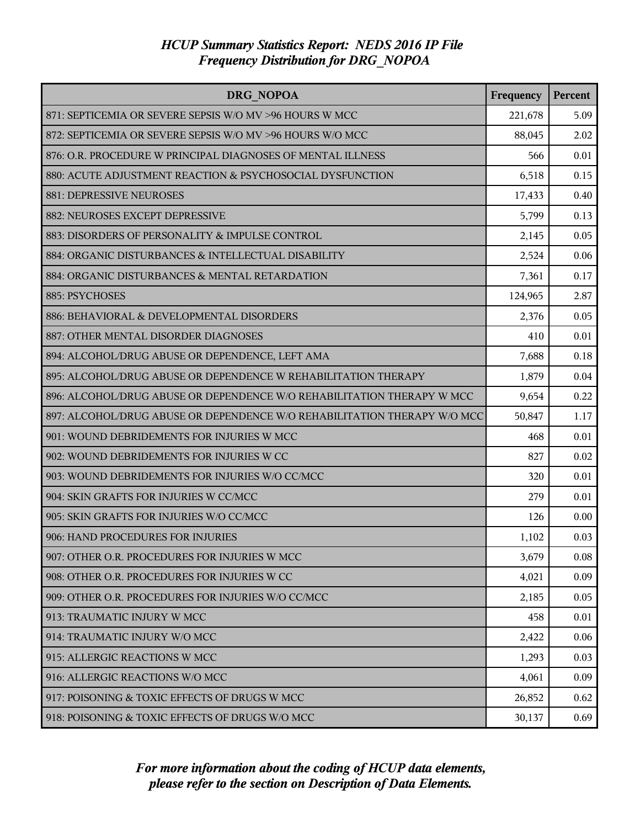| DRG NOPOA                                                                | Frequency | Percent |
|--------------------------------------------------------------------------|-----------|---------|
| 871: SEPTICEMIA OR SEVERE SEPSIS W/O MV >96 HOURS W MCC                  | 221,678   | 5.09    |
| 872: SEPTICEMIA OR SEVERE SEPSIS W/O MV >96 HOURS W/O MCC                | 88,045    | 2.02    |
| 876: O.R. PROCEDURE W PRINCIPAL DIAGNOSES OF MENTAL ILLNESS              | 566       | 0.01    |
| 880: ACUTE ADJUSTMENT REACTION & PSYCHOSOCIAL DYSFUNCTION                | 6,518     | 0.15    |
| 881: DEPRESSIVE NEUROSES                                                 | 17,433    | 0.40    |
| 882: NEUROSES EXCEPT DEPRESSIVE                                          | 5,799     | 0.13    |
| 883: DISORDERS OF PERSONALITY & IMPULSE CONTROL                          | 2,145     | 0.05    |
| 884: ORGANIC DISTURBANCES & INTELLECTUAL DISABILITY                      | 2,524     | 0.06    |
| 884: ORGANIC DISTURBANCES & MENTAL RETARDATION                           | 7,361     | 0.17    |
| 885: PSYCHOSES                                                           | 124,965   | 2.87    |
| 886: BEHAVIORAL & DEVELOPMENTAL DISORDERS                                | 2,376     | 0.05    |
| 887: OTHER MENTAL DISORDER DIAGNOSES                                     | 410       | 0.01    |
| 894: ALCOHOL/DRUG ABUSE OR DEPENDENCE, LEFT AMA                          | 7,688     | 0.18    |
| 895: ALCOHOL/DRUG ABUSE OR DEPENDENCE W REHABILITATION THERAPY           | 1,879     | 0.04    |
| 896: ALCOHOL/DRUG ABUSE OR DEPENDENCE W/O REHABILITATION THERAPY W MCC   | 9,654     | 0.22    |
| 897: ALCOHOL/DRUG ABUSE OR DEPENDENCE W/O REHABILITATION THERAPY W/O MCC | 50,847    | 1.17    |
| 901: WOUND DEBRIDEMENTS FOR INJURIES W MCC                               | 468       | 0.01    |
| 902: WOUND DEBRIDEMENTS FOR INJURIES W CC                                | 827       | 0.02    |
| 903: WOUND DEBRIDEMENTS FOR INJURIES W/O CC/MCC                          | 320       | 0.01    |
| 904: SKIN GRAFTS FOR INJURIES W CC/MCC                                   | 279       | 0.01    |
| 905: SKIN GRAFTS FOR INJURIES W/O CC/MCC                                 | 126       | 0.00    |
| 906: HAND PROCEDURES FOR INJURIES                                        | 1,102     | 0.03    |
| 907: OTHER O.R. PROCEDURES FOR INJURIES W MCC                            | 3,679     | 0.08    |
| 908: OTHER O.R. PROCEDURES FOR INJURIES W CC                             | 4,021     | 0.09    |
| 909: OTHER O.R. PROCEDURES FOR INJURIES W/O CC/MCC                       | 2,185     | 0.05    |
| 913: TRAUMATIC INJURY W MCC                                              | 458       | 0.01    |
| 914: TRAUMATIC INJURY W/O MCC                                            | 2,422     | 0.06    |
| 915: ALLERGIC REACTIONS W MCC                                            | 1,293     | 0.03    |
| 916: ALLERGIC REACTIONS W/O MCC                                          | 4,061     | 0.09    |
| 917: POISONING & TOXIC EFFECTS OF DRUGS W MCC                            | 26,852    | 0.62    |
| 918: POISONING & TOXIC EFFECTS OF DRUGS W/O MCC                          | 30,137    | 0.69    |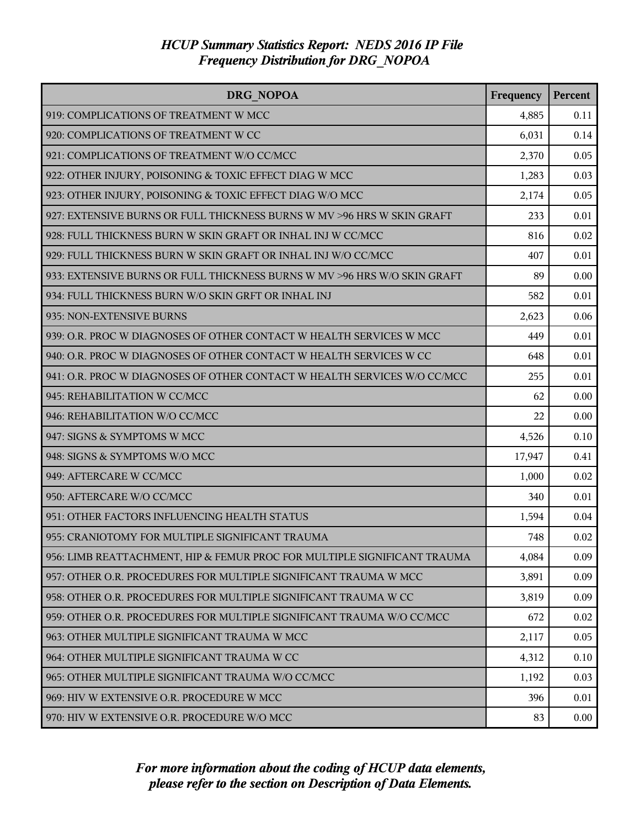| DRG NOPOA                                                                | Frequency | Percent |
|--------------------------------------------------------------------------|-----------|---------|
| 919: COMPLICATIONS OF TREATMENT W MCC                                    | 4,885     | 0.11    |
| 920: COMPLICATIONS OF TREATMENT W CC                                     | 6,031     | 0.14    |
| 921: COMPLICATIONS OF TREATMENT W/O CC/MCC                               | 2,370     | 0.05    |
| 922: OTHER INJURY, POISONING & TOXIC EFFECT DIAG W MCC                   | 1,283     | 0.03    |
| 923: OTHER INJURY, POISONING & TOXIC EFFECT DIAG W/O MCC                 | 2,174     | 0.05    |
| 927: EXTENSIVE BURNS OR FULL THICKNESS BURNS W MV >96 HRS W SKIN GRAFT   | 233       | 0.01    |
| 928: FULL THICKNESS BURN W SKIN GRAFT OR INHAL INJ W CC/MCC              | 816       | 0.02    |
| 929: FULL THICKNESS BURN W SKIN GRAFT OR INHAL INJ W/O CC/MCC            | 407       | 0.01    |
| 933: EXTENSIVE BURNS OR FULL THICKNESS BURNS W MV >96 HRS W/O SKIN GRAFT | 89        | 0.00    |
| 934: FULL THICKNESS BURN W/O SKIN GRFT OR INHAL INJ                      | 582       | 0.01    |
| 935: NON-EXTENSIVE BURNS                                                 | 2,623     | 0.06    |
| 939: O.R. PROC W DIAGNOSES OF OTHER CONTACT W HEALTH SERVICES W MCC      | 449       | 0.01    |
| 940: O.R. PROC W DIAGNOSES OF OTHER CONTACT W HEALTH SERVICES W CC       | 648       | 0.01    |
| 941: O.R. PROC W DIAGNOSES OF OTHER CONTACT W HEALTH SERVICES W/O CC/MCC | 255       | 0.01    |
| 945: REHABILITATION W CC/MCC                                             | 62        | 0.00    |
| 946: REHABILITATION W/O CC/MCC                                           | 22        | 0.00    |
| 947: SIGNS & SYMPTOMS W MCC                                              | 4,526     | 0.10    |
| 948: SIGNS & SYMPTOMS W/O MCC                                            | 17,947    | 0.41    |
| 949: AFTERCARE W CC/MCC                                                  | 1,000     | 0.02    |
| 950: AFTERCARE W/O CC/MCC                                                | 340       | 0.01    |
| 951: OTHER FACTORS INFLUENCING HEALTH STATUS                             | 1,594     | 0.04    |
| 955: CRANIOTOMY FOR MULTIPLE SIGNIFICANT TRAUMA                          | 748       | 0.02    |
| 956: LIMB REATTACHMENT, HIP & FEMUR PROC FOR MULTIPLE SIGNIFICANT TRAUMA | 4,084     | 0.09    |
| 957: OTHER O.R. PROCEDURES FOR MULTIPLE SIGNIFICANT TRAUMA W MCC         | 3,891     | 0.09    |
| 958: OTHER O.R. PROCEDURES FOR MULTIPLE SIGNIFICANT TRAUMA W CC          | 3,819     | 0.09    |
| 959: OTHER O.R. PROCEDURES FOR MULTIPLE SIGNIFICANT TRAUMA W/O CC/MCC    | 672       | 0.02    |
| 963: OTHER MULTIPLE SIGNIFICANT TRAUMA W MCC                             | 2,117     | 0.05    |
| 964: OTHER MULTIPLE SIGNIFICANT TRAUMA W CC                              | 4,312     | 0.10    |
| 965: OTHER MULTIPLE SIGNIFICANT TRAUMA W/O CC/MCC                        | 1,192     | 0.03    |
| 969: HIV W EXTENSIVE O.R. PROCEDURE W MCC                                | 396       | 0.01    |
| 970: HIV W EXTENSIVE O.R. PROCEDURE W/O MCC                              | 83        | 0.00    |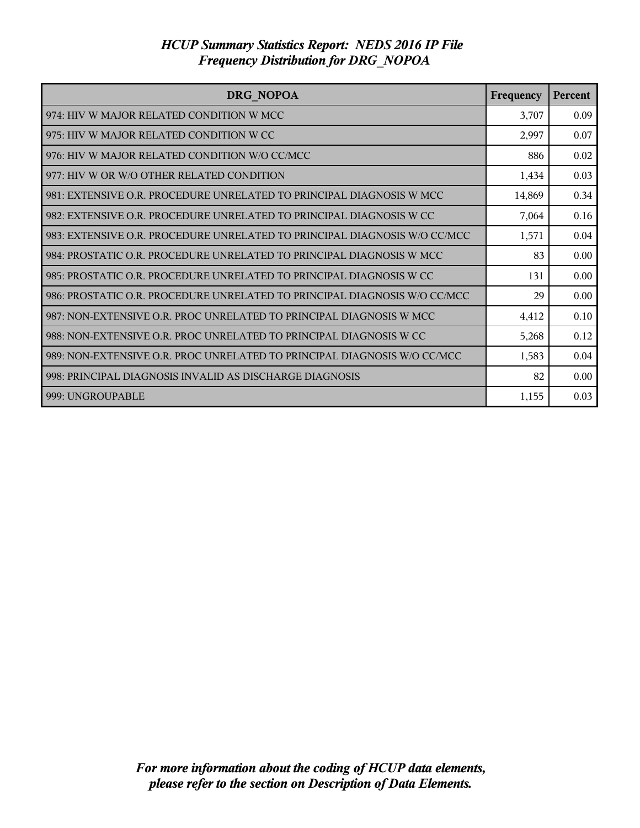| DRG NOPOA                                                                 | Frequency | <b>Percent</b> |
|---------------------------------------------------------------------------|-----------|----------------|
| 974: HIV W MAJOR RELATED CONDITION W MCC                                  | 3,707     | 0.09           |
| 975: HIV W MAJOR RELATED CONDITION W CC                                   | 2,997     | 0.07           |
| 976: HIV W MAJOR RELATED CONDITION W/O CC/MCC                             | 886       | 0.02           |
| 977: HIV W OR W/O OTHER RELATED CONDITION                                 | 1,434     | 0.03           |
| 981: EXTENSIVE O.R. PROCEDURE UNRELATED TO PRINCIPAL DIAGNOSIS W MCC      | 14,869    | 0.34           |
| 982: EXTENSIVE O.R. PROCEDURE UNRELATED TO PRINCIPAL DIAGNOSIS W CC       | 7,064     | 0.16           |
| 983: EXTENSIVE O.R. PROCEDURE UNRELATED TO PRINCIPAL DIAGNOSIS W/O CC/MCC | 1,571     | 0.04           |
| 984: PROSTATIC O.R. PROCEDURE UNRELATED TO PRINCIPAL DIAGNOSIS W MCC      | 83        | 0.00           |
| 985: PROSTATIC O.R. PROCEDURE UNRELATED TO PRINCIPAL DIAGNOSIS W CC       | 131       | 0.00           |
| 986: PROSTATIC O.R. PROCEDURE UNRELATED TO PRINCIPAL DIAGNOSIS W/O CC/MCC | 29        | 0.00           |
| 987: NON-EXTENSIVE O.R. PROC UNRELATED TO PRINCIPAL DIAGNOSIS W MCC       | 4,412     | 0.10           |
| 988: NON-EXTENSIVE O.R. PROC UNRELATED TO PRINCIPAL DIAGNOSIS W CC        | 5,268     | 0.12           |
| 989: NON-EXTENSIVE O.R. PROC UNRELATED TO PRINCIPAL DIAGNOSIS W/O CC/MCC  | 1,583     | 0.04           |
| 998: PRINCIPAL DIAGNOSIS INVALID AS DISCHARGE DIAGNOSIS                   | 82        | 0.00           |
| 999: UNGROUPABLE                                                          | 1,155     | 0.03           |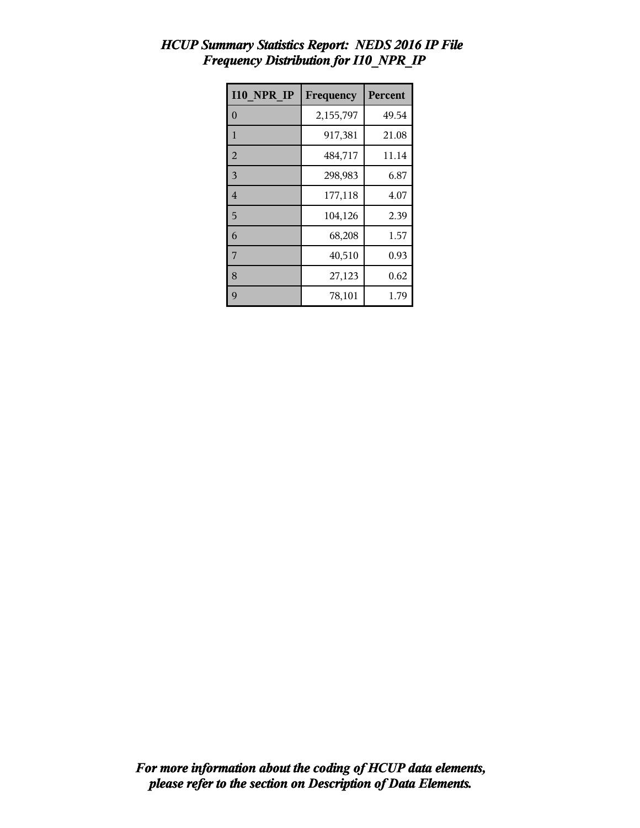| <b>I10 NPR IP</b> | Frequency | Percent |
|-------------------|-----------|---------|
| $\overline{0}$    | 2,155,797 | 49.54   |
| 1                 | 917,381   | 21.08   |
| $\overline{2}$    | 484,717   | 11.14   |
| 3                 | 298,983   | 6.87    |
| $\overline{4}$    | 177,118   | 4.07    |
| 5                 | 104,126   | 2.39    |
| 6                 | 68,208    | 1.57    |
| 7                 | 40,510    | 0.93    |
| 8                 | 27,123    | 0.62    |
| 9                 | 78,101    | 1.79    |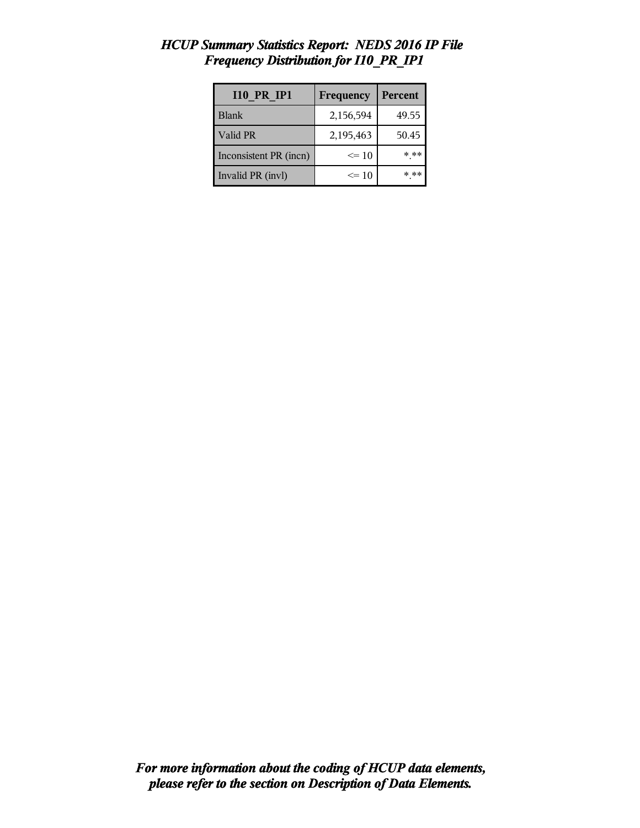| <b>I10 PR IP1</b>      | Frequency | <b>Percent</b> |
|------------------------|-----------|----------------|
| <b>Blank</b>           | 2,156,594 | 49.55          |
| Valid PR               | 2,195,463 | 50.45          |
| Inconsistent PR (incn) | $\leq 10$ | $***$          |
| Invalid PR (invl)      | $\leq 10$ | * **           |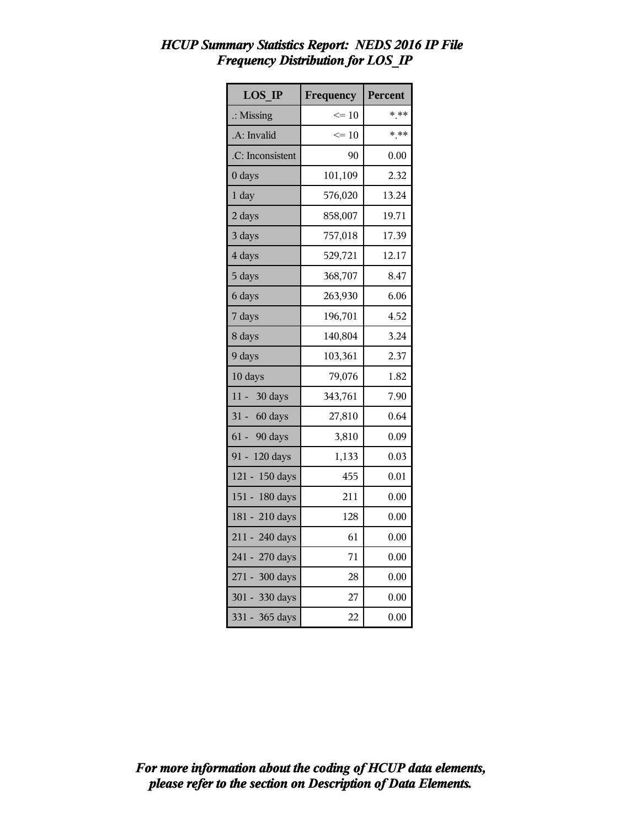| <b>LOS IP</b>        | Frequency | <b>Percent</b> |
|----------------------|-----------|----------------|
| $\therefore$ Missing | $\leq 10$ | $***$          |
| A: Invalid           | $\leq 10$ | $* * *$        |
| .C: Inconsistent     | 90        | 0.00           |
| 0 days               | 101,109   | 2.32           |
| 1 day                | 576,020   | 13.24          |
| 2 days               | 858,007   | 19.71          |
| 3 days               | 757,018   | 17.39          |
| 4 days               | 529,721   | 12.17          |
| 5 days               | 368,707   | 8.47           |
| 6 days               | 263,930   | 6.06           |
| 7 days               | 196,701   | 4.52           |
| 8 days               | 140,804   | 3.24           |
| 9 days               | 103,361   | 2.37           |
| 10 days              | 79,076    | 1.82           |
| $11 -$<br>30 days    | 343,761   | 7.90           |
| 31 - 60 days         | 27,810    | 0.64           |
| 61 - 90 days         | 3,810     | 0.09           |
| 91 - 120 days        | 1,133     | 0.03           |
| 121 - 150 days       | 455       | 0.01           |
| 151 - 180 days       | 211       | 0.00           |
| 181 - 210 days       | 128       | 0.00           |
| 211 - 240 days       | 61        | 0.00           |
| 241 - 270 days       | 71        | 0.00           |
| 271 - 300 days       | 28        | 0.00           |
| 330 days<br>$301 -$  | 27        | 0.00           |
| 331 - 365 days       | 22        | 0.00           |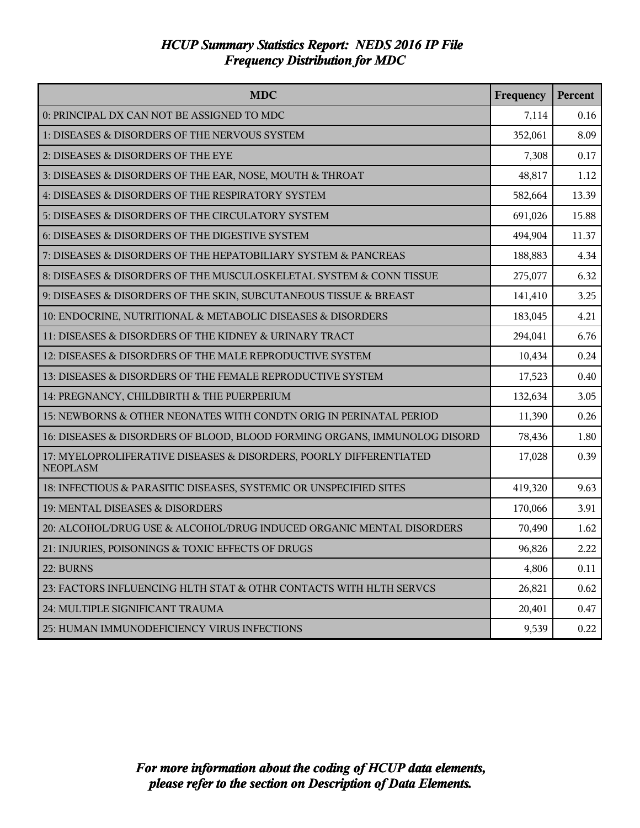| <b>MDC</b>                                                                            | Frequency | Percent |
|---------------------------------------------------------------------------------------|-----------|---------|
| 0: PRINCIPAL DX CAN NOT BE ASSIGNED TO MDC                                            | 7,114     | 0.16    |
| 1: DISEASES & DISORDERS OF THE NERVOUS SYSTEM                                         | 352,061   | 8.09    |
| 2: DISEASES & DISORDERS OF THE EYE                                                    | 7,308     | 0.17    |
| 3: DISEASES & DISORDERS OF THE EAR, NOSE, MOUTH & THROAT                              | 48,817    | 1.12    |
| 4: DISEASES & DISORDERS OF THE RESPIRATORY SYSTEM                                     | 582,664   | 13.39   |
| 5: DISEASES & DISORDERS OF THE CIRCULATORY SYSTEM                                     | 691,026   | 15.88   |
| 6: DISEASES & DISORDERS OF THE DIGESTIVE SYSTEM                                       | 494,904   | 11.37   |
| 7: DISEASES & DISORDERS OF THE HEPATOBILIARY SYSTEM & PANCREAS                        | 188,883   | 4.34    |
| 8: DISEASES & DISORDERS OF THE MUSCULOSKELETAL SYSTEM & CONN TISSUE                   | 275,077   | 6.32    |
| 9: DISEASES & DISORDERS OF THE SKIN, SUBCUTANEOUS TISSUE & BREAST                     | 141,410   | 3.25    |
| 10: ENDOCRINE, NUTRITIONAL & METABOLIC DISEASES & DISORDERS                           | 183,045   | 4.21    |
| 11: DISEASES & DISORDERS OF THE KIDNEY & URINARY TRACT                                | 294,041   | 6.76    |
| 12: DISEASES & DISORDERS OF THE MALE REPRODUCTIVE SYSTEM                              | 10,434    | 0.24    |
| 13: DISEASES & DISORDERS OF THE FEMALE REPRODUCTIVE SYSTEM                            | 17,523    | 0.40    |
| 14: PREGNANCY, CHILDBIRTH & THE PUERPERIUM                                            | 132,634   | 3.05    |
| 15: NEWBORNS & OTHER NEONATES WITH CONDTN ORIG IN PERINATAL PERIOD                    | 11,390    | 0.26    |
| 16: DISEASES & DISORDERS OF BLOOD, BLOOD FORMING ORGANS, IMMUNOLOG DISORD             | 78,436    | 1.80    |
| 17: MYELOPROLIFERATIVE DISEASES & DISORDERS, POORLY DIFFERENTIATED<br><b>NEOPLASM</b> | 17,028    | 0.39    |
| 18: INFECTIOUS & PARASITIC DISEASES, SYSTEMIC OR UNSPECIFIED SITES                    | 419,320   | 9.63    |
| 19: MENTAL DISEASES & DISORDERS                                                       | 170,066   | 3.91    |
| 20: ALCOHOL/DRUG USE & ALCOHOL/DRUG INDUCED ORGANIC MENTAL DISORDERS                  | 70,490    | 1.62    |
| 21: INJURIES, POISONINGS & TOXIC EFFECTS OF DRUGS                                     | 96,826    | 2.22    |
| 22: BURNS                                                                             | 4,806     | 0.11    |
| 23: FACTORS INFLUENCING HLTH STAT & OTHR CONTACTS WITH HLTH SERVCS                    | 26,821    | 0.62    |
| 24: MULTIPLE SIGNIFICANT TRAUMA                                                       | 20,401    | 0.47    |
| 25: HUMAN IMMUNODEFICIENCY VIRUS INFECTIONS                                           | 9,539     | 0.22    |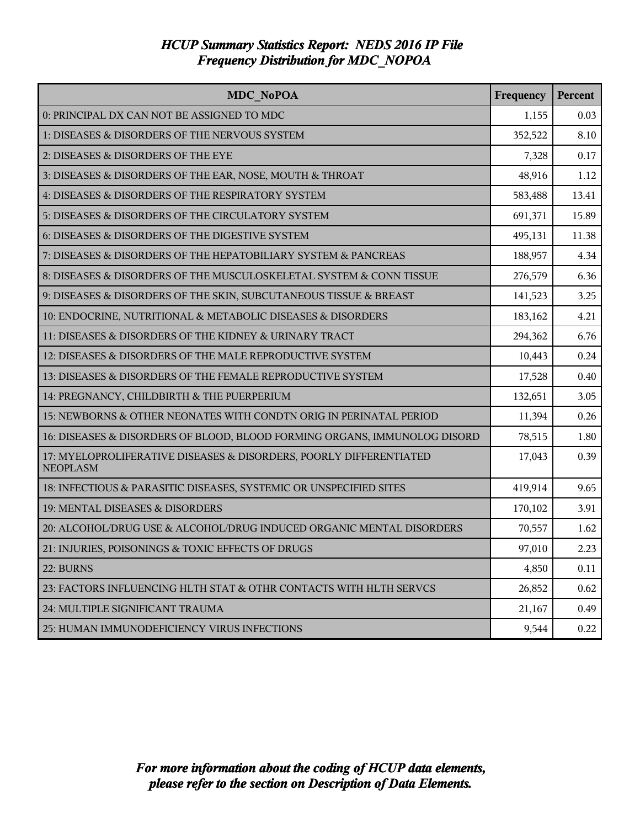| <b>MDC NoPOA</b>                                                                      | Frequency | Percent |
|---------------------------------------------------------------------------------------|-----------|---------|
| 0: PRINCIPAL DX CAN NOT BE ASSIGNED TO MDC                                            | 1,155     | 0.03    |
| 1: DISEASES & DISORDERS OF THE NERVOUS SYSTEM                                         | 352,522   | 8.10    |
| 2: DISEASES & DISORDERS OF THE EYE                                                    | 7,328     | 0.17    |
| 3: DISEASES & DISORDERS OF THE EAR, NOSE, MOUTH & THROAT                              | 48,916    | 1.12    |
| 4: DISEASES & DISORDERS OF THE RESPIRATORY SYSTEM                                     | 583,488   | 13.41   |
| 5: DISEASES & DISORDERS OF THE CIRCULATORY SYSTEM                                     | 691,371   | 15.89   |
| 6: DISEASES & DISORDERS OF THE DIGESTIVE SYSTEM                                       | 495,131   | 11.38   |
| 7: DISEASES & DISORDERS OF THE HEPATOBILIARY SYSTEM & PANCREAS                        | 188,957   | 4.34    |
| 8: DISEASES & DISORDERS OF THE MUSCULOSKELETAL SYSTEM & CONN TISSUE                   | 276,579   | 6.36    |
| 9: DISEASES & DISORDERS OF THE SKIN, SUBCUTANEOUS TISSUE & BREAST                     | 141,523   | 3.25    |
| 10: ENDOCRINE, NUTRITIONAL & METABOLIC DISEASES & DISORDERS                           | 183,162   | 4.21    |
| 11: DISEASES & DISORDERS OF THE KIDNEY & URINARY TRACT                                | 294,362   | 6.76    |
| 12: DISEASES & DISORDERS OF THE MALE REPRODUCTIVE SYSTEM                              | 10,443    | 0.24    |
| 13: DISEASES & DISORDERS OF THE FEMALE REPRODUCTIVE SYSTEM                            | 17,528    | 0.40    |
| 14: PREGNANCY, CHILDBIRTH & THE PUERPERIUM                                            | 132,651   | 3.05    |
| 15: NEWBORNS & OTHER NEONATES WITH CONDTN ORIG IN PERINATAL PERIOD                    | 11,394    | 0.26    |
| 16: DISEASES & DISORDERS OF BLOOD, BLOOD FORMING ORGANS, IMMUNOLOG DISORD             | 78,515    | 1.80    |
| 17: MYELOPROLIFERATIVE DISEASES & DISORDERS, POORLY DIFFERENTIATED<br><b>NEOPLASM</b> | 17,043    | 0.39    |
| 18: INFECTIOUS & PARASITIC DISEASES, SYSTEMIC OR UNSPECIFIED SITES                    | 419,914   | 9.65    |
| 19: MENTAL DISEASES & DISORDERS                                                       | 170,102   | 3.91    |
| 20: ALCOHOL/DRUG USE & ALCOHOL/DRUG INDUCED ORGANIC MENTAL DISORDERS                  | 70,557    | 1.62    |
| 21: INJURIES, POISONINGS & TOXIC EFFECTS OF DRUGS                                     | 97,010    | 2.23    |
| 22: BURNS                                                                             | 4,850     | 0.11    |
| 23: FACTORS INFLUENCING HLTH STAT & OTHR CONTACTS WITH HLTH SERVCS                    | 26,852    | 0.62    |
| 24: MULTIPLE SIGNIFICANT TRAUMA                                                       | 21,167    | 0.49    |
| 25: HUMAN IMMUNODEFICIENCY VIRUS INFECTIONS                                           | 9,544     | 0.22    |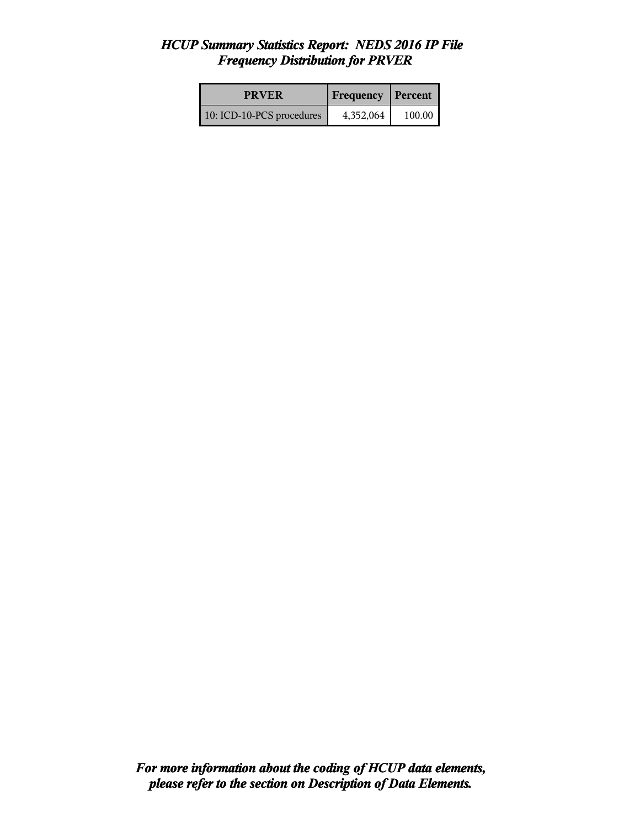| <b>PRVER</b>              | <b>Frequency Percent</b> |        |
|---------------------------|--------------------------|--------|
| 10: ICD-10-PCS procedures | 4,352,064                | 100.00 |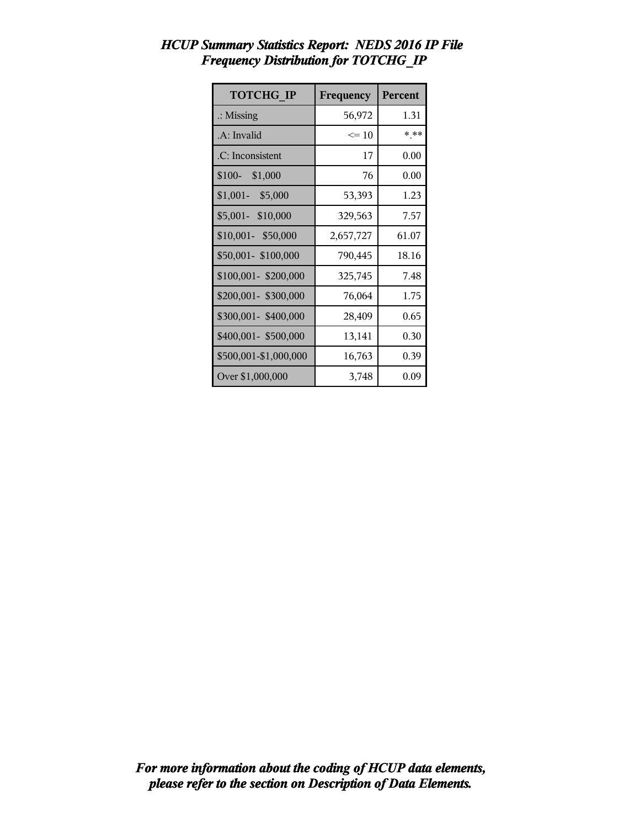| <b>TOTCHG IP</b>      | Frequency | <b>Percent</b> |
|-----------------------|-----------|----------------|
| $\therefore$ Missing  | 56,972    | 1.31           |
| .A: Invalid           | $\leq 10$ | * **           |
| .C: Inconsistent      | 17        | 0.00           |
| $$100-$<br>\$1,000    | 76        | 0.00           |
| $$1,001-$<br>\$5,000  | 53,393    | 1.23           |
| \$5,001- \$10,000     | 329,563   | 7.57           |
| \$10,001- \$50,000    | 2,657,727 | 61.07          |
| \$50,001-\$100,000    | 790,445   | 18.16          |
| \$100,001-\$200,000   | 325,745   | 7.48           |
| \$200,001- \$300,000  | 76,064    | 1.75           |
| \$300,001- \$400,000  | 28,409    | 0.65           |
| \$400,001- \$500,000  | 13,141    | 0.30           |
| \$500,001-\$1,000,000 | 16,763    | 0.39           |
| Over \$1,000,000      | 3,748     | 0.09           |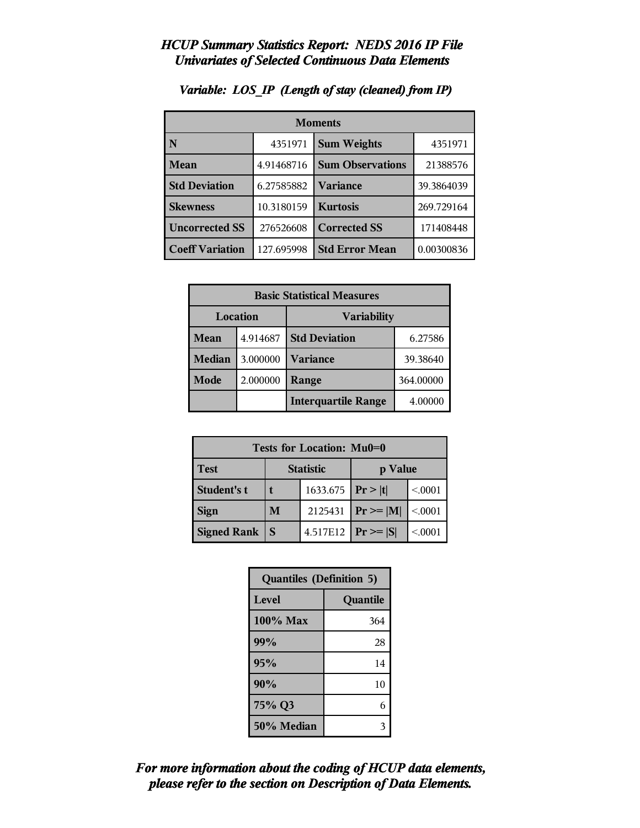| <b>Moments</b>         |            |                         |            |
|------------------------|------------|-------------------------|------------|
| N                      | 4351971    | <b>Sum Weights</b>      | 4351971    |
| <b>Mean</b>            | 4.91468716 | <b>Sum Observations</b> | 21388576   |
| <b>Std Deviation</b>   | 6.27585882 | Variance                | 39.3864039 |
| <b>Skewness</b>        | 10.3180159 | <b>Kurtosis</b>         | 269.729164 |
| <b>Uncorrected SS</b>  | 276526608  | <b>Corrected SS</b>     | 171408448  |
| <b>Coeff Variation</b> | 127.695998 | <b>Std Error Mean</b>   | 0.00300836 |

### *Variable: LOS\_IP (Length of stay (cleaned) from IP)*

| <b>Basic Statistical Measures</b> |          |                            |          |
|-----------------------------------|----------|----------------------------|----------|
| Location<br><b>Variability</b>    |          |                            |          |
| Mean                              | 4.914687 | <b>Std Deviation</b>       | 6.27586  |
| <b>Median</b>                     | 3.000000 | <b>Variance</b>            | 39.38640 |
| Mode                              | 2.000000 | 364.00000<br>Range         |          |
|                                   |          | <b>Interquartile Range</b> | 4.00000  |

| Tests for Location: Mu0=0 |                             |          |                |         |  |
|---------------------------|-----------------------------|----------|----------------|---------|--|
| <b>Test</b>               | <b>Statistic</b><br>p Value |          |                |         |  |
| Student's t               | 1633.675 $ Pr> t $          |          |                | < 0.001 |  |
| <b>Sign</b>               | M                           | 2125431  | $Pr \ge =  M $ | < 0001  |  |
| <b>Signed Rank</b>        | S                           | 4.517E12 | $Pr \geq  S $  | < 0001  |  |

| <b>Quantiles (Definition 5)</b> |     |  |
|---------------------------------|-----|--|
| Level<br>Quantile               |     |  |
| 100% Max                        | 364 |  |
| 99%                             | 28  |  |
| 95%                             | 14  |  |
| 90%                             | 10  |  |
| 75% Q3                          | 6   |  |
| 50% Median                      |     |  |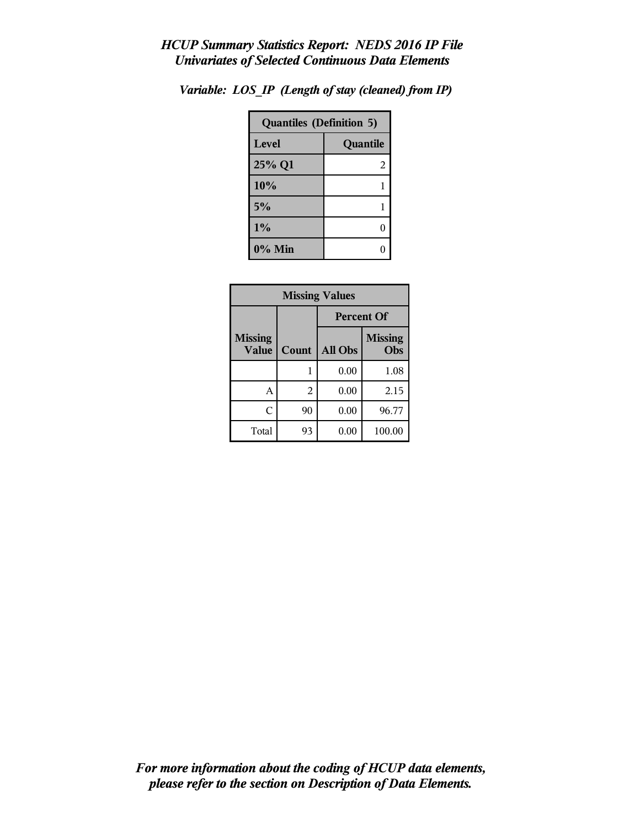| <b>Quantiles (Definition 5)</b> |          |  |
|---------------------------------|----------|--|
| Level                           | Quantile |  |
| 25% Q1                          | 2        |  |
| 10%                             |          |  |
| 5%                              |          |  |
| 1%                              |          |  |
| $0\%$ Min                       |          |  |

*Variable: LOS\_IP (Length of stay (cleaned) from IP)*

| <b>Missing Values</b>          |       |                   |                       |  |
|--------------------------------|-------|-------------------|-----------------------|--|
|                                |       | <b>Percent Of</b> |                       |  |
| <b>Missing</b><br><b>Value</b> | Count | <b>All Obs</b>    | <b>Missing</b><br>Obs |  |
|                                | 1     | 0.00              | 1.08                  |  |
| Α                              | 2     | 0.00              | 2.15                  |  |
| Ċ                              | 90    | 0.00              | 96.77                 |  |
| Total                          | 93    | 0.00              | 100.00                |  |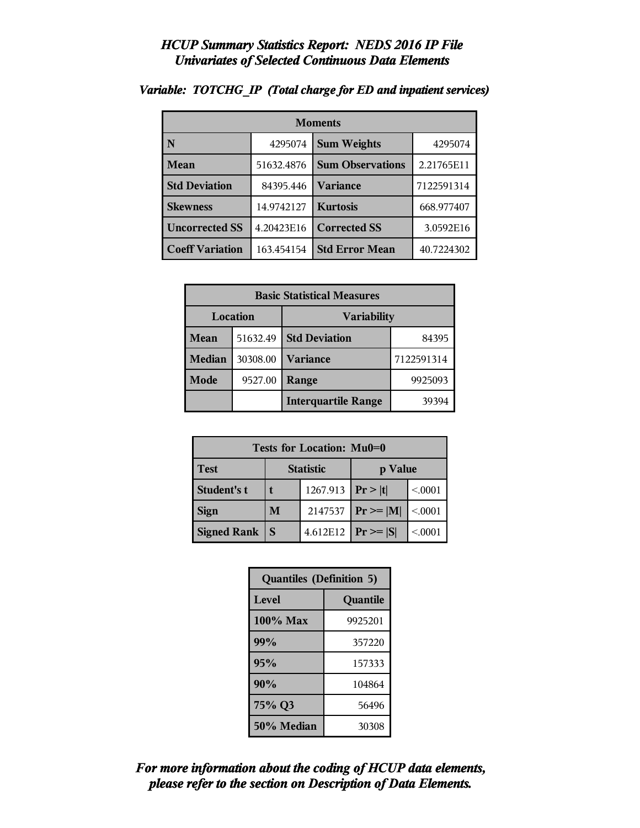| <b>Moments</b>         |            |                         |            |
|------------------------|------------|-------------------------|------------|
| N                      | 4295074    | <b>Sum Weights</b>      | 4295074    |
| Mean                   | 51632.4876 | <b>Sum Observations</b> | 2.21765E11 |
| <b>Std Deviation</b>   | 84395.446  | Variance                | 7122591314 |
| <b>Skewness</b>        | 14.9742127 | <b>Kurtosis</b>         | 668.977407 |
| <b>Uncorrected SS</b>  | 4.20423E16 | <b>Corrected SS</b>     | 3.0592E16  |
| <b>Coeff Variation</b> | 163.454154 | <b>Std Error Mean</b>   | 40.7224302 |

#### *Variable: TOTCHG\_IP (Total charge for ED and inpatient services)*

| <b>Basic Statistical Measures</b> |          |                            |            |  |
|-----------------------------------|----------|----------------------------|------------|--|
| Location<br><b>Variability</b>    |          |                            |            |  |
| Mean                              | 51632.49 | <b>Std Deviation</b>       | 84395      |  |
| <b>Median</b>                     | 30308.00 | <b>Variance</b>            | 7122591314 |  |
| Mode                              | 9527.00  | Range                      | 9925093    |  |
|                                   |          | <b>Interquartile Range</b> | 39394      |  |

| Tests for Location: Mu0=0 |                             |          |               |         |  |
|---------------------------|-----------------------------|----------|---------------|---------|--|
| <b>Test</b>               | <b>Statistic</b><br>p Value |          |               |         |  |
| Student's t               | 1267.913 $ Pr> t $          |          |               | < 0.001 |  |
| <b>Sign</b>               | M                           | 2147537  | $Pr \geq  M $ | < 0.001 |  |
| <b>Signed Rank</b>        | S                           | 4.612E12 | $Pr \geq  S $ | < 0001  |  |

| <b>Quantiles (Definition 5)</b> |          |  |
|---------------------------------|----------|--|
| Level                           | Quantile |  |
| 100% Max                        | 9925201  |  |
| 99%                             | 357220   |  |
| 95%                             | 157333   |  |
| 90%<br>104864                   |          |  |
| 75% Q3<br>56496                 |          |  |
| 50% Median<br>30308             |          |  |